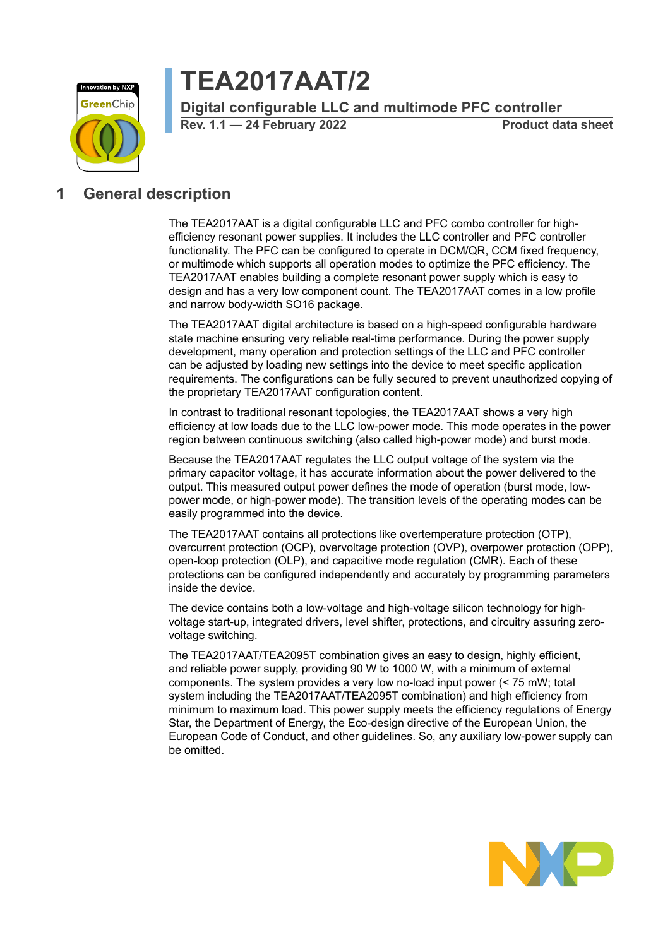

# **TEA2017AAT/2**

**Digital configurable LLC and multimode PFC controller**

**Rev. 1.1 — 24 February 2022 Product data sheet**

### <span id="page-0-0"></span>**1 General description**

The TEA2017AAT is a digital configurable LLC and PFC combo controller for highefficiency resonant power supplies. It includes the LLC controller and PFC controller functionality. The PFC can be configured to operate in DCM/QR, CCM fixed frequency, or multimode which supports all operation modes to optimize the PFC efficiency. The TEA2017AAT enables building a complete resonant power supply which is easy to design and has a very low component count. The TEA2017AAT comes in a low profile and narrow body-width SO16 package.

The TEA2017AAT digital architecture is based on a high-speed configurable hardware state machine ensuring very reliable real-time performance. During the power supply development, many operation and protection settings of the LLC and PFC controller can be adjusted by loading new settings into the device to meet specific application requirements. The configurations can be fully secured to prevent unauthorized copying of the proprietary TEA2017AAT configuration content.

In contrast to traditional resonant topologies, the TEA2017AAT shows a very high efficiency at low loads due to the LLC low-power mode. This mode operates in the power region between continuous switching (also called high-power mode) and burst mode.

Because the TEA2017AAT regulates the LLC output voltage of the system via the primary capacitor voltage, it has accurate information about the power delivered to the output. This measured output power defines the mode of operation (burst mode, lowpower mode, or high-power mode). The transition levels of the operating modes can be easily programmed into the device.

The TEA2017AAT contains all protections like overtemperature protection (OTP), overcurrent protection (OCP), overvoltage protection (OVP), overpower protection (OPP), open-loop protection (OLP), and capacitive mode regulation (CMR). Each of these protections can be configured independently and accurately by programming parameters inside the device.

The device contains both a low-voltage and high-voltage silicon technology for highvoltage start-up, integrated drivers, level shifter, protections, and circuitry assuring zerovoltage switching.

The TEA2017AAT/TEA2095T combination gives an easy to design, highly efficient, and reliable power supply, providing 90 W to 1000 W, with a minimum of external components. The system provides a very low no-load input power (< 75 mW; total system including the TEA2017AAT/TEA2095T combination) and high efficiency from minimum to maximum load. This power supply meets the efficiency regulations of Energy Star, the Department of Energy, the Eco-design directive of the European Union, the European Code of Conduct, and other guidelines. So, any auxiliary low-power supply can be omitted.

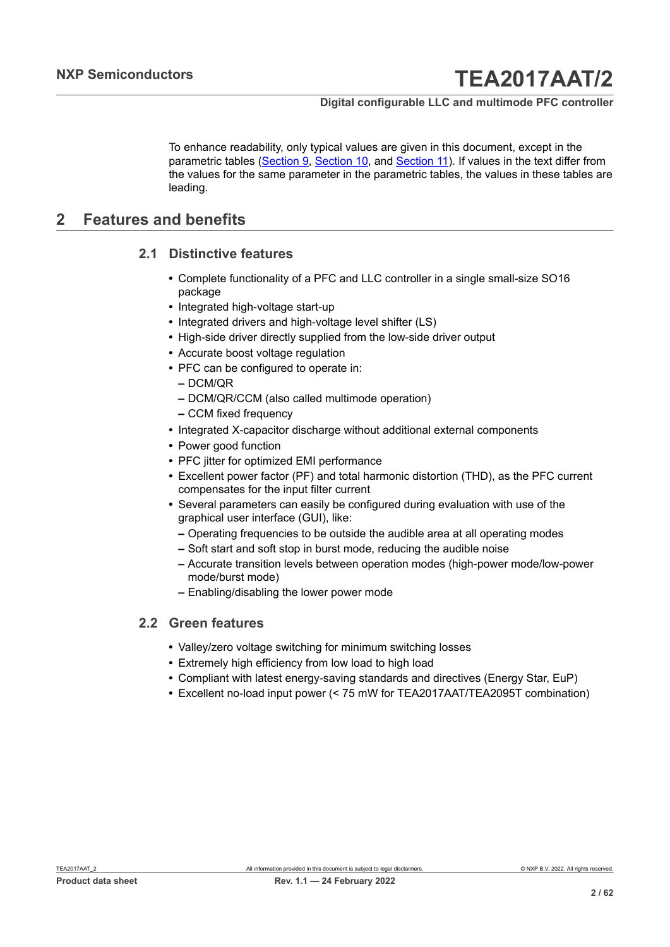To enhance readability, only typical values are given in this document, except in the parametric tables ([Section 9](#page-47-0), [Section 10](#page-48-0), and [Section](#page-49-0) 11). If values in the text differ from the values for the same parameter in the parametric tables, the values in these tables are leading.

### <span id="page-1-0"></span>**2 Features and benefits**

#### **2.1 Distinctive features**

- <span id="page-1-1"></span>**•** Complete functionality of a PFC and LLC controller in a single small-size SO16 package
- **•** Integrated high-voltage start-up
- **•** Integrated drivers and high-voltage level shifter (LS)
- **•** High-side driver directly supplied from the low-side driver output
- **•** Accurate boost voltage regulation
- **•** PFC can be configured to operate in:
	- **–** DCM/QR
	- **–** DCM/QR/CCM (also called multimode operation)
	- **–** CCM fixed frequency
- **•** Integrated X-capacitor discharge without additional external components
- **•** Power good function
- **•** PFC jitter for optimized EMI performance
- **•** Excellent power factor (PF) and total harmonic distortion (THD), as the PFC current compensates for the input filter current
- **•** Several parameters can easily be configured during evaluation with use of the graphical user interface (GUI), like:
	- **–** Operating frequencies to be outside the audible area at all operating modes
	- **–** Soft start and soft stop in burst mode, reducing the audible noise
	- **–** Accurate transition levels between operation modes (high-power mode/low-power mode/burst mode)
	- **–** Enabling/disabling the lower power mode

#### **2.2 Green features**

- <span id="page-1-2"></span>**•** Valley/zero voltage switching for minimum switching losses
- **•** Extremely high efficiency from low load to high load
- **•** Compliant with latest energy-saving standards and directives (Energy Star, EuP)
- **•** Excellent no-load input power (< 75 mW for TEA2017AAT/TEA2095T combination)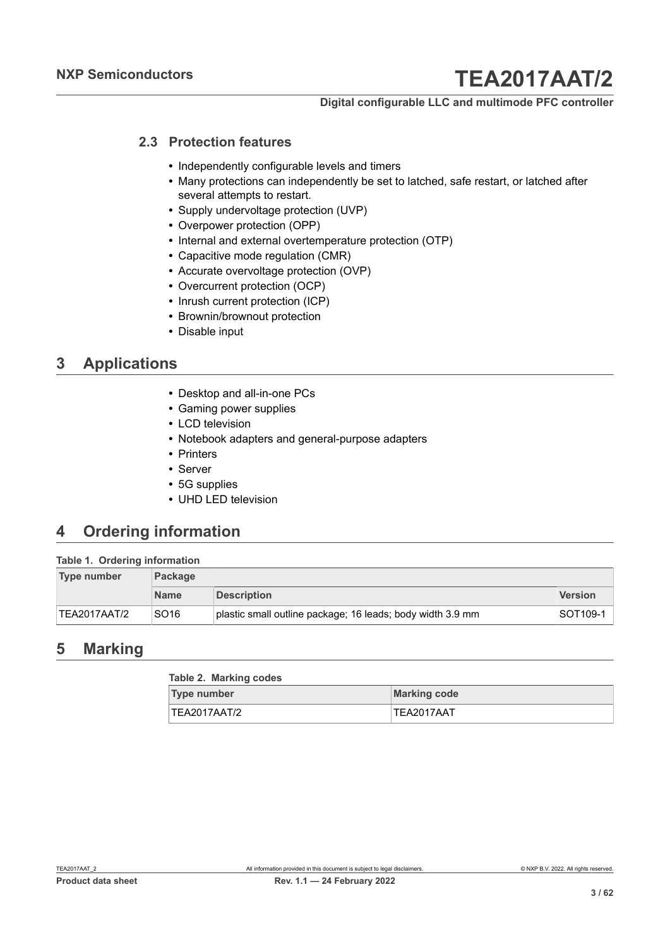#### **Digital configurable LLC and multimode PFC controller**

### **2.3 Protection features**

- <span id="page-2-0"></span>**•** Independently configurable levels and timers
- **•** Many protections can independently be set to latched, safe restart, or latched after several attempts to restart.
- **•** Supply undervoltage protection (UVP)
- **•** Overpower protection (OPP)
- **•** Internal and external overtemperature protection (OTP)
- **•** Capacitive mode regulation (CMR)
- **•** Accurate overvoltage protection (OVP)
- **•** Overcurrent protection (OCP)
- **•** Inrush current protection (ICP)
- **•** Brownin/brownout protection
- **•** Disable input

### <span id="page-2-1"></span>**3 Applications**

- **•** Desktop and all-in-one PCs
- **•** Gaming power supplies
- **•** LCD television
- **•** Notebook adapters and general-purpose adapters
- **•** Printers
- **•** Server
- **•** 5G supplies
- **•** UHD LED television

### <span id="page-2-2"></span>**4 Ordering information**

#### **Table 1. Ordering information**

| Type number  | <b>Package</b>   |                                                            |                |  |  |  |
|--------------|------------------|------------------------------------------------------------|----------------|--|--|--|
|              | <b>Name</b>      | <b>Description</b>                                         | <b>Version</b> |  |  |  |
| TEA2017AAT/2 | SO <sub>16</sub> | plastic small outline package; 16 leads; body width 3.9 mm | SOT109-1       |  |  |  |

### <span id="page-2-3"></span>**5 Marking**

| Table 2. Marking codes |                     |
|------------------------|---------------------|
| <b>Type number</b>     | <b>Marking code</b> |
| TEA2017AAT/2           | TEA2017AAT          |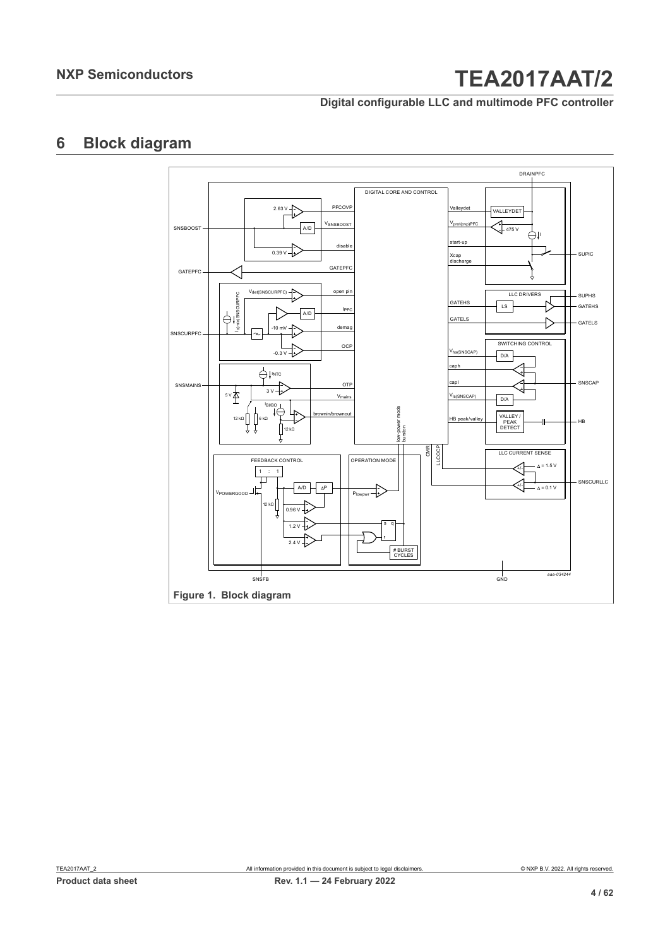### **Digital configurable LLC and multimode PFC controller**

### <span id="page-3-0"></span>**6 Block diagram**

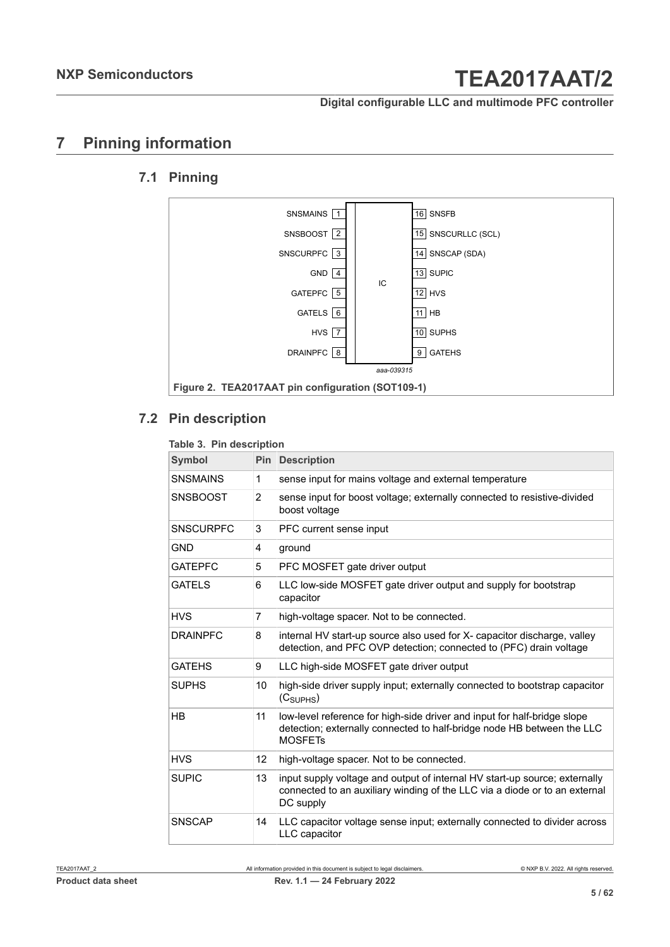### **Digital configurable LLC and multimode PFC controller**

### <span id="page-4-0"></span>**7 Pinning information**

### **7.1 Pinning**

<span id="page-4-1"></span>

### **7.2 Pin description**

#### <span id="page-4-2"></span>**Table 3. Pin description**

| <b>Symbol</b>    | Pin            | <b>Description</b>                                                                                                                                                    |
|------------------|----------------|-----------------------------------------------------------------------------------------------------------------------------------------------------------------------|
| <b>SNSMAINS</b>  | 1              | sense input for mains voltage and external temperature                                                                                                                |
| <b>SNSBOOST</b>  | $\overline{2}$ | sense input for boost voltage; externally connected to resistive-divided<br>boost voltage                                                                             |
| <b>SNSCURPFC</b> | 3              | PFC current sense input                                                                                                                                               |
| <b>GND</b>       | 4              | ground                                                                                                                                                                |
| <b>GATEPFC</b>   | 5              | PFC MOSFET gate driver output                                                                                                                                         |
| <b>GATELS</b>    | 6              | LLC low-side MOSFET gate driver output and supply for bootstrap<br>capacitor                                                                                          |
| <b>HVS</b>       | 7              | high-voltage spacer. Not to be connected.                                                                                                                             |
| <b>DRAINPFC</b>  | 8              | internal HV start-up source also used for X- capacitor discharge, valley<br>detection, and PFC OVP detection; connected to (PFC) drain voltage                        |
| <b>GATEHS</b>    | 9              | LLC high-side MOSFET gate driver output                                                                                                                               |
| <b>SUPHS</b>     | 10             | high-side driver supply input; externally connected to bootstrap capacitor<br>(C <sub>SUPHS</sub> )                                                                   |
| HB               | 11             | low-level reference for high-side driver and input for half-bridge slope<br>detection; externally connected to half-bridge node HB between the LLC<br><b>MOSFETs</b>  |
| <b>HVS</b>       | 12             | high-voltage spacer. Not to be connected.                                                                                                                             |
| <b>SUPIC</b>     | 13             | input supply voltage and output of internal HV start-up source; externally<br>connected to an auxiliary winding of the LLC via a diode or to an external<br>DC supply |
| <b>SNSCAP</b>    | 14             | LLC capacitor voltage sense input; externally connected to divider across<br>LLC capacitor                                                                            |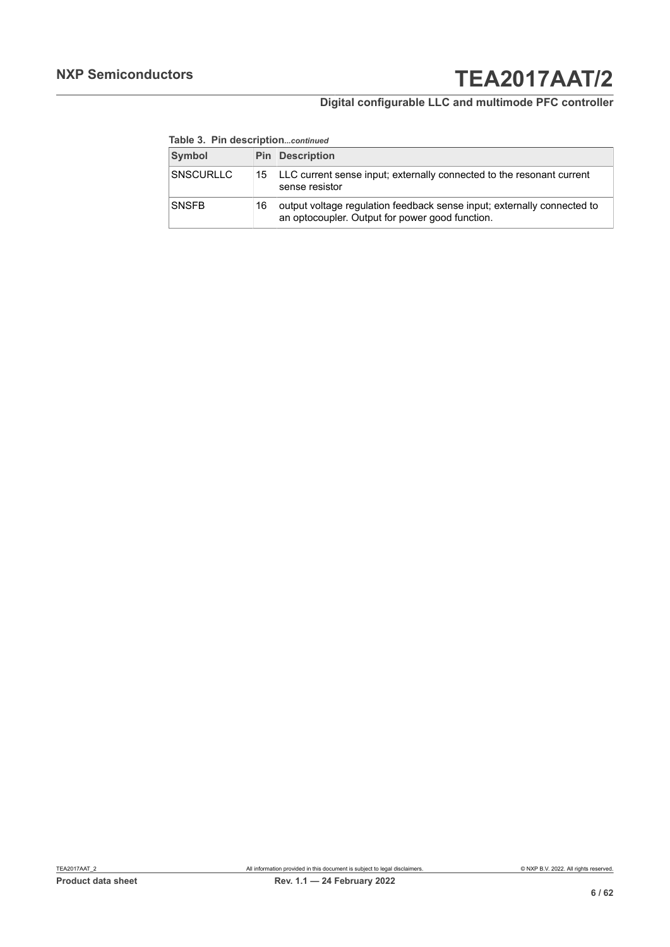### **Digital configurable LLC and multimode PFC controller**

#### **Table 3. Pin description***...continued*

| Symbol           |    | <b>Pin Description</b>                                                                                                     |
|------------------|----|----------------------------------------------------------------------------------------------------------------------------|
| <b>SNSCURLLC</b> | 15 | LLC current sense input; externally connected to the resonant current<br>sense resistor                                    |
| <b>SNSFB</b>     | 16 | output voltage regulation feedback sense input; externally connected to<br>an optocoupler. Output for power good function. |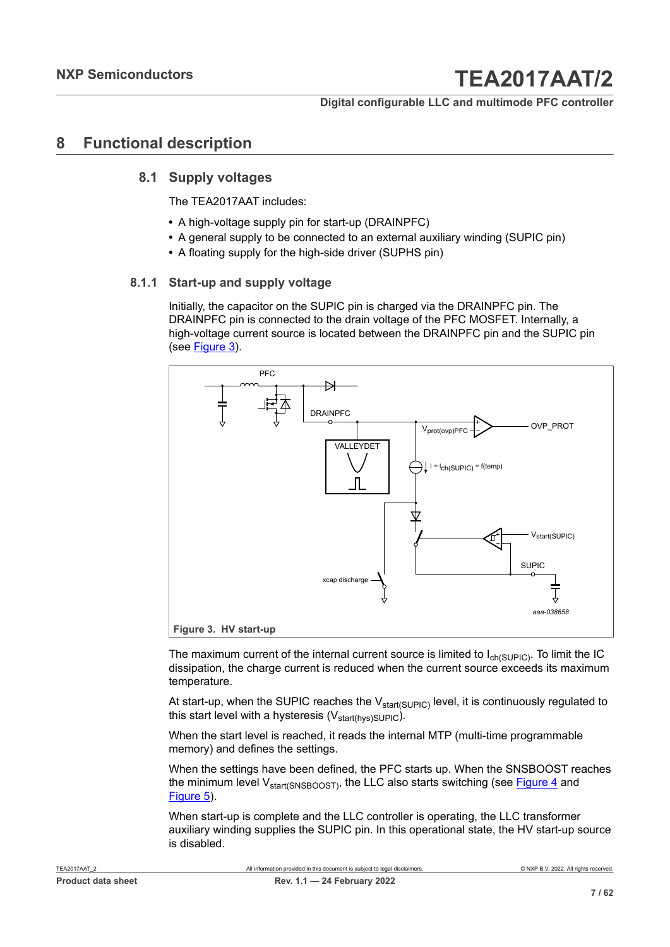### <span id="page-6-1"></span>**8 Functional description**

#### **8.1 Supply voltages**

<span id="page-6-2"></span>The TEA2017AAT includes:

- **•** A high-voltage supply pin for start-up (DRAINPFC)
- **•** A general supply to be connected to an external auxiliary winding (SUPIC pin)
- <span id="page-6-3"></span>**•** A floating supply for the high-side driver (SUPHS pin)

#### **8.1.1 Start-up and supply voltage**

Initially, the capacitor on the SUPIC pin is charged via the DRAINPFC pin. The DRAINPFC pin is connected to the drain voltage of the PFC MOSFET. Internally, a high-voltage current source is located between the DRAINPFC pin and the SUPIC pin (see [Figure 3\)](#page-6-0).

<span id="page-6-0"></span>

The maximum current of the internal current source is limited to  $I_{ch(SUPIC)}$ . To limit the IC dissipation, the charge current is reduced when the current source exceeds its maximum temperature.

At start-up, when the SUPIC reaches the  $V_{\text{start(SUPLC)}}$  level, it is continuously regulated to this start level with a hysteresis ( $V_{\text{start(hvs)SUPIC}}$ ).

When the start level is reached, it reads the internal MTP (multi-time programmable memory) and defines the settings.

When the settings have been defined, the PFC starts up. When the SNSBOOST reaches the minimum level  $V_{\text{start(SNSBOOST)}}$ , the LLC also starts switching (see [Figure 4](#page-7-0) and [Figure 5\)](#page-8-0).

When start-up is complete and the LLC controller is operating, the LLC transformer auxiliary winding supplies the SUPIC pin. In this operational state, the HV start-up source is disabled.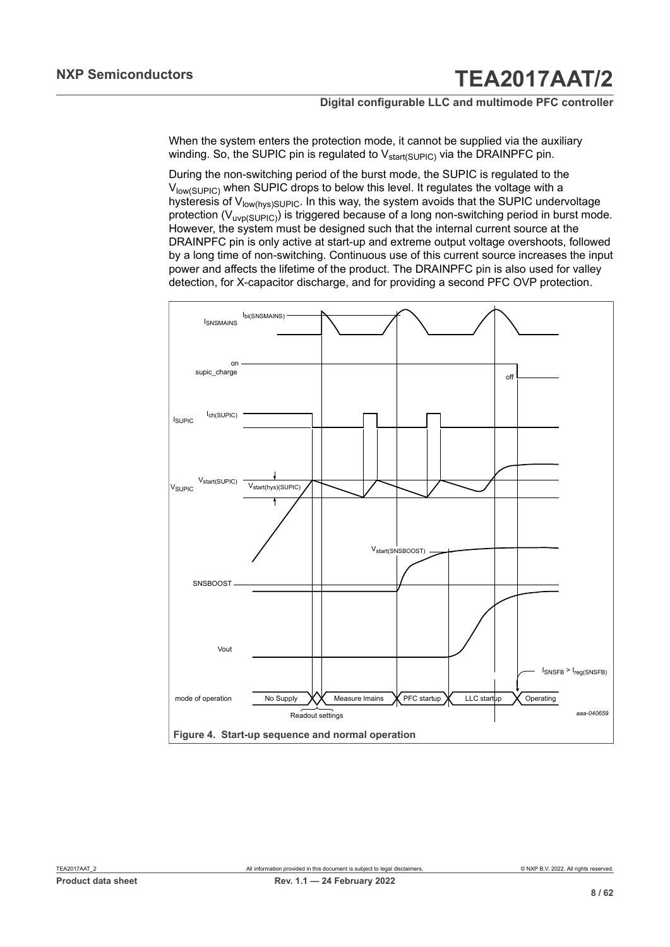When the system enters the protection mode, it cannot be supplied via the auxiliary winding. So, the SUPIC pin is regulated to  $V_{start(SUPIC)}$  via the DRAINPFC pin.

During the non-switching period of the burst mode, the SUPIC is regulated to the V<sub>low(SUPIC</sub>) when SUPIC drops to below this level. It regulates the voltage with a hysteresis of V<sub>low(hys)SUPIC</sub>. In this way, the system avoids that the SUPIC undervoltage protection ( $V_{\text{uvp}(S\cup PIC)}$ ) is triggered because of a long non-switching period in burst mode. However, the system must be designed such that the internal current source at the DRAINPFC pin is only active at start-up and extreme output voltage overshoots, followed by a long time of non-switching. Continuous use of this current source increases the input power and affects the lifetime of the product. The DRAINPFC pin is also used for valley detection, for X-capacitor discharge, and for providing a second PFC OVP protection.

<span id="page-7-0"></span>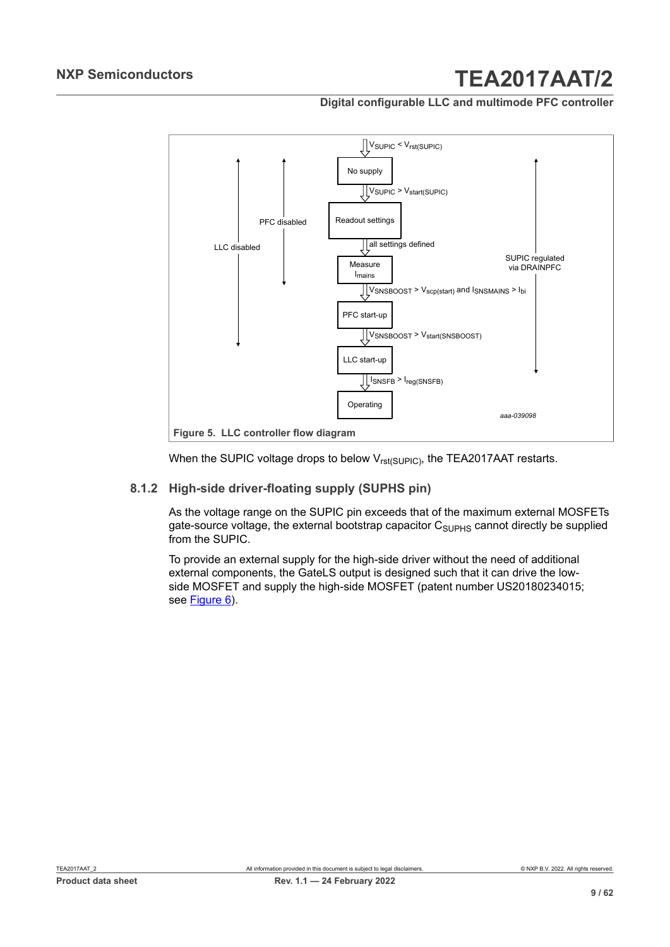**Digital configurable LLC and multimode PFC controller**

<span id="page-8-0"></span>

<span id="page-8-1"></span>When the SUPIC voltage drops to below  $V_{rst(SUPIC)}$ , the TEA2017AAT restarts.

#### **8.1.2 High-side driver-floating supply (SUPHS pin)**

As the voltage range on the SUPIC pin exceeds that of the maximum external MOSFETs gate-source voltage, the external bootstrap capacitor  $C_{\text{SUPHS}}$  cannot directly be supplied from the SUPIC.

To provide an external supply for the high-side driver without the need of additional external components, the GateLS output is designed such that it can drive the lowside MOSFET and supply the high-side MOSFET (patent number US20180234015; see [Figure 6\)](#page-9-0).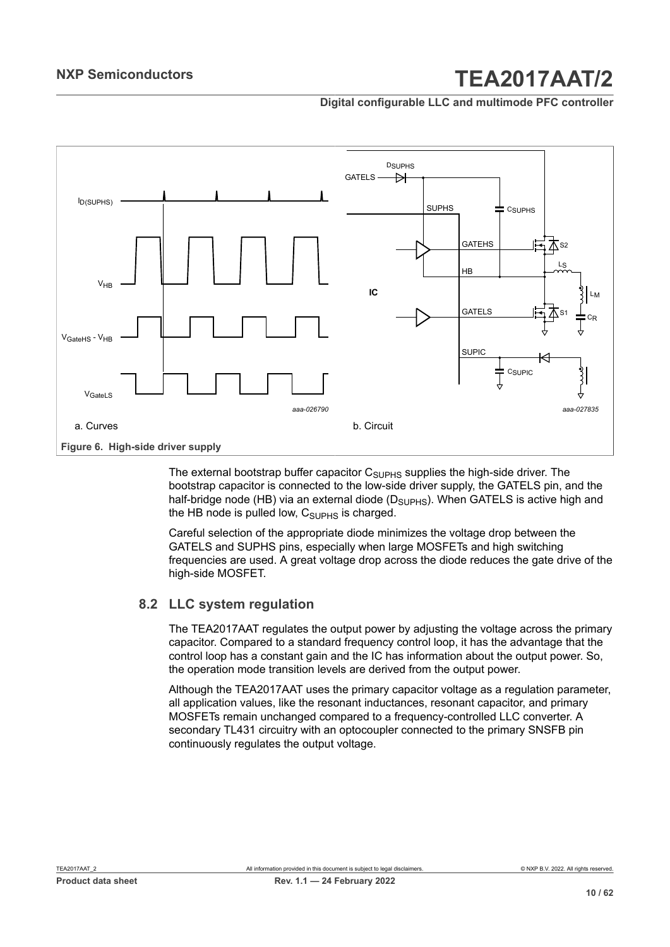**Digital configurable LLC and multimode PFC controller**



<span id="page-9-0"></span>The external bootstrap buffer capacitor  $C_{\text{SUPHS}}$  supplies the high-side driver. The bootstrap capacitor is connected to the low-side driver supply, the GATELS pin, and the half-bridge node (HB) via an external diode ( $D<sub>SUPHS</sub>$ ). When GATELS is active high and the HB node is pulled low,  $C_{\text{SUPHS}}$  is charged.

Careful selection of the appropriate diode minimizes the voltage drop between the GATELS and SUPHS pins, especially when large MOSFETs and high switching frequencies are used. A great voltage drop across the diode reduces the gate drive of the high-side MOSFET.

### **8.2 LLC system regulation**

<span id="page-9-1"></span>The TEA2017AAT regulates the output power by adjusting the voltage across the primary capacitor. Compared to a standard frequency control loop, it has the advantage that the control loop has a constant gain and the IC has information about the output power. So, the operation mode transition levels are derived from the output power.

Although the TEA2017AAT uses the primary capacitor voltage as a regulation parameter, all application values, like the resonant inductances, resonant capacitor, and primary MOSFETs remain unchanged compared to a frequency-controlled LLC converter. A secondary TL431 circuitry with an optocoupler connected to the primary SNSFB pin continuously regulates the output voltage.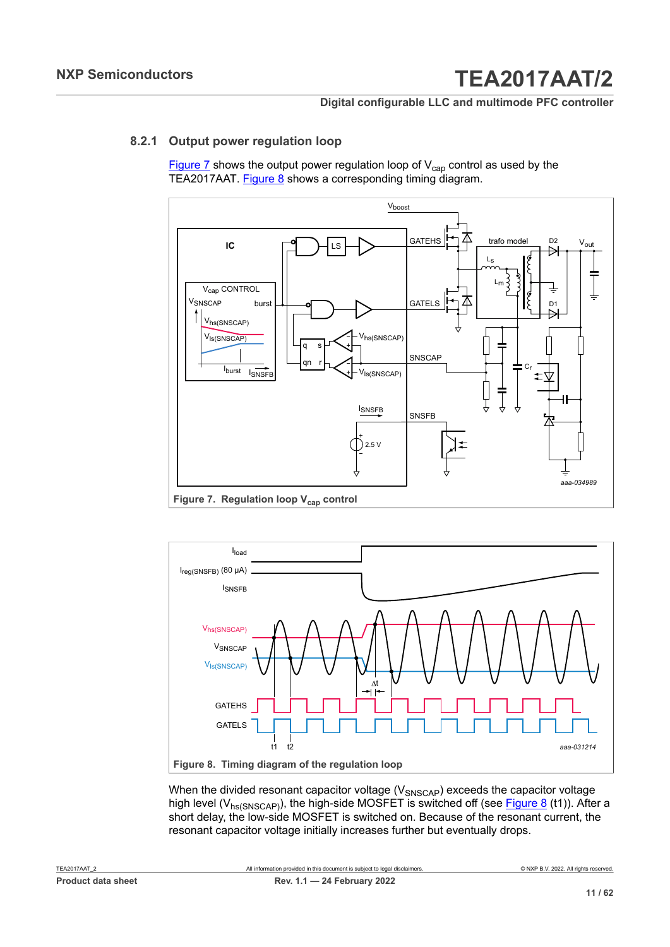#### **Digital configurable LLC and multimode PFC controller**

#### **8.2.1 Output power regulation loop**

<span id="page-10-2"></span>[Figure 7](#page-10-0) shows the output power regulation loop of  $V_{cap}$  control as used by the TEA2017AAT. [Figure 8](#page-10-1) shows a corresponding timing diagram.

<span id="page-10-0"></span>

**Figure 7. Regulation loop Vcap control**

<span id="page-10-1"></span>

When the divided resonant capacitor voltage  $(V_{SNSCAP})$  exceeds the capacitor voltage high level ( $V_{hs(SNSCAP)}$ ), the high-side MOSFET is switched off (see [Figure 8](#page-10-1) (t1)). After a short delay, the low-side MOSFET is switched on. Because of the resonant current, the resonant capacitor voltage initially increases further but eventually drops.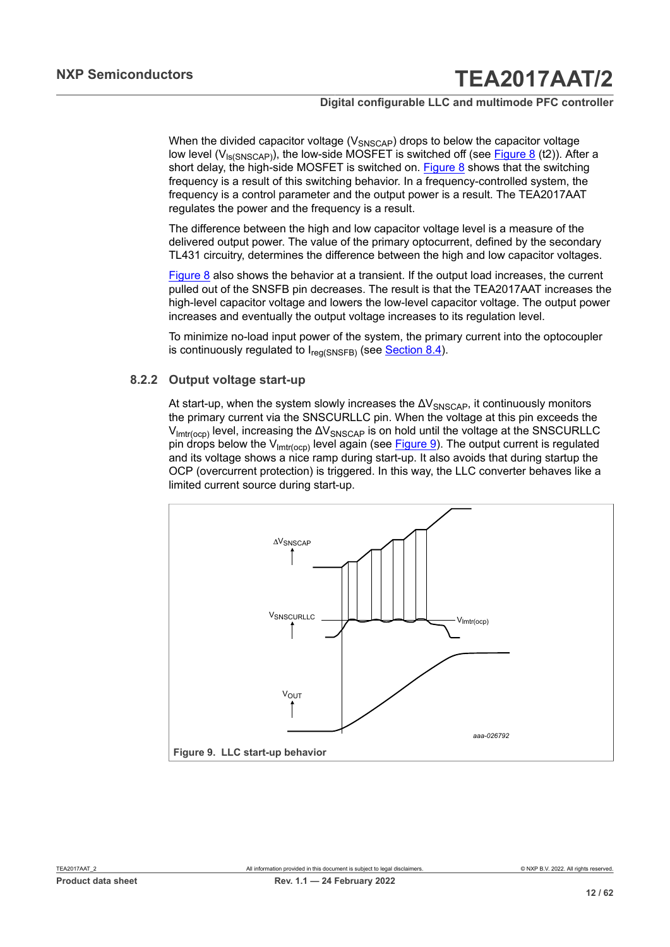#### **Digital configurable LLC and multimode PFC controller**

When the divided capacitor voltage ( $V_{SNSCAP}$ ) drops to below the capacitor voltage low level  $(V_{ls(SNSCAP)})$ , the low-side MOSFET is switched off (see [Figure 8](#page-10-1) (t2)). After a short delay, the high-side MOSFET is switched on. [Figure 8](#page-10-1) shows that the switching frequency is a result of this switching behavior. In a frequency-controlled system, the frequency is a control parameter and the output power is a result. The TEA2017AAT regulates the power and the frequency is a result.

The difference between the high and low capacitor voltage level is a measure of the delivered output power. The value of the primary optocurrent, defined by the secondary TL431 circuitry, determines the difference between the high and low capacitor voltages.

[Figure 8](#page-10-1) also shows the behavior at a transient. If the output load increases, the current pulled out of the SNSFB pin decreases. The result is that the TEA2017AAT increases the high-level capacitor voltage and lowers the low-level capacitor voltage. The output power increases and eventually the output voltage increases to its regulation level.

To minimize no-load input power of the system, the primary current into the optocoupler is continuously regulated to  $I_{\text{req}(\text{SNSFB})}$  (see [Section 8.4](#page-19-0)).

#### **8.2.2 Output voltage start-up**

<span id="page-11-1"></span>At start-up, when the system slowly increases the  $\Delta V_{SNSCAP}$ , it continuously monitors the primary current via the SNSCURLLC pin. When the voltage at this pin exceeds the  $V_{\text{imtr(ocp)}}$  level, increasing the  $\Delta V_{\text{SNSCAP}}$  is on hold until the voltage at the SNSCURLLC pin drops below the  $V_{\text{lmtr}(\text{ocp})}$  level again (see [Figure 9\)](#page-11-0). The output current is regulated and its voltage shows a nice ramp during start-up. It also avoids that during startup the OCP (overcurrent protection) is triggered. In this way, the LLC converter behaves like a limited current source during start-up.

<span id="page-11-0"></span>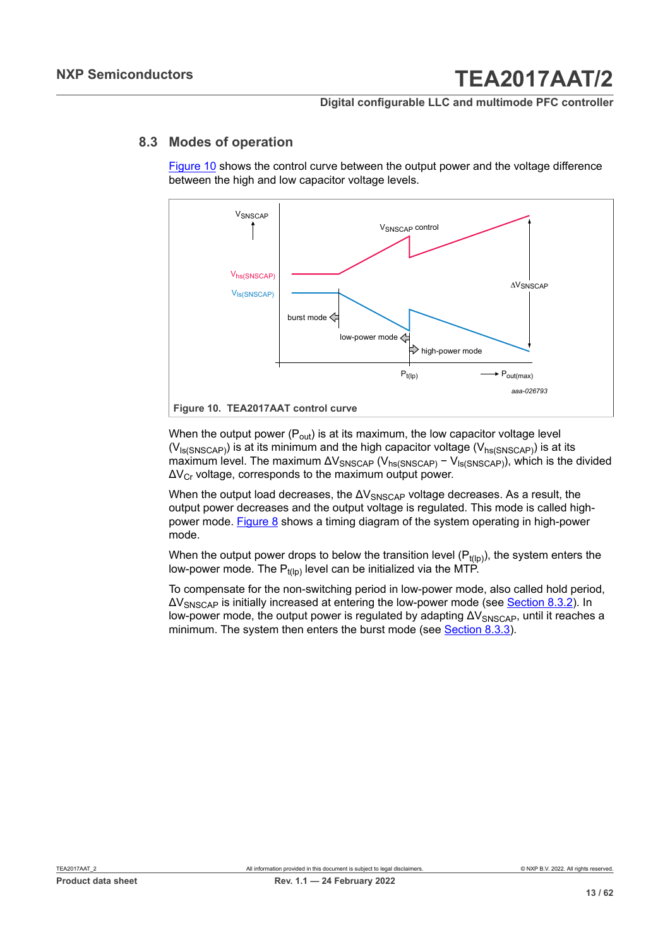#### **Digital configurable LLC and multimode PFC controller**

#### **8.3 Modes of operation**

<span id="page-12-1"></span>[Figure 10](#page-12-0) shows the control curve between the output power and the voltage difference between the high and low capacitor voltage levels.

<span id="page-12-0"></span>

When the output power  $(P_{out})$  is at its maximum, the low capacitor voltage level  $(V<sub>ls(SNSCAP)</sub>)$  is at its minimum and the high capacitor voltage  $(V<sub>hs(SNSCAP)</sub>)$  is at its maximum level. The maximum  $\Delta V_{SNSCAP}$  ( $V_{hs(SNSCAP)}$  –  $V_{ls(SNSCAP)}$ ), which is the divided  $\Delta V_{Cr}$  voltage, corresponds to the maximum output power.

When the output load decreases, the  $\Delta V_{\text{SNSCAP}}$  voltage decreases. As a result, the output power decreases and the output voltage is regulated. This mode is called highpower mode. [Figure 8](#page-10-1) shows a timing diagram of the system operating in high-power mode.

When the output power drops to below the transition level  $(P_{t(lp)})$ , the system enters the low-power mode. The  $P_{t(1p)}$  level can be initialized via the MTP.

To compensate for the non-switching period in low-power mode, also called hold period, ΔVSNSCAP is initially increased at entering the low-power mode (see [Section 8.3.2](#page-14-0)). In low-power mode, the output power is regulated by adapting  $\Delta V_{SNSCAP}$ , until it reaches a minimum. The system then enters the burst mode (see [Section 8.3.3](#page-16-0)).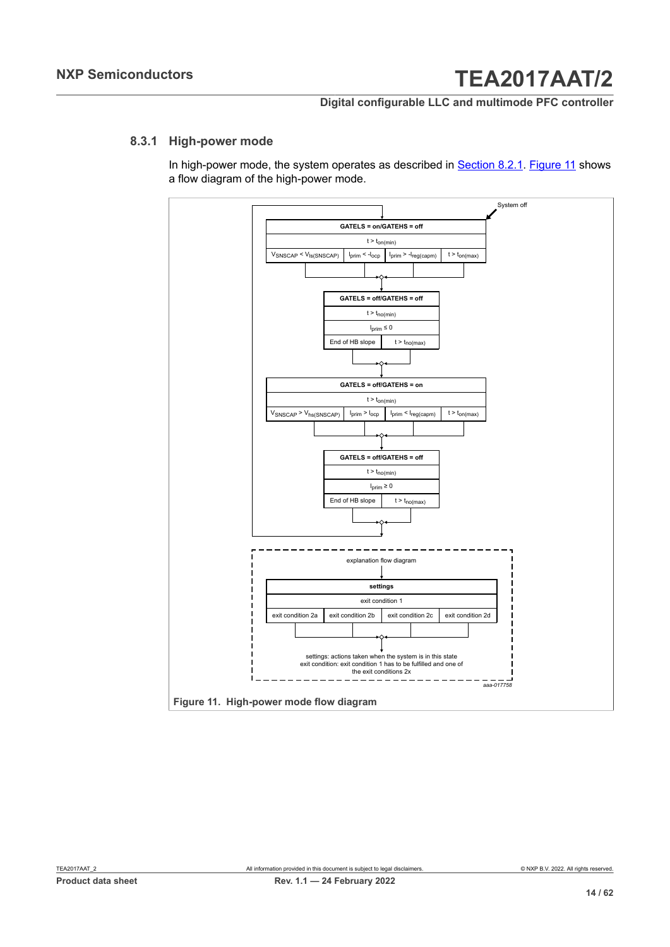#### **Digital configurable LLC and multimode PFC controller**

#### **8.3.1 High-power mode**

<span id="page-13-1"></span>In high-power mode, the system operates as described in **[Section 8.2.1.](#page-10-2) [Figure](#page-13-0) 11** shows a flow diagram of the high-power mode.

<span id="page-13-0"></span>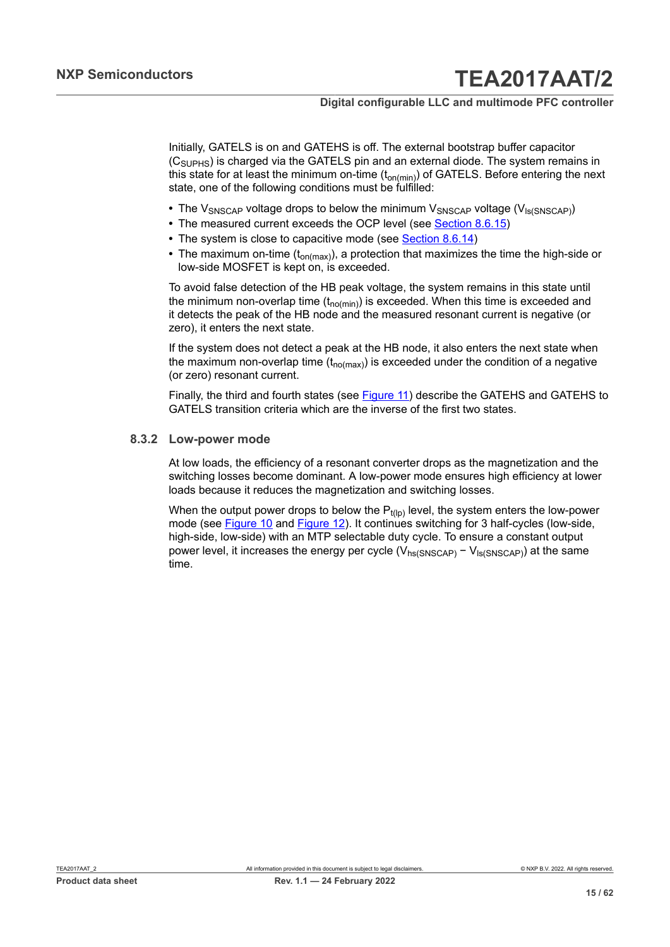Initially, GATELS is on and GATEHS is off. The external bootstrap buffer capacitor  $(C<sub>SUPHS</sub>)$  is charged via the GATELS pin and an external diode. The system remains in this state for at least the minimum on-time  $(t_{on(min)})$  of GATELS. Before entering the next state, one of the following conditions must be fulfilled:

- The V<sub>SNSCAP</sub> voltage drops to below the minimum V<sub>SNSCAP</sub> voltage (V<sub>Is(SNSCAP)</sub>)
- The measured current exceeds the OCP level (see [Section 8.6.15](#page-33-0))
- The system is close to capacitive mode (see **Section 8.6.14)**
- The maximum on-time (t<sub>on(max)</sub>), a protection that maximizes the time the high-side or low-side MOSFET is kept on, is exceeded.

To avoid false detection of the HB peak voltage, the system remains in this state until the minimum non-overlap time  $(t_{no(min)})$  is exceeded. When this time is exceeded and it detects the peak of the HB node and the measured resonant current is negative (or zero), it enters the next state.

If the system does not detect a peak at the HB node, it also enters the next state when the maximum non-overlap time  $(t_{no(max)})$  is exceeded under the condition of a negative (or zero) resonant current.

Finally, the third and fourth states (see [Figure](#page-13-0) 11) describe the GATEHS and GATEHS to GATELS transition criteria which are the inverse of the first two states.

#### **8.3.2 Low-power mode**

<span id="page-14-0"></span>At low loads, the efficiency of a resonant converter drops as the magnetization and the switching losses become dominant. A low-power mode ensures high efficiency at lower loads because it reduces the magnetization and switching losses.

When the output power drops to below the  $P_{t(1p)}$  level, the system enters the low-power mode (see **Figure 10** and **Figure 12**). It continues switching for 3 half-cycles (low-side, high-side, low-side) with an MTP selectable duty cycle. To ensure a constant output power level, it increases the energy per cycle ( $V_{hs(SNSCAP)} - V_{ls(SNSCAP)}$ ) at the same time.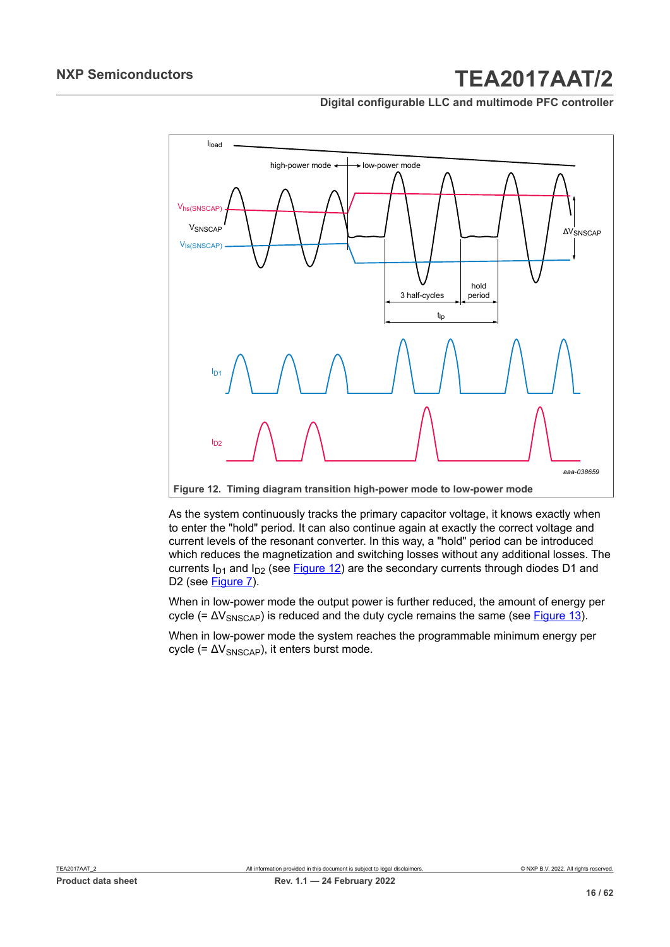**Digital configurable LLC and multimode PFC controller**

<span id="page-15-0"></span>

As the system continuously tracks the primary capacitor voltage, it knows exactly when to enter the "hold" period. It can also continue again at exactly the correct voltage and current levels of the resonant converter. In this way, a "hold" period can be introduced which reduces the magnetization and switching losses without any additional losses. The currents  $I_{D1}$  and  $I_{D2}$  (see [Figure 12](#page-15-0)) are the secondary currents through diodes D1 and D2 (see [Figure 7](#page-10-0)).

When in low-power mode the output power is further reduced, the amount of energy per cycle (=  $\Delta V_{SNSCAP}$ ) is reduced and the duty cycle remains the same (see [Figure 13\)](#page-16-1).

When in low-power mode the system reaches the programmable minimum energy per cycle (=  $\Delta V_{SNSCAP}$ ), it enters burst mode.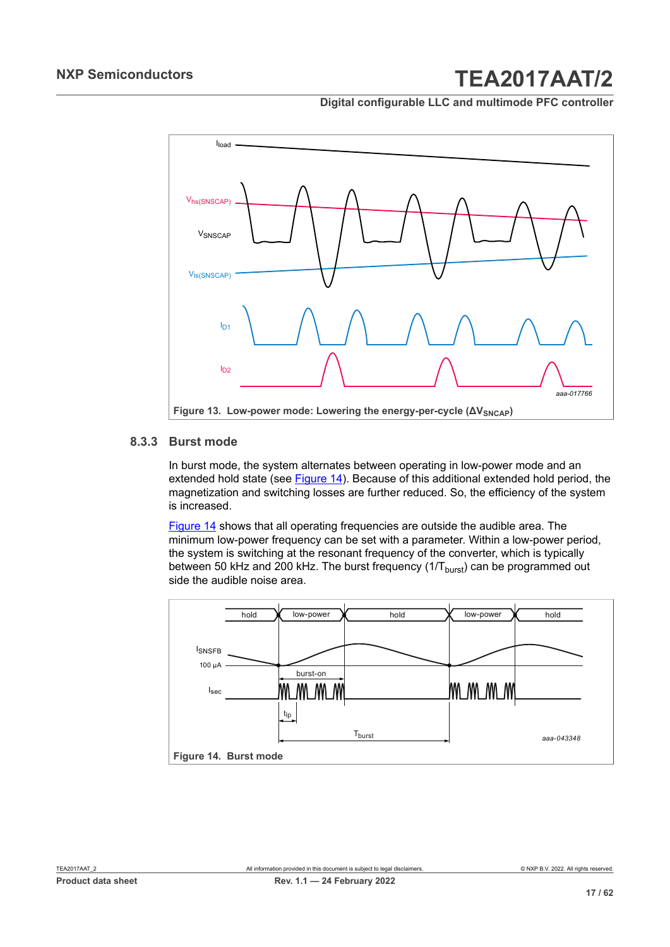**Digital configurable LLC and multimode PFC controller**

<span id="page-16-1"></span>

#### **8.3.3 Burst mode**

<span id="page-16-0"></span>In burst mode, the system alternates between operating in low-power mode and an extended hold state (see [Figure 14](#page-16-2)). Because of this additional extended hold period, the magnetization and switching losses are further reduced. So, the efficiency of the system is increased.

[Figure 14](#page-16-2) shows that all operating frequencies are outside the audible area. The minimum low-power frequency can be set with a parameter. Within a low-power period, the system is switching at the resonant frequency of the converter, which is typically between 50 kHz and 200 kHz. The burst frequency  $(1/T_{burst})$  can be programmed out side the audible noise area.

<span id="page-16-2"></span>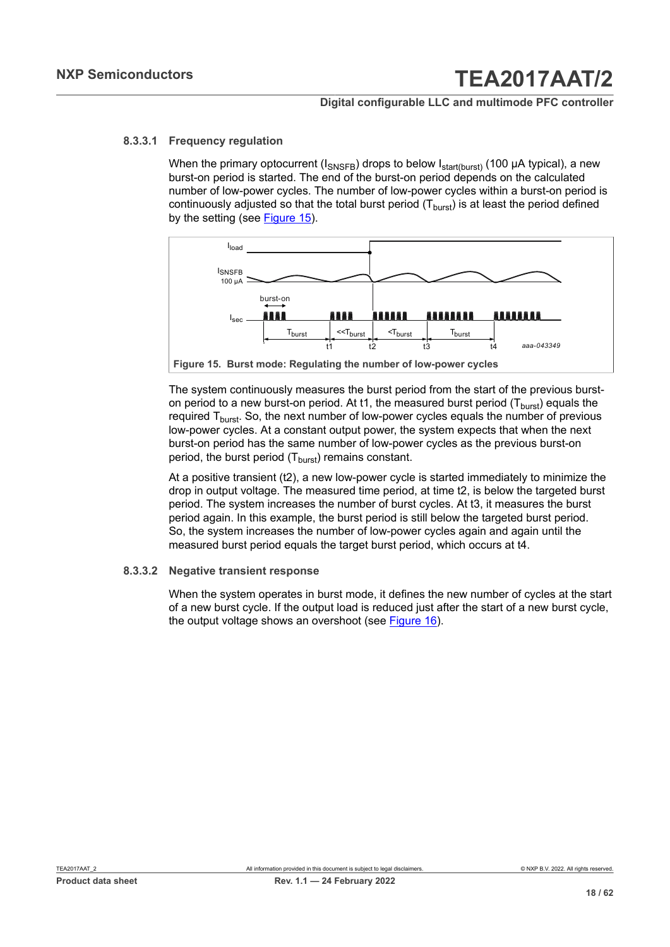#### **8.3.3.1 Frequency regulation**

<span id="page-17-1"></span>When the primary optocurrent ( $I_{SNSFB}$ ) drops to below  $I_{start(burst)}$  (100 µA typical), a new burst-on period is started. The end of the burst-on period depends on the calculated number of low-power cycles. The number of low-power cycles within a burst-on period is continuously adjusted so that the total burst period  $(T<sub>burst</sub>)$  is at least the period defined by the setting (see [Figure 15\)](#page-17-0).

<span id="page-17-0"></span>

The system continuously measures the burst period from the start of the previous burston period to a new burst-on period. At t1, the measured burst period  $(T<sub>burst</sub>)$  equals the required  $T<sub>burst</sub>$ . So, the next number of low-power cycles equals the number of previous low-power cycles. At a constant output power, the system expects that when the next burst-on period has the same number of low-power cycles as the previous burst-on period, the burst period  $(T<sub>burst</sub>)$  remains constant.

At a positive transient (t2), a new low-power cycle is started immediately to minimize the drop in output voltage. The measured time period, at time t2, is below the targeted burst period. The system increases the number of burst cycles. At t3, it measures the burst period again. In this example, the burst period is still below the targeted burst period. So, the system increases the number of low-power cycles again and again until the measured burst period equals the target burst period, which occurs at t4.

#### **8.3.3.2 Negative transient response**

<span id="page-17-2"></span>When the system operates in burst mode, it defines the new number of cycles at the start of a new burst cycle. If the output load is reduced just after the start of a new burst cycle, the output voltage shows an overshoot (see [Figure 16](#page-18-0)).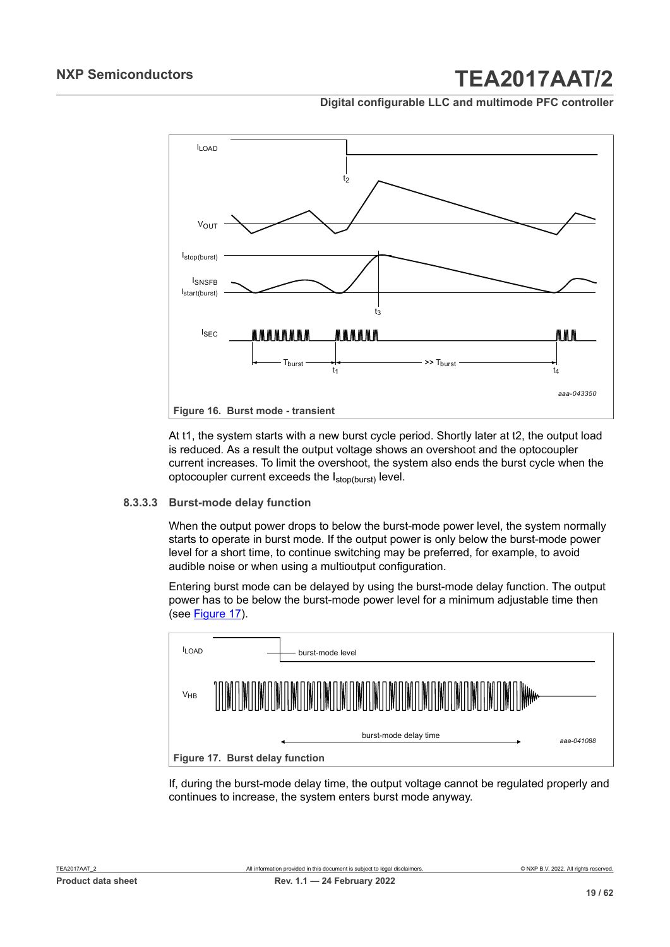#### **Digital configurable LLC and multimode PFC controller**

<span id="page-18-0"></span>

At t1, the system starts with a new burst cycle period. Shortly later at t2, the output load is reduced. As a result the output voltage shows an overshoot and the optocoupler current increases. To limit the overshoot, the system also ends the burst cycle when the optocoupler current exceeds the Istop(burst) level.

#### **8.3.3.3 Burst-mode delay function**

<span id="page-18-2"></span>When the output power drops to below the burst-mode power level, the system normally starts to operate in burst mode. If the output power is only below the burst-mode power level for a short time, to continue switching may be preferred, for example, to avoid audible noise or when using a multioutput configuration.

Entering burst mode can be delayed by using the burst-mode delay function. The output power has to be below the burst-mode power level for a minimum adjustable time then (see [Figure 17](#page-18-1)).

<span id="page-18-1"></span>

If, during the burst-mode delay time, the output voltage cannot be regulated properly and continues to increase, the system enters burst mode anyway.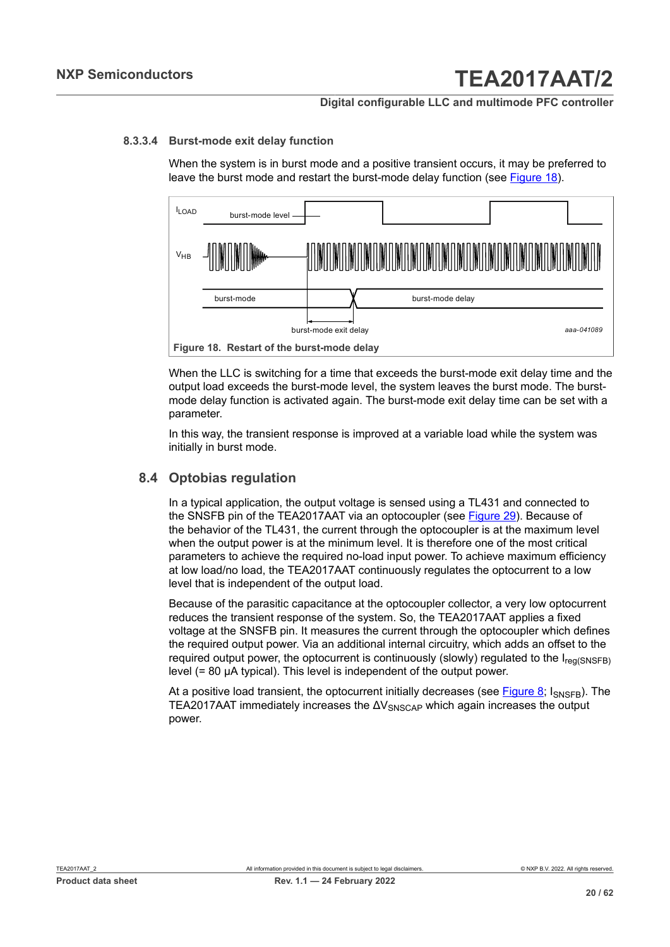#### **Digital configurable LLC and multimode PFC controller**

#### **8.3.3.4 Burst-mode exit delay function**

<span id="page-19-2"></span>When the system is in burst mode and a positive transient occurs, it may be preferred to leave the burst mode and restart the burst-mode delay function (see [Figure 18\)](#page-19-1).

<span id="page-19-1"></span>

When the LLC is switching for a time that exceeds the burst-mode exit delay time and the output load exceeds the burst-mode level, the system leaves the burst mode. The burstmode delay function is activated again. The burst-mode exit delay time can be set with a parameter.

In this way, the transient response is improved at a variable load while the system was initially in burst mode.

### **8.4 Optobias regulation**

<span id="page-19-0"></span>In a typical application, the output voltage is sensed using a TL431 and connected to the SNSFB pin of the TEA2017AAT via an optocoupler (see [Figure 29\)](#page-55-0). Because of the behavior of the TL431, the current through the optocoupler is at the maximum level when the output power is at the minimum level. It is therefore one of the most critical parameters to achieve the required no-load input power. To achieve maximum efficiency at low load/no load, the TEA2017AAT continuously regulates the optocurrent to a low level that is independent of the output load.

Because of the parasitic capacitance at the optocoupler collector, a very low optocurrent reduces the transient response of the system. So, the TEA2017AAT applies a fixed voltage at the SNSFB pin. It measures the current through the optocoupler which defines the required output power. Via an additional internal circuitry, which adds an offset to the required output power, the optocurrent is continuously (slowly) regulated to the  $I_{\text{real(SNSFB)}}$ level (= 80 μA typical). This level is independent of the output power.

At a positive load transient, the optocurrent initially decreases (see [Figure 8](#page-10-1);  $I_{\text{SNSFR}}$ ). The TEA2017AAT immediately increases the  $\Delta V_{SNSCAP}$  which again increases the output power.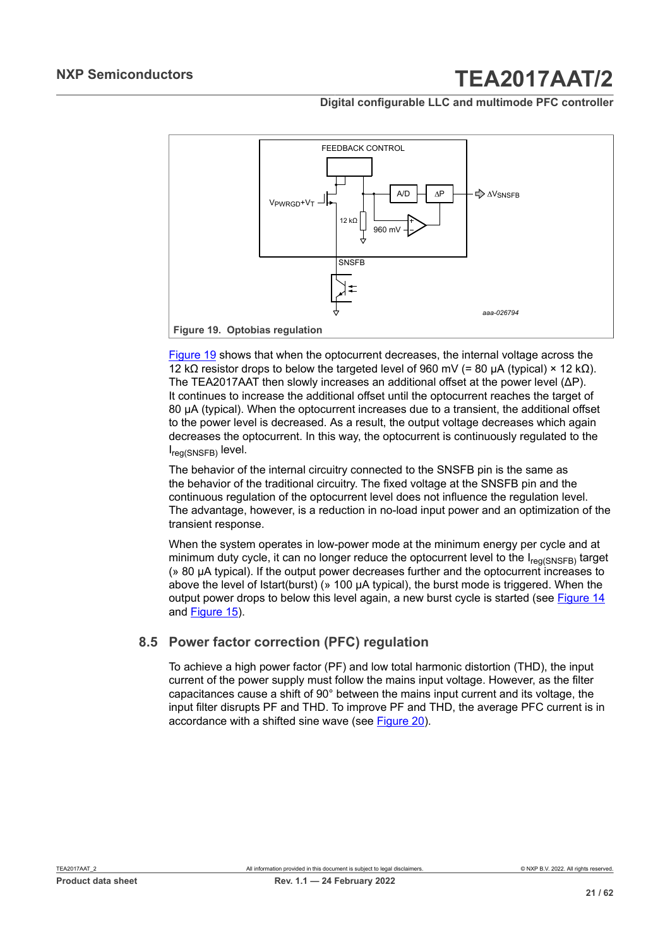**Digital configurable LLC and multimode PFC controller**

<span id="page-20-0"></span>

[Figure 19](#page-20-0) shows that when the optocurrent decreases, the internal voltage across the 12 kΩ resistor drops to below the targeted level of 960 mV (= 80 μA (typical) × 12 kΩ). The TEA2017AAT then slowly increases an additional offset at the power level (ΔP). It continues to increase the additional offset until the optocurrent reaches the target of 80 μA (typical). When the optocurrent increases due to a transient, the additional offset to the power level is decreased. As a result, the output voltage decreases which again decreases the optocurrent. In this way, the optocurrent is continuously regulated to the I<sub>reg(SNSFB)</sub> level.

The behavior of the internal circuitry connected to the SNSFB pin is the same as the behavior of the traditional circuitry. The fixed voltage at the SNSFB pin and the continuous regulation of the optocurrent level does not influence the regulation level. The advantage, however, is a reduction in no-load input power and an optimization of the transient response.

When the system operates in low-power mode at the minimum energy per cycle and at minimum duty cycle, it can no longer reduce the optocurrent level to the  $I_{\text{rea(SNSFB)}}$  target (» 80 μA typical). If the output power decreases further and the optocurrent increases to above the level of Istart(burst) (» 100 μA typical), the burst mode is triggered. When the output power drops to below this level again, a new burst cycle is started (see [Figure 14](#page-16-2) and [Figure 15\)](#page-17-0).

### **8.5 Power factor correction (PFC) regulation**

<span id="page-20-1"></span>To achieve a high power factor (PF) and low total harmonic distortion (THD), the input current of the power supply must follow the mains input voltage. However, as the filter capacitances cause a shift of 90° between the mains input current and its voltage, the input filter disrupts PF and THD. To improve PF and THD, the average PFC current is in accordance with a shifted sine wave (see [Figure 20](#page-21-0)).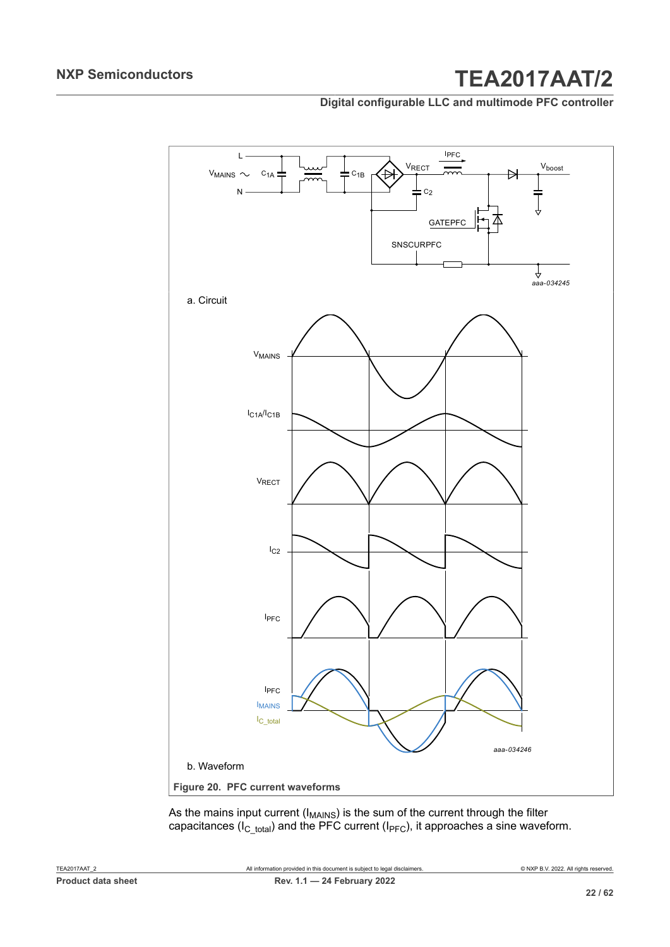#### **Digital configurable LLC and multimode PFC controller**



<span id="page-21-0"></span>As the mains input current (I $_{\sf MANS}$ ) is the sum of the current through the filter capacitances (I<sub>C\_total</sub>) and the PFC current (I<sub>PFC</sub>), it approaches a sine waveform.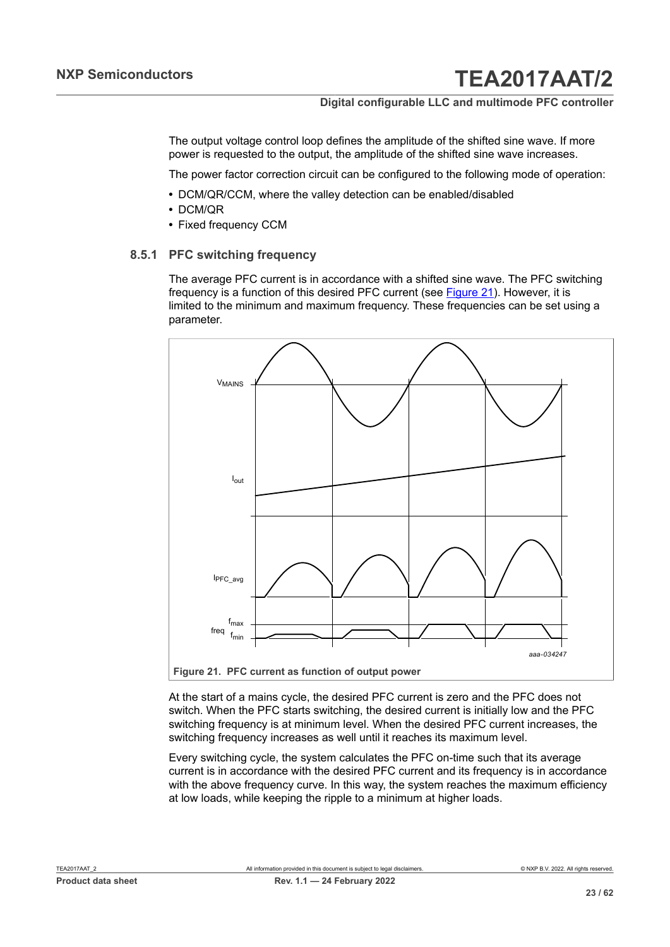### **Digital configurable LLC and multimode PFC controller**

The output voltage control loop defines the amplitude of the shifted sine wave. If more power is requested to the output, the amplitude of the shifted sine wave increases.

The power factor correction circuit can be configured to the following mode of operation:

- **•** DCM/QR/CCM, where the valley detection can be enabled/disabled
- **•** DCM/QR
- <span id="page-22-1"></span>**•** Fixed frequency CCM

#### **8.5.1 PFC switching frequency**

The average PFC current is in accordance with a shifted sine wave. The PFC switching frequency is a function of this desired PFC current (see [Figure 21\)](#page-22-0). However, it is limited to the minimum and maximum frequency. These frequencies can be set using a parameter.

<span id="page-22-0"></span>

At the start of a mains cycle, the desired PFC current is zero and the PFC does not

switch. When the PFC starts switching, the desired current is initially low and the PFC switching frequency is at minimum level. When the desired PFC current increases, the switching frequency increases as well until it reaches its maximum level.

Every switching cycle, the system calculates the PFC on-time such that its average current is in accordance with the desired PFC current and its frequency is in accordance with the above frequency curve. In this way, the system reaches the maximum efficiency at low loads, while keeping the ripple to a minimum at higher loads.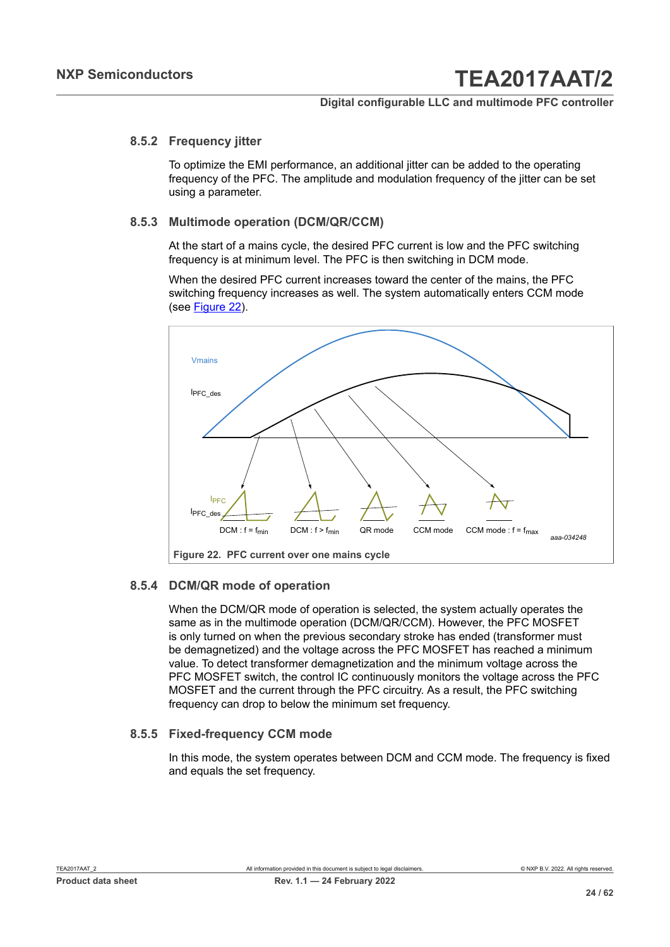#### **8.5.2 Frequency jitter**

<span id="page-23-1"></span>To optimize the EMI performance, an additional jitter can be added to the operating frequency of the PFC. The amplitude and modulation frequency of the jitter can be set using a parameter.

#### **8.5.3 Multimode operation (DCM/QR/CCM)**

<span id="page-23-2"></span>At the start of a mains cycle, the desired PFC current is low and the PFC switching frequency is at minimum level. The PFC is then switching in DCM mode.

When the desired PFC current increases toward the center of the mains, the PFC switching frequency increases as well. The system automatically enters CCM mode (see [Figure 22](#page-23-0)).

<span id="page-23-0"></span>

#### **8.5.4 DCM/QR mode of operation**

<span id="page-23-3"></span>When the DCM/QR mode of operation is selected, the system actually operates the same as in the multimode operation (DCM/QR/CCM). However, the PFC MOSFET is only turned on when the previous secondary stroke has ended (transformer must be demagnetized) and the voltage across the PFC MOSFET has reached a minimum value. To detect transformer demagnetization and the minimum voltage across the PFC MOSFET switch, the control IC continuously monitors the voltage across the PFC MOSFET and the current through the PFC circuitry. As a result, the PFC switching frequency can drop to below the minimum set frequency.

#### **8.5.5 Fixed-frequency CCM mode**

<span id="page-23-4"></span>In this mode, the system operates between DCM and CCM mode. The frequency is fixed and equals the set frequency.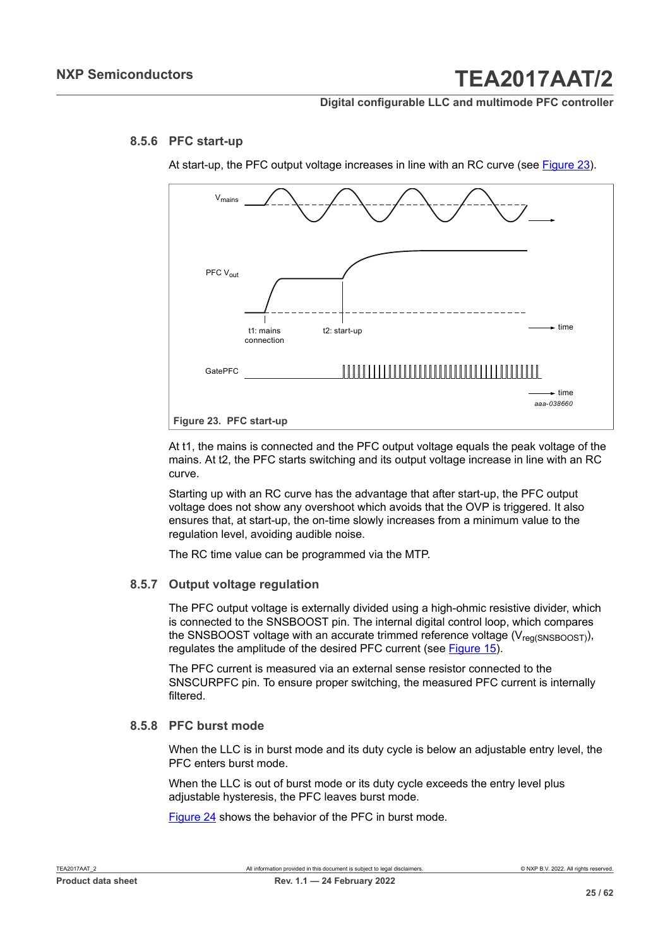#### **8.5.6 PFC start-up**

<span id="page-24-1"></span>At start-up, the PFC output voltage increases in line with an RC curve (see [Figure 23](#page-24-0)).

<span id="page-24-0"></span>

At t1, the mains is connected and the PFC output voltage equals the peak voltage of the mains. At t2, the PFC starts switching and its output voltage increase in line with an RC curve.

Starting up with an RC curve has the advantage that after start-up, the PFC output voltage does not show any overshoot which avoids that the OVP is triggered. It also ensures that, at start-up, the on-time slowly increases from a minimum value to the regulation level, avoiding audible noise.

<span id="page-24-2"></span>The RC time value can be programmed via the MTP.

#### **8.5.7 Output voltage regulation**

The PFC output voltage is externally divided using a high-ohmic resistive divider, which is connected to the SNSBOOST pin. The internal digital control loop, which compares the SNSBOOST voltage with an accurate trimmed reference voltage  $(V_{\text{rea(SNSBOOST)}})$ , regulates the amplitude of the desired PFC current (see [Figure 15](#page-17-0)).

The PFC current is measured via an external sense resistor connected to the SNSCURPFC pin. To ensure proper switching, the measured PFC current is internally filtered.

#### **8.5.8 PFC burst mode**

<span id="page-24-3"></span>When the LLC is in burst mode and its duty cycle is below an adjustable entry level, the PFC enters burst mode.

When the LLC is out of burst mode or its duty cycle exceeds the entry level plus adjustable hysteresis, the PFC leaves burst mode.

[Figure 24](#page-25-0) shows the behavior of the PFC in burst mode.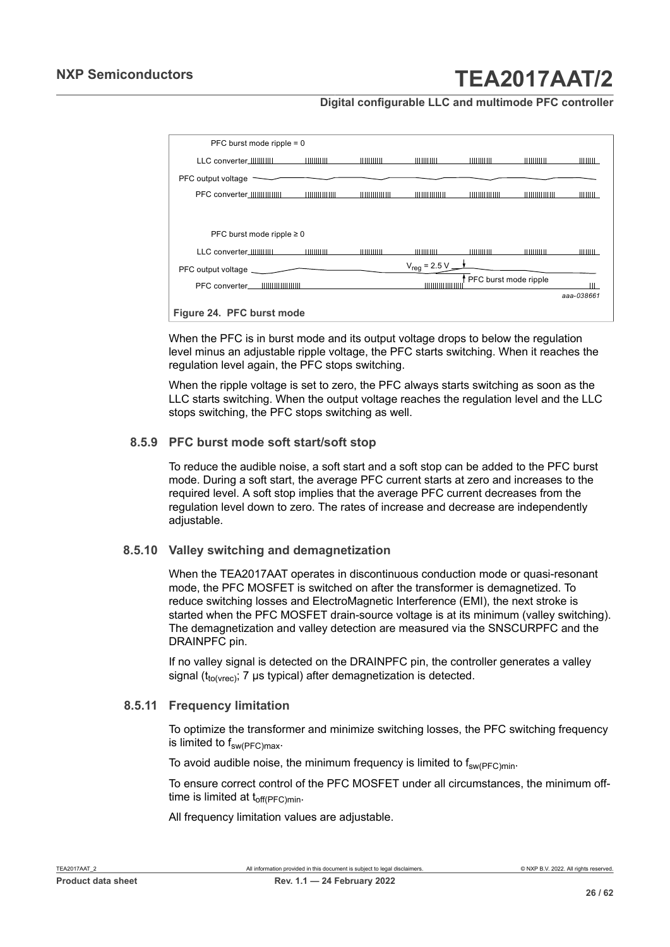**Digital configurable LLC and multimode PFC controller**

<span id="page-25-0"></span>

| PFC burst mode ripple $= 0$        |                                                                                                                                                                                                                                                                                                                     |              |                   |                       |             |            |
|------------------------------------|---------------------------------------------------------------------------------------------------------------------------------------------------------------------------------------------------------------------------------------------------------------------------------------------------------------------|--------------|-------------------|-----------------------|-------------|------------|
| LLC converter_IIIIIIIIIIIII        | 11111111111                                                                                                                                                                                                                                                                                                         | 11111111111  | 11111111111       | 11111111111           | 11111111111 | ,,,,,,,,,  |
| PFC output voltage -               |                                                                                                                                                                                                                                                                                                                     |              |                   |                       |             |            |
| PFC converter_IIIIIIIIIIIIIIIII    | $\frac{1}{2}$                                                                                                                                                                                                                                                                                                       |              | $\frac{1}{2}$     | $\frac{1}{2}$         |             | 11111111   |
|                                    |                                                                                                                                                                                                                                                                                                                     |              |                   |                       |             |            |
| PFC burst mode ripple $\geq 0$     |                                                                                                                                                                                                                                                                                                                     |              |                   |                       |             |            |
| LLC converter IIIIIIIIIIII         | $\frac{1}{2}$ $\frac{1}{2}$ $\frac{1}{2}$ $\frac{1}{2}$ $\frac{1}{2}$ $\frac{1}{2}$ $\frac{1}{2}$ $\frac{1}{2}$ $\frac{1}{2}$ $\frac{1}{2}$ $\frac{1}{2}$ $\frac{1}{2}$ $\frac{1}{2}$ $\frac{1}{2}$ $\frac{1}{2}$ $\frac{1}{2}$ $\frac{1}{2}$ $\frac{1}{2}$ $\frac{1}{2}$ $\frac{1}{2}$ $\frac{1}{2}$ $\frac{1}{2}$ | 111111111111 | 111111111111      | 11111111111           |             | 11111111   |
| PFC output voltage                 |                                                                                                                                                                                                                                                                                                                     |              | $V_{reg}$ = 2.5 V |                       |             |            |
| PFC converter IIIIIIIIIIIIIIIIIIII |                                                                                                                                                                                                                                                                                                                     |              | 11111111111111    | PFC burst mode ripple |             |            |
|                                    |                                                                                                                                                                                                                                                                                                                     |              |                   |                       |             | aaa-038661 |
| Figure 24. PFC burst mode          |                                                                                                                                                                                                                                                                                                                     |              |                   |                       |             |            |

When the PFC is in burst mode and its output voltage drops to below the regulation level minus an adjustable ripple voltage, the PFC starts switching. When it reaches the regulation level again, the PFC stops switching.

When the ripple voltage is set to zero, the PFC always starts switching as soon as the LLC starts switching. When the output voltage reaches the regulation level and the LLC stops switching, the PFC stops switching as well.

#### **8.5.9 PFC burst mode soft start/soft stop**

<span id="page-25-1"></span>To reduce the audible noise, a soft start and a soft stop can be added to the PFC burst mode. During a soft start, the average PFC current starts at zero and increases to the required level. A soft stop implies that the average PFC current decreases from the regulation level down to zero. The rates of increase and decrease are independently adjustable.

#### **8.5.10 Valley switching and demagnetization**

<span id="page-25-2"></span>When the TEA2017AAT operates in discontinuous conduction mode or quasi-resonant mode, the PFC MOSFET is switched on after the transformer is demagnetized. To reduce switching losses and ElectroMagnetic Interference (EMI), the next stroke is started when the PFC MOSFET drain-source voltage is at its minimum (valley switching). The demagnetization and valley detection are measured via the SNSCURPFC and the DRAINPFC pin.

If no valley signal is detected on the DRAINPFC pin, the controller generates a valley signal  $(t_{tolvrec})$ ; 7 µs typical) after demagnetization is detected.

#### **8.5.11 Frequency limitation**

<span id="page-25-3"></span>To optimize the transformer and minimize switching losses, the PFC switching frequency is limited to  $f_{sw(PFC)max}$ .

To avoid audible noise, the minimum frequency is limited to  $f_{\text{sw(PFC)min}}$ .

To ensure correct control of the PFC MOSFET under all circumstances, the minimum offtime is limited at  $t_{off(PFC)min}$ .

All frequency limitation values are adjustable.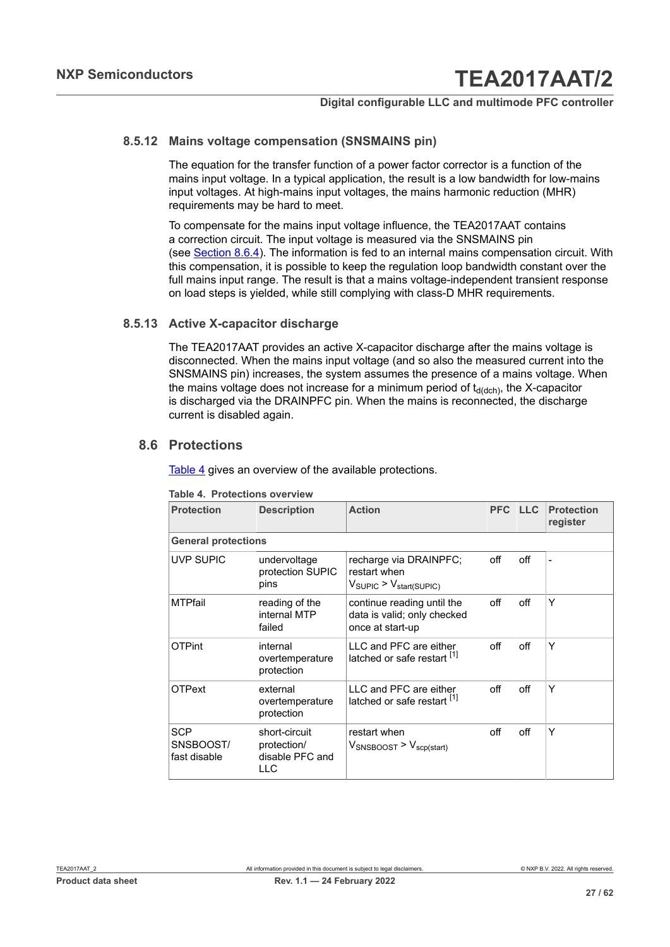#### **8.5.12 Mains voltage compensation (SNSMAINS pin)**

<span id="page-26-1"></span>The equation for the transfer function of a power factor corrector is a function of the mains input voltage. In a typical application, the result is a low bandwidth for low-mains input voltages. At high-mains input voltages, the mains harmonic reduction (MHR) requirements may be hard to meet.

To compensate for the mains input voltage influence, the TEA2017AAT contains a correction circuit. The input voltage is measured via the SNSMAINS pin (see [Section 8.6.4\)](#page-28-0). The information is fed to an internal mains compensation circuit. With this compensation, it is possible to keep the regulation loop bandwidth constant over the full mains input range. The result is that a mains voltage-independent transient response on load steps is yielded, while still complying with class-D MHR requirements.

#### **8.5.13 Active X-capacitor discharge**

<span id="page-26-2"></span>The TEA2017AAT provides an active X-capacitor discharge after the mains voltage is disconnected. When the mains input voltage (and so also the measured current into the SNSMAINS pin) increases, the system assumes the presence of a mains voltage. When the mains voltage does not increase for a minimum period of  $t_{d(dch)}$ , the X-capacitor is discharged via the DRAINPFC pin. When the mains is reconnected, the discharge current is disabled again.

### **8.6 Protections**

<span id="page-26-3"></span>[Table](#page-26-0) 4 gives an overview of the available protections.

| <b>Protection</b>                       | <b>Description</b>                                      | <b>Action</b>                                                                            | <b>PFC</b> | <b>LLC</b> | <b>Protection</b><br>register |
|-----------------------------------------|---------------------------------------------------------|------------------------------------------------------------------------------------------|------------|------------|-------------------------------|
| <b>General protections</b>              |                                                         |                                                                                          |            |            |                               |
| <b>UVP SUPIC</b>                        | undervoltage<br>protection SUPIC<br>pins                | recharge via DRAINPFC;<br>restart when<br>$V_{\text{SUPIC}}$ > $V_{\text{start(SUPIC)}}$ | off        | off        | $\overline{\phantom{a}}$      |
| <b>MTPfail</b>                          | reading of the<br>internal MTP<br>failed                | continue reading until the<br>data is valid; only checked<br>once at start-up            | off        | off        | Y                             |
| <b>OTPint</b>                           | internal<br>overtemperature<br>protection               | LLC and PFC are either<br>latched or safe restart [1]                                    | off        | off        | Y                             |
| <b>OTPext</b>                           | external<br>overtemperature<br>protection               | LLC and PFC are either<br>latched or safe restart [1]                                    | off        | off        | Υ                             |
| <b>SCP</b><br>SNSBOOST/<br>fast disable | short-circuit<br>protection/<br>disable PFC and<br>LLC. | restart when<br>$V_{\text{SNSBOOST}}$ > $V_{\text{scp}(\text{start})}$                   | off        | off        | Y                             |

#### <span id="page-26-0"></span>**Table 4. Protections overview**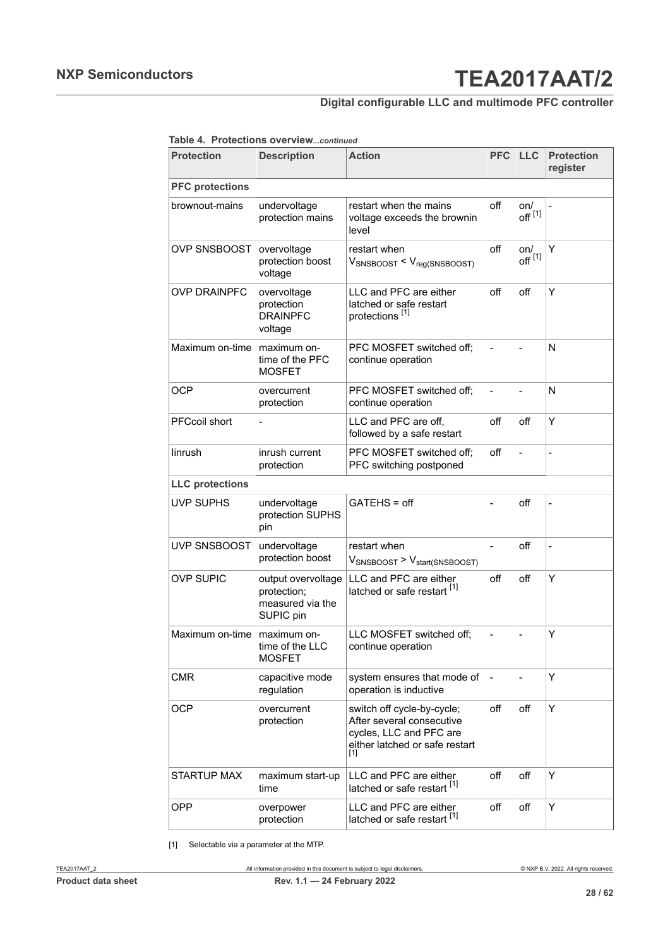### **Digital configurable LLC and multimode PFC controller**

<span id="page-27-0"></span>**Table 4. Protections overview***...continued*

| <b>Protection</b>      | <b>Description</b>                                                 | <b>Action</b>                                                                                                                             | <b>PFC</b>     | <b>LLC</b>                | <b>Protection</b><br>register |
|------------------------|--------------------------------------------------------------------|-------------------------------------------------------------------------------------------------------------------------------------------|----------------|---------------------------|-------------------------------|
| <b>PFC</b> protections |                                                                    |                                                                                                                                           |                |                           |                               |
| brownout-mains         | undervoltage<br>protection mains                                   | restart when the mains<br>voltage exceeds the brownin<br>level                                                                            | off            | on/<br>off <sup>[1]</sup> |                               |
| OVP SNSBOOST           | overvoltage<br>protection boost<br>voltage                         | restart when<br>$V_{\text{SNSBOOST}} < V_{\text{reg(SNSBOOST)}}$                                                                          | off            | on/<br>off <sup>[1]</sup> | Y                             |
| <b>OVP DRAINPFC</b>    | overvoltage<br>protection<br><b>DRAINPFC</b><br>voltage            | LLC and PFC are either<br>latched or safe restart<br>protections <sup>[1]</sup>                                                           | off            | off                       | Y                             |
| Maximum on-time        | maximum on-<br>time of the PFC<br><b>MOSFET</b>                    | PFC MOSFET switched off;<br>continue operation                                                                                            | $\overline{a}$ |                           | N                             |
| <b>OCP</b>             | overcurrent<br>protection                                          | PFC MOSFET switched off;<br>continue operation                                                                                            | $\overline{a}$ | $\overline{\phantom{0}}$  | N                             |
| <b>PFCcoil short</b>   |                                                                    | LLC and PFC are off,<br>followed by a safe restart                                                                                        | off            | off                       | Y                             |
| linrush                | inrush current<br>protection                                       | PFC MOSFET switched off;<br>PFC switching postponed                                                                                       | off            | $\overline{a}$            | $\overline{\phantom{0}}$      |
| <b>LLC</b> protections |                                                                    |                                                                                                                                           |                |                           |                               |
| UVP SUPHS              | undervoltage<br>protection SUPHS<br>pin                            | GATEHS = off                                                                                                                              | $\overline{a}$ | off                       | $\overline{a}$                |
| UVP SNSBOOST           | undervoltage<br>protection boost                                   | restart when<br>$V_{\text{SNSBOOST}}$ > $V_{\text{start(SNSBOOST)}}$                                                                      | $\overline{a}$ | off                       | $\overline{\phantom{0}}$      |
| <b>OVP SUPIC</b>       | output overvoltage<br>protection;<br>measured via the<br>SUPIC pin | LLC and PFC are either<br>latched or safe restart [1]                                                                                     | off            | off                       | Y                             |
| Maximum on-time        | maximum on-<br>time of the LLC<br><b>MOSFET</b>                    | LLC MOSFET switched off;<br>continue operation                                                                                            | $\overline{a}$ | $\overline{\phantom{0}}$  | Υ                             |
| <b>CMR</b>             | capacitive mode<br>regulation                                      | system ensures that mode of<br>operation is inductive                                                                                     |                |                           | Y                             |
| <b>OCP</b>             | overcurrent<br>protection                                          | switch off cycle-by-cycle;<br>After several consecutive<br>cycles, LLC and PFC are<br>either latched or safe restart<br>$\lceil 1 \rceil$ | off            | off                       | Y                             |
| <b>STARTUP MAX</b>     | maximum start-up<br>time                                           | LLC and PFC are either<br>latched or safe restart [1]                                                                                     | off            | off                       | Y                             |
| <b>OPP</b>             | overpower<br>protection                                            | LLC and PFC are either<br>latched or safe restart [1]                                                                                     | off            | off                       | Υ                             |

[1] Selectable via a parameter at the MTP.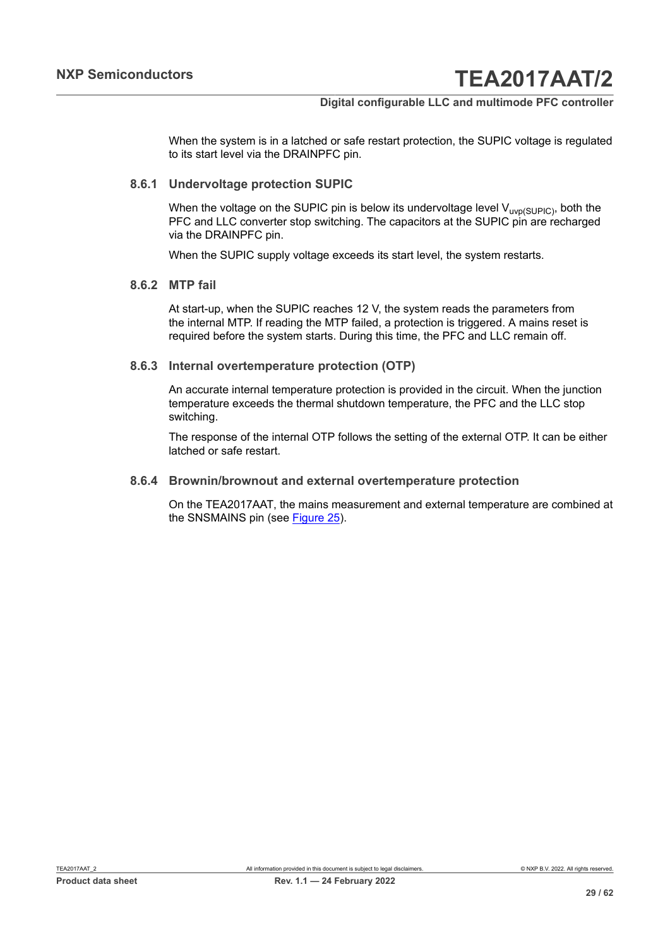#### **Digital configurable LLC and multimode PFC controller**

When the system is in a latched or safe restart protection, the SUPIC voltage is regulated to its start level via the DRAINPFC pin.

#### **8.6.1 Undervoltage protection SUPIC**

<span id="page-28-1"></span>When the voltage on the SUPIC pin is below its undervoltage level  $V_{\text{uvp(SUPIC)}}$ , both the PFC and LLC converter stop switching. The capacitors at the SUPIC pin are recharged via the DRAINPFC pin.

<span id="page-28-2"></span>When the SUPIC supply voltage exceeds its start level, the system restarts.

#### **8.6.2 MTP fail**

At start-up, when the SUPIC reaches 12 V, the system reads the parameters from the internal MTP. If reading the MTP failed, a protection is triggered. A mains reset is required before the system starts. During this time, the PFC and LLC remain off.

#### **8.6.3 Internal overtemperature protection (OTP)**

<span id="page-28-3"></span>An accurate internal temperature protection is provided in the circuit. When the junction temperature exceeds the thermal shutdown temperature, the PFC and the LLC stop switching.

The response of the internal OTP follows the setting of the external OTP. It can be either latched or safe restart.

#### **8.6.4 Brownin/brownout and external overtemperature protection**

<span id="page-28-0"></span>On the TEA2017AAT, the mains measurement and external temperature are combined at the SNSMAINS pin (see [Figure 25](#page-29-0)).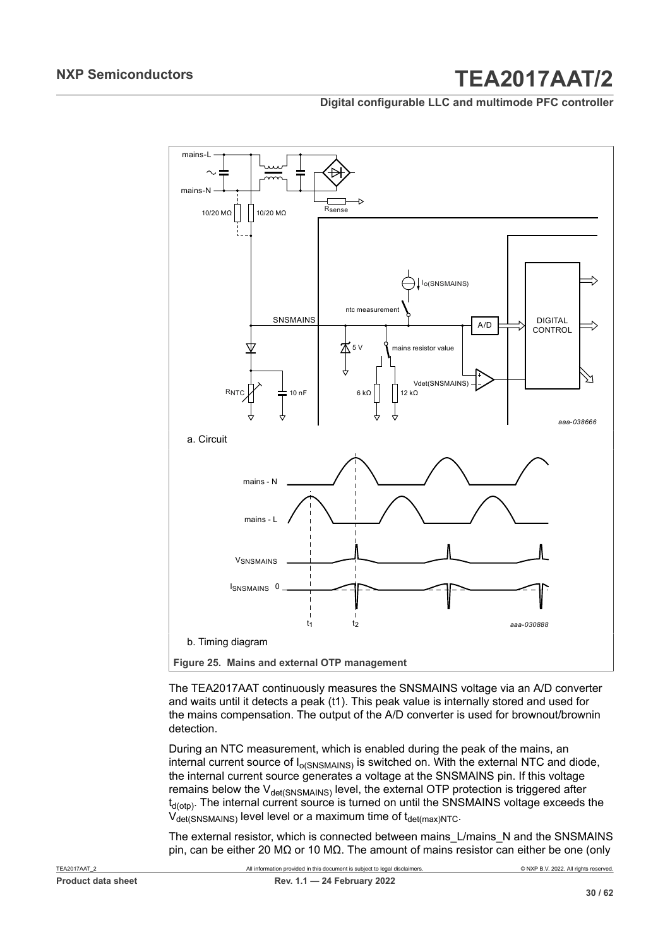**Digital configurable LLC and multimode PFC controller**



<span id="page-29-0"></span>The TEA2017AAT continuously measures the SNSMAINS voltage via an A/D converter and waits until it detects a peak (t1). This peak value is internally stored and used for the mains compensation. The output of the A/D converter is used for brownout/brownin detection.

During an NTC measurement, which is enabled during the peak of the mains, an internal current source of  $I_{\alpha(SNSMAINS)}$  is switched on. With the external NTC and diode, the internal current source generates a voltage at the SNSMAINS pin. If this voltage remains below the  $V_{\text{det(SNSMAINS)}}$  level, the external OTP protection is triggered after  $t_{d({otp})}$ . The internal current source is turned on until the SNSMAINS voltage exceeds the  $V_{\text{det(SNSMAINS)}}$  level level or a maximum time of  $t_{\text{det(max)NTC}}$ .

The external resistor, which is connected between mains\_L/mains\_N and the SNSMAINS pin, can be either 20 MΩ or 10 MΩ. The amount of mains resistor can either be one (only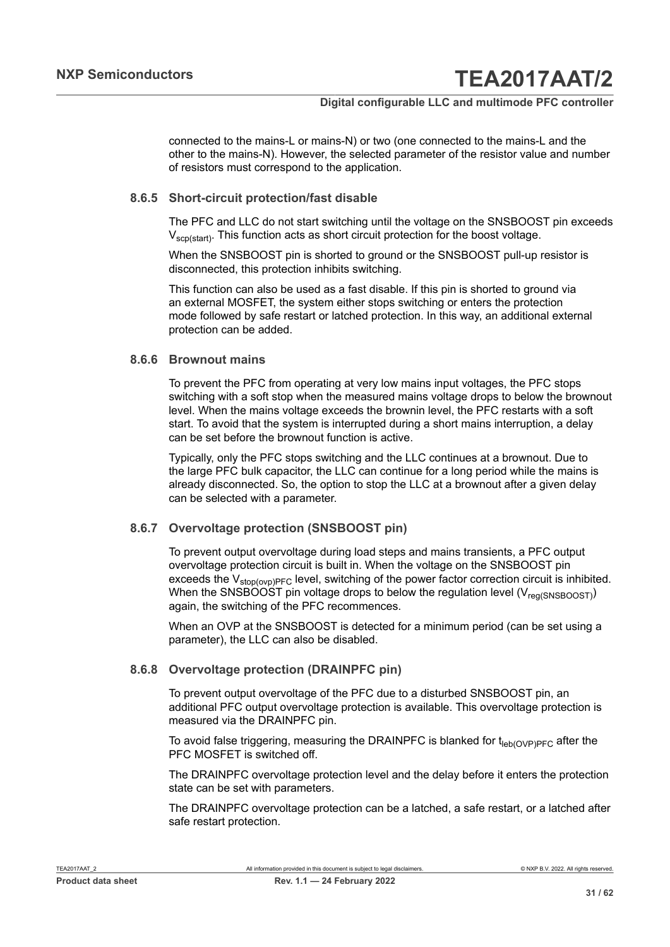#### **Digital configurable LLC and multimode PFC controller**

connected to the mains-L or mains-N) or two (one connected to the mains-L and the other to the mains-N). However, the selected parameter of the resistor value and number of resistors must correspond to the application.

#### **8.6.5 Short-circuit protection/fast disable**

<span id="page-30-0"></span>The PFC and LLC do not start switching until the voltage on the SNSBOOST pin exceeds  $V_{\text{scpl}(\text{start})}$ . This function acts as short circuit protection for the boost voltage.

When the SNSBOOST pin is shorted to ground or the SNSBOOST pull-up resistor is disconnected, this protection inhibits switching.

This function can also be used as a fast disable. If this pin is shorted to ground via an external MOSFET, the system either stops switching or enters the protection mode followed by safe restart or latched protection. In this way, an additional external protection can be added.

#### **8.6.6 Brownout mains**

<span id="page-30-1"></span>To prevent the PFC from operating at very low mains input voltages, the PFC stops switching with a soft stop when the measured mains voltage drops to below the brownout level. When the mains voltage exceeds the brownin level, the PFC restarts with a soft start. To avoid that the system is interrupted during a short mains interruption, a delay can be set before the brownout function is active.

Typically, only the PFC stops switching and the LLC continues at a brownout. Due to the large PFC bulk capacitor, the LLC can continue for a long period while the mains is already disconnected. So, the option to stop the LLC at a brownout after a given delay can be selected with a parameter.

#### **8.6.7 Overvoltage protection (SNSBOOST pin)**

<span id="page-30-2"></span>To prevent output overvoltage during load steps and mains transients, a PFC output overvoltage protection circuit is built in. When the voltage on the SNSBOOST pin exceeds the  $V_{stop(ovp)PFC}$  level, switching of the power factor correction circuit is inhibited. When the SNSBOOST pin voltage drops to below the regulation level ( $V_{\text{realSSBOOST}}$ ) again, the switching of the PFC recommences.

When an OVP at the SNSBOOST is detected for a minimum period (can be set using a parameter), the LLC can also be disabled.

#### **8.6.8 Overvoltage protection (DRAINPFC pin)**

<span id="page-30-3"></span>To prevent output overvoltage of the PFC due to a disturbed SNSBOOST pin, an additional PFC output overvoltage protection is available. This overvoltage protection is measured via the DRAINPFC pin.

To avoid false triggering, measuring the DRAINPFC is blanked for  $t_{\text{leb(OVP)PFC}}$  after the PFC MOSFET is switched off.

The DRAINPFC overvoltage protection level and the delay before it enters the protection state can be set with parameters.

The DRAINPFC overvoltage protection can be a latched, a safe restart, or a latched after safe restart protection.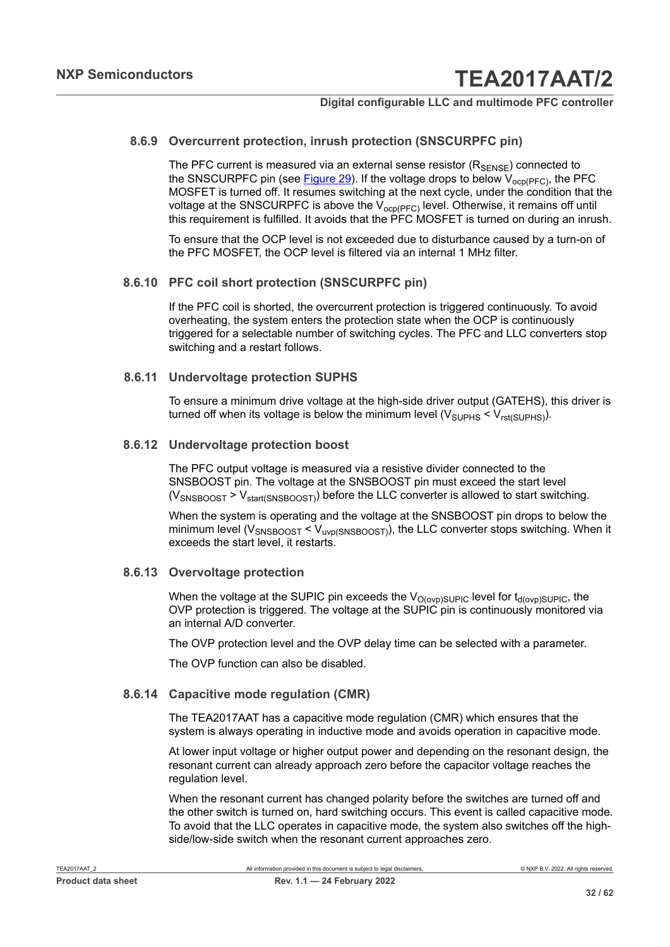#### **8.6.9 Overcurrent protection, inrush protection (SNSCURPFC pin)**

<span id="page-31-1"></span>The PFC current is measured via an external sense resistor  $(R_{\text{SENSE}})$  connected to the SNSCURPFC pin (see [Figure 29](#page-55-0)). If the voltage drops to below  $V_{ocp(PEC)}$ , the PFC MOSFET is turned off. It resumes switching at the next cycle, under the condition that the voltage at the SNSCURPFC is above the  $V_{ocp(PFC)}$  level. Otherwise, it remains off until this requirement is fulfilled. It avoids that the PFC MOSFET is turned on during an inrush.

To ensure that the OCP level is not exceeded due to disturbance caused by a turn-on of the PFC MOSFET, the OCP level is filtered via an internal 1 MHz filter.

#### **8.6.10 PFC coil short protection (SNSCURPFC pin)**

<span id="page-31-2"></span>If the PFC coil is shorted, the overcurrent protection is triggered continuously. To avoid overheating, the system enters the protection state when the OCP is continuously triggered for a selectable number of switching cycles. The PFC and LLC converters stop switching and a restart follows.

#### **8.6.11 Undervoltage protection SUPHS**

<span id="page-31-3"></span>To ensure a minimum drive voltage at the high-side driver output (GATEHS), this driver is turned off when its voltage is below the minimum level ( $V_{\text{SUPHS}} < V_{\text{rst(SUPHS)}}$ ).

#### **8.6.12 Undervoltage protection boost**

<span id="page-31-4"></span>The PFC output voltage is measured via a resistive divider connected to the SNSBOOST pin. The voltage at the SNSBOOST pin must exceed the start level  $(V_{SNSBOOST} > V_{start(SNSBOOST)})$  before the LLC converter is allowed to start switching.

When the system is operating and the voltage at the SNSBOOST pin drops to below the minimum level ( $V_{SNSBOOST}$  <  $V_{UVO(SNSBOOST)}$ ), the LLC converter stops switching. When it exceeds the start level, it restarts.

#### **8.6.13 Overvoltage protection**

<span id="page-31-5"></span>When the voltage at the SUPIC pin exceeds the  $V_{O(ovp)SUPIC}$  level for  $t_{d(ovp)SUPIC}$ , the OVP protection is triggered. The voltage at the SUPIC pin is continuously monitored via an internal A/D converter.

The OVP protection level and the OVP delay time can be selected with a parameter.

<span id="page-31-0"></span>The OVP function can also be disabled.

#### **8.6.14 Capacitive mode regulation (CMR)**

The TEA2017AAT has a capacitive mode regulation (CMR) which ensures that the system is always operating in inductive mode and avoids operation in capacitive mode.

At lower input voltage or higher output power and depending on the resonant design, the resonant current can already approach zero before the capacitor voltage reaches the regulation level.

When the resonant current has changed polarity before the switches are turned off and the other switch is turned on, hard switching occurs. This event is called capacitive mode. To avoid that the LLC operates in capacitive mode, the system also switches off the highside/low-side switch when the resonant current approaches zero.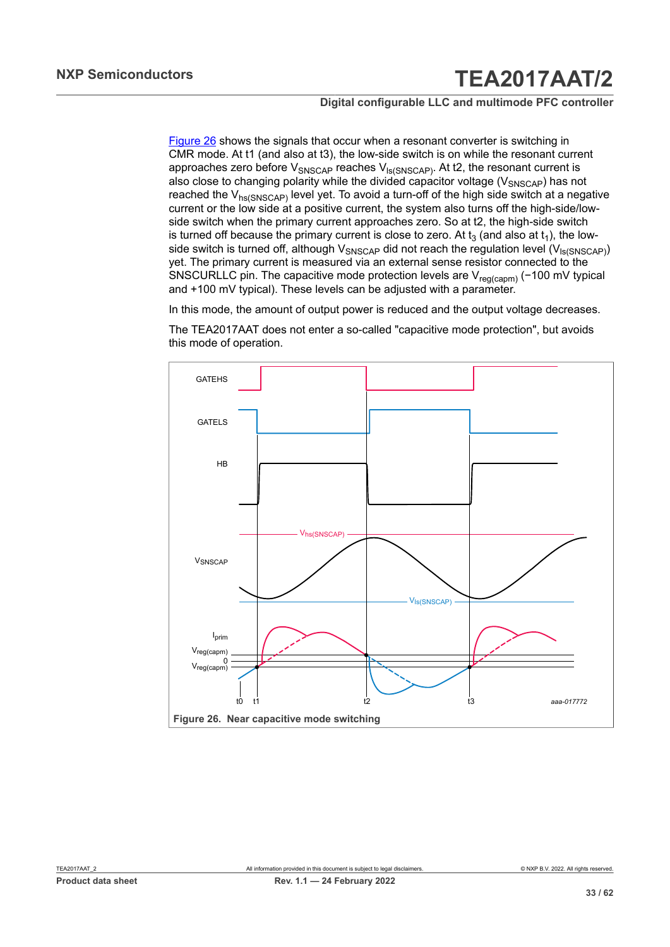#### **Digital configurable LLC and multimode PFC controller**

[Figure 26](#page-32-0) shows the signals that occur when a resonant converter is switching in CMR mode. At t1 (and also at t3), the low-side switch is on while the resonant current approaches zero before  $V_{SNSCAP}$  reaches  $V_{IS(SNSCAP)}$ . At t2, the resonant current is also close to changing polarity while the divided capacitor voltage ( $V_{SNSCAP}$ ) has not reached the  $V_{hs(SNSCAP)}$  level yet. To avoid a turn-off of the high side switch at a negative current or the low side at a positive current, the system also turns off the high-side/lowside switch when the primary current approaches zero. So at t2, the high-side switch is turned off because the primary current is close to zero. At  $t_3$  (and also at  $t_1$ ), the lowside switch is turned off, although  $V_{SNSCAP}$  did not reach the regulation level  $(V_{\text{Is(SNSCAP)}})$ yet. The primary current is measured via an external sense resistor connected to the SNSCURLLC pin. The capacitive mode protection levels are V<sub>reg(capm)</sub> (−100 mV typical and +100 mV typical). These levels can be adjusted with a parameter.

In this mode, the amount of output power is reduced and the output voltage decreases.

The TEA2017AAT does not enter a so-called "capacitive mode protection", but avoids this mode of operation.

<span id="page-32-0"></span>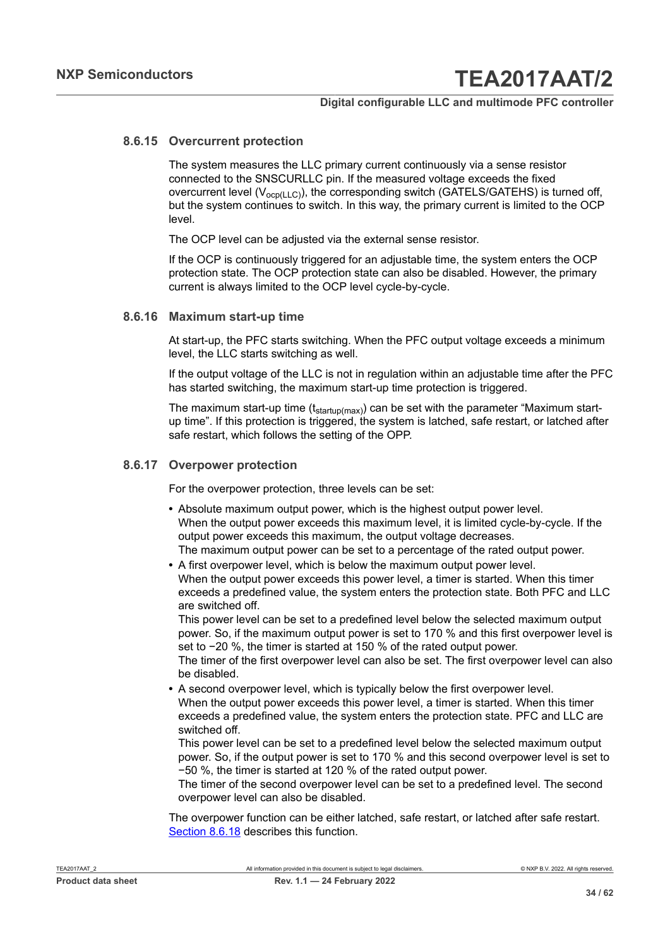#### **8.6.15 Overcurrent protection**

<span id="page-33-0"></span>The system measures the LLC primary current continuously via a sense resistor connected to the SNSCURLLC pin. If the measured voltage exceeds the fixed overcurrent level  $(V_{ocp(LLC)})$ , the corresponding switch (GATELS/GATEHS) is turned off, but the system continues to switch. In this way, the primary current is limited to the OCP level.

The OCP level can be adjusted via the external sense resistor.

If the OCP is continuously triggered for an adjustable time, the system enters the OCP protection state. The OCP protection state can also be disabled. However, the primary current is always limited to the OCP level cycle-by-cycle.

#### **8.6.16 Maximum start-up time**

<span id="page-33-1"></span>At start-up, the PFC starts switching. When the PFC output voltage exceeds a minimum level, the LLC starts switching as well.

If the output voltage of the LLC is not in regulation within an adjustable time after the PFC has started switching, the maximum start-up time protection is triggered.

The maximum start-up time  $(t_{\text{startup}(\text{max})})$  can be set with the parameter "Maximum startup time". If this protection is triggered, the system is latched, safe restart, or latched after safe restart, which follows the setting of the OPP.

#### **8.6.17 Overpower protection**

<span id="page-33-2"></span>For the overpower protection, three levels can be set:

- **•** Absolute maximum output power, which is the highest output power level. When the output power exceeds this maximum level, it is limited cycle-by-cycle. If the output power exceeds this maximum, the output voltage decreases. The maximum output power can be set to a percentage of the rated output power.
- **•** A first overpower level, which is below the maximum output power level. When the output power exceeds this power level, a timer is started. When this timer exceeds a predefined value, the system enters the protection state. Both PFC and LLC are switched off.

This power level can be set to a predefined level below the selected maximum output power. So, if the maximum output power is set to 170 % and this first overpower level is set to −20 %, the timer is started at 150 % of the rated output power.

The timer of the first overpower level can also be set. The first overpower level can also be disabled.

**•** A second overpower level, which is typically below the first overpower level. When the output power exceeds this power level, a timer is started. When this timer exceeds a predefined value, the system enters the protection state. PFC and LLC are switched off.

This power level can be set to a predefined level below the selected maximum output power. So, if the output power is set to 170 % and this second overpower level is set to −50 %, the timer is started at 120 % of the rated output power.

The timer of the second overpower level can be set to a predefined level. The second overpower level can also be disabled.

The overpower function can be either latched, safe restart, or latched after safe restart. [Section 8.6.18](#page-34-0) describes this function.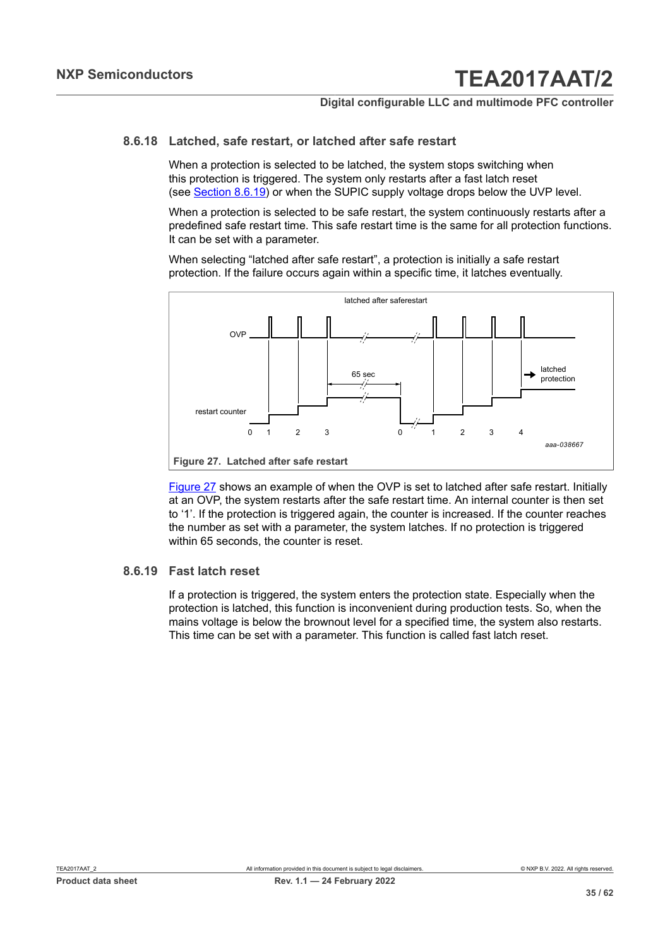#### **8.6.18 Latched, safe restart, or latched after safe restart**

<span id="page-34-0"></span>When a protection is selected to be latched, the system stops switching when this protection is triggered. The system only restarts after a fast latch reset (see [Section 8.6.19](#page-34-1)) or when the SUPIC supply voltage drops below the UVP level.

When a protection is selected to be safe restart, the system continuously restarts after a predefined safe restart time. This safe restart time is the same for all protection functions. It can be set with a parameter.

When selecting "latched after safe restart", a protection is initially a safe restart protection. If the failure occurs again within a specific time, it latches eventually.

<span id="page-34-2"></span>

[Figure 27](#page-34-2) shows an example of when the OVP is set to latched after safe restart. Initially at an OVP, the system restarts after the safe restart time. An internal counter is then set to '1'. If the protection is triggered again, the counter is increased. If the counter reaches the number as set with a parameter, the system latches. If no protection is triggered within 65 seconds, the counter is reset.

#### **8.6.19 Fast latch reset**

<span id="page-34-1"></span>If a protection is triggered, the system enters the protection state. Especially when the protection is latched, this function is inconvenient during production tests. So, when the mains voltage is below the brownout level for a specified time, the system also restarts. This time can be set with a parameter. This function is called fast latch reset.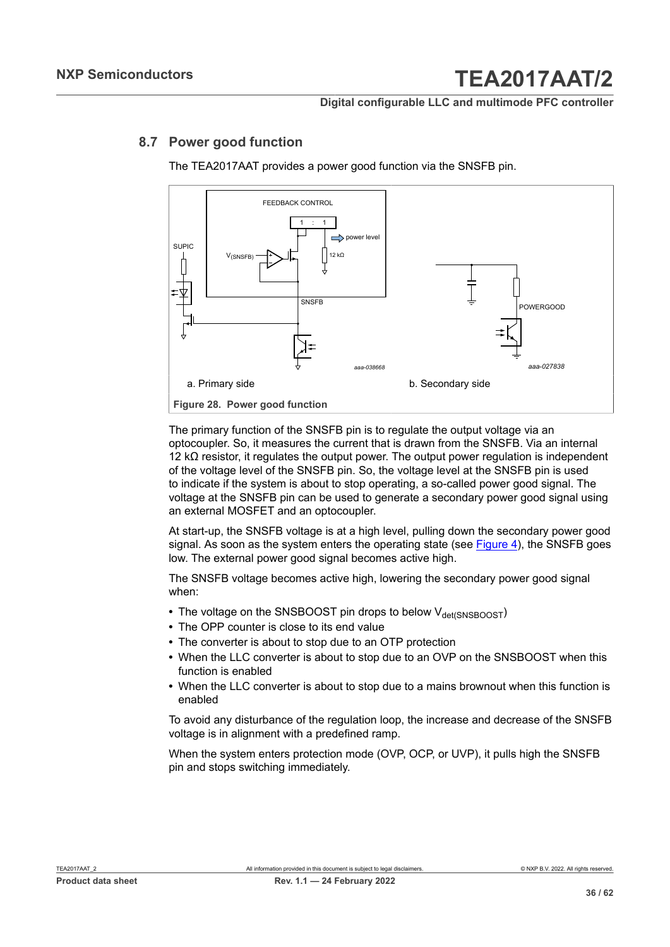#### **Digital configurable LLC and multimode PFC controller**

### **8.7 Power good function**

<span id="page-35-0"></span>The TEA2017AAT provides a power good function via the SNSFB pin.



The primary function of the SNSFB pin is to regulate the output voltage via an optocoupler. So, it measures the current that is drawn from the SNSFB. Via an internal 12 k $Ω$  resistor, it regulates the output power. The output power regulation is independent of the voltage level of the SNSFB pin. So, the voltage level at the SNSFB pin is used to indicate if the system is about to stop operating, a so-called power good signal. The voltage at the SNSFB pin can be used to generate a secondary power good signal using an external MOSFET and an optocoupler.

At start-up, the SNSFB voltage is at a high level, pulling down the secondary power good signal. As soon as the system enters the operating state (see [Figure 4\)](#page-7-0), the SNSFB goes low. The external power good signal becomes active high.

The SNSFB voltage becomes active high, lowering the secondary power good signal when:

- The voltage on the SNSBOOST pin drops to below V<sub>det(SNSBOOST</sub>)
- **•** The OPP counter is close to its end value
- **•** The converter is about to stop due to an OTP protection
- **•** When the LLC converter is about to stop due to an OVP on the SNSBOOST when this function is enabled
- **•** When the LLC converter is about to stop due to a mains brownout when this function is enabled

To avoid any disturbance of the regulation loop, the increase and decrease of the SNSFB voltage is in alignment with a predefined ramp.

When the system enters protection mode (OVP, OCP, or UVP), it pulls high the SNSFB pin and stops switching immediately.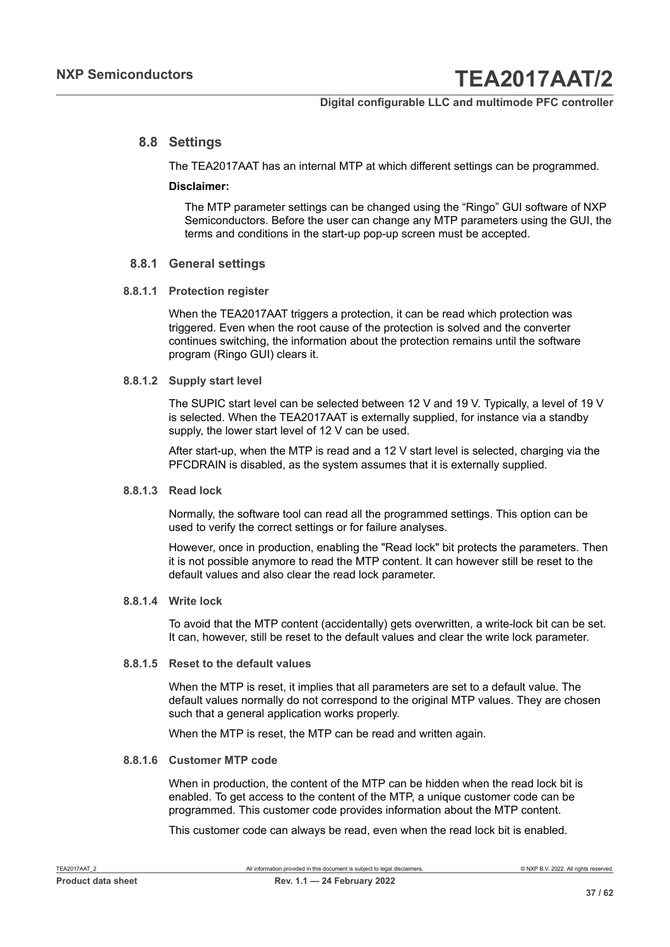#### **8.8 Settings**

<span id="page-36-0"></span>The TEA2017AAT has an internal MTP at which different settings can be programmed.

#### **Disclaimer:**

The MTP parameter settings can be changed using the "Ringo" GUI software of NXP Semiconductors. Before the user can change any MTP parameters using the GUI, the terms and conditions in the start-up pop-up screen must be accepted.

#### <span id="page-36-1"></span>**8.8.1 General settings**

#### **8.8.1.1 Protection register**

<span id="page-36-2"></span>When the TEA2017AAT triggers a protection, it can be read which protection was triggered. Even when the root cause of the protection is solved and the converter continues switching, the information about the protection remains until the software program (Ringo GUI) clears it.

#### **8.8.1.2 Supply start level**

<span id="page-36-3"></span>The SUPIC start level can be selected between 12 V and 19 V. Typically, a level of 19 V is selected. When the TEA2017AAT is externally supplied, for instance via a standby supply, the lower start level of 12 V can be used.

After start-up, when the MTP is read and a 12 V start level is selected, charging via the PFCDRAIN is disabled, as the system assumes that it is externally supplied.

#### **8.8.1.3 Read lock**

<span id="page-36-4"></span>Normally, the software tool can read all the programmed settings. This option can be used to verify the correct settings or for failure analyses.

However, once in production, enabling the "Read lock" bit protects the parameters. Then it is not possible anymore to read the MTP content. It can however still be reset to the default values and also clear the read lock parameter.

#### **8.8.1.4 Write lock**

<span id="page-36-5"></span>To avoid that the MTP content (accidentally) gets overwritten, a write-lock bit can be set. It can, however, still be reset to the default values and clear the write lock parameter.

#### **8.8.1.5 Reset to the default values**

<span id="page-36-6"></span>When the MTP is reset, it implies that all parameters are set to a default value. The default values normally do not correspond to the original MTP values. They are chosen such that a general application works properly.

<span id="page-36-7"></span>When the MTP is reset, the MTP can be read and written again.

#### **8.8.1.6 Customer MTP code**

When in production, the content of the MTP can be hidden when the read lock bit is enabled. To get access to the content of the MTP, a unique customer code can be programmed. This customer code provides information about the MTP content.

This customer code can always be read, even when the read lock bit is enabled.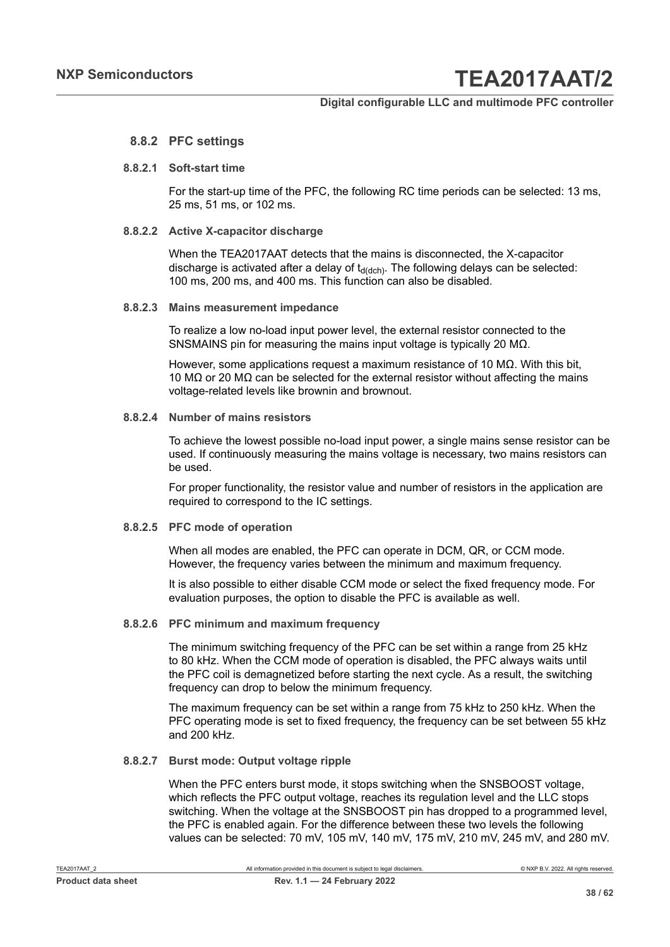#### **Digital configurable LLC and multimode PFC controller**

#### <span id="page-37-0"></span>**8.8.2 PFC settings**

#### **8.8.2.1 Soft-start time**

<span id="page-37-1"></span>For the start-up time of the PFC, the following RC time periods can be selected: 13 ms, 25 ms, 51 ms, or 102 ms.

#### **8.8.2.2 Active X-capacitor discharge**

<span id="page-37-2"></span>When the TEA2017AAT detects that the mains is disconnected, the X-capacitor discharge is activated after a delay of  $t_{d(dch)}$ . The following delays can be selected: 100 ms, 200 ms, and 400 ms. This function can also be disabled.

#### **8.8.2.3 Mains measurement impedance**

<span id="page-37-3"></span>To realize a low no-load input power level, the external resistor connected to the SNSMAINS pin for measuring the mains input voltage is typically 20 MΩ.

However, some applications request a maximum resistance of 10 MΩ. With this bit, 10 MΩ or 20 MΩ can be selected for the external resistor without affecting the mains voltage-related levels like brownin and brownout.

#### **8.8.2.4 Number of mains resistors**

<span id="page-37-4"></span>To achieve the lowest possible no-load input power, a single mains sense resistor can be used. If continuously measuring the mains voltage is necessary, two mains resistors can be used.

For proper functionality, the resistor value and number of resistors in the application are required to correspond to the IC settings.

#### **8.8.2.5 PFC mode of operation**

<span id="page-37-5"></span>When all modes are enabled, the PFC can operate in DCM, QR, or CCM mode. However, the frequency varies between the minimum and maximum frequency.

It is also possible to either disable CCM mode or select the fixed frequency mode. For evaluation purposes, the option to disable the PFC is available as well.

#### **8.8.2.6 PFC minimum and maximum frequency**

<span id="page-37-6"></span>The minimum switching frequency of the PFC can be set within a range from 25 kHz to 80 kHz. When the CCM mode of operation is disabled, the PFC always waits until the PFC coil is demagnetized before starting the next cycle. As a result, the switching frequency can drop to below the minimum frequency.

The maximum frequency can be set within a range from 75 kHz to 250 kHz. When the PFC operating mode is set to fixed frequency, the frequency can be set between 55 kHz and 200 kHz.

#### **8.8.2.7 Burst mode: Output voltage ripple**

<span id="page-37-7"></span>When the PFC enters burst mode, it stops switching when the SNSBOOST voltage, which reflects the PFC output voltage, reaches its regulation level and the LLC stops switching. When the voltage at the SNSBOOST pin has dropped to a programmed level, the PFC is enabled again. For the difference between these two levels the following values can be selected: 70 mV, 105 mV, 140 mV, 175 mV, 210 mV, 245 mV, and 280 mV.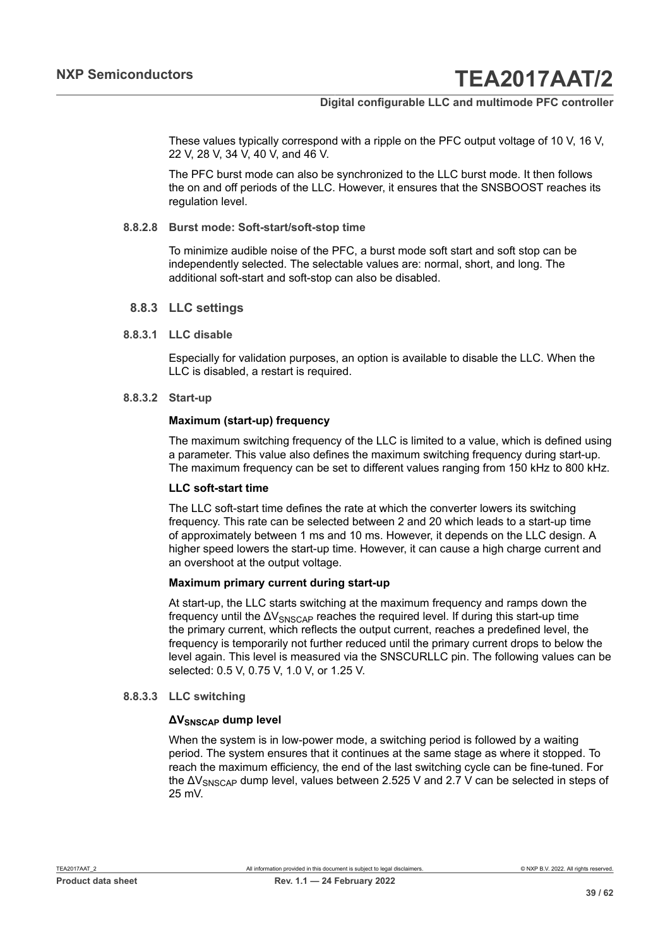These values typically correspond with a ripple on the PFC output voltage of 10 V, 16 V, 22 V, 28 V, 34 V, 40 V, and 46 V.

The PFC burst mode can also be synchronized to the LLC burst mode. It then follows the on and off periods of the LLC. However, it ensures that the SNSBOOST reaches its regulation level.

#### **8.8.2.8 Burst mode: Soft-start/soft-stop time**

<span id="page-38-0"></span>To minimize audible noise of the PFC, a burst mode soft start and soft stop can be independently selected. The selectable values are: normal, short, and long. The additional soft-start and soft-stop can also be disabled.

#### <span id="page-38-1"></span>**8.8.3 LLC settings**

#### **8.8.3.1 LLC disable**

<span id="page-38-2"></span>Especially for validation purposes, an option is available to disable the LLC. When the LLC is disabled, a restart is required.

#### **8.8.3.2 Start-up**

#### <span id="page-38-3"></span>**Maximum (start-up) frequency**

The maximum switching frequency of the LLC is limited to a value, which is defined using a parameter. This value also defines the maximum switching frequency during start-up. The maximum frequency can be set to different values ranging from 150 kHz to 800 kHz.

#### **LLC soft-start time**

The LLC soft-start time defines the rate at which the converter lowers its switching frequency. This rate can be selected between 2 and 20 which leads to a start-up time of approximately between 1 ms and 10 ms. However, it depends on the LLC design. A higher speed lowers the start-up time. However, it can cause a high charge current and an overshoot at the output voltage.

#### **Maximum primary current during start-up**

At start-up, the LLC starts switching at the maximum frequency and ramps down the frequency until the  $\Delta V_{SNSCAP}$  reaches the required level. If during this start-up time the primary current, which reflects the output current, reaches a predefined level, the frequency is temporarily not further reduced until the primary current drops to below the level again. This level is measured via the SNSCURLLC pin. The following values can be selected: 0.5 V, 0.75 V, 1.0 V, or 1.25 V.

#### **8.8.3.3 LLC switching**

#### <span id="page-38-4"></span>**ΔVSNSCAP dump level**

When the system is in low-power mode, a switching period is followed by a waiting period. The system ensures that it continues at the same stage as where it stopped. To reach the maximum efficiency, the end of the last switching cycle can be fine-tuned. For the  $\Delta V_{\text{SNSCAP}}$  dump level, values between 2.525 V and 2.7 V can be selected in steps of 25 mV.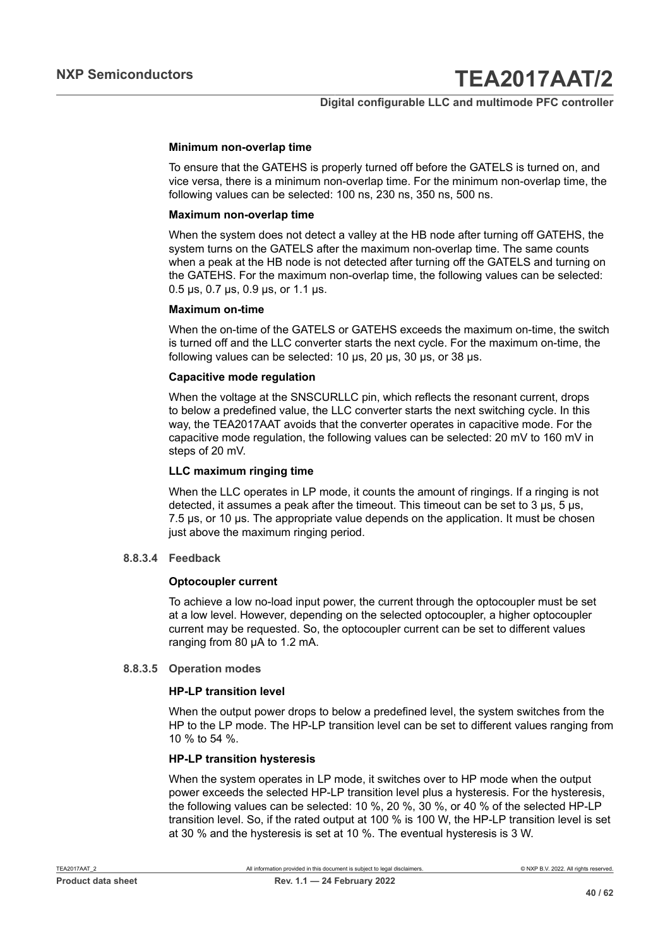#### **Minimum non-overlap time**

To ensure that the GATEHS is properly turned off before the GATELS is turned on, and vice versa, there is a minimum non-overlap time. For the minimum non-overlap time, the following values can be selected: 100 ns, 230 ns, 350 ns, 500 ns.

#### **Maximum non-overlap time**

When the system does not detect a valley at the HB node after turning off GATEHS, the system turns on the GATELS after the maximum non-overlap time. The same counts when a peak at the HB node is not detected after turning off the GATELS and turning on the GATEHS. For the maximum non-overlap time, the following values can be selected: 0.5 μs, 0.7 μs, 0.9 μs, or 1.1 μs.

#### **Maximum on-time**

When the on-time of the GATELS or GATEHS exceeds the maximum on-time, the switch is turned off and the LLC converter starts the next cycle. For the maximum on-time, the following values can be selected: 10 μs, 20 μs, 30 μs, or 38 μs.

#### **Capacitive mode regulation**

When the voltage at the SNSCURLLC pin, which reflects the resonant current, drops to below a predefined value, the LLC converter starts the next switching cycle. In this way, the TEA2017AAT avoids that the converter operates in capacitive mode. For the capacitive mode regulation, the following values can be selected: 20 mV to 160 mV in steps of 20 mV.

#### **LLC maximum ringing time**

When the LLC operates in LP mode, it counts the amount of ringings. If a ringing is not detected, it assumes a peak after the timeout. This timeout can be set to 3 μs, 5 μs, 7.5 μs, or 10 μs. The appropriate value depends on the application. It must be chosen just above the maximum ringing period.

#### **8.8.3.4 Feedback**

#### <span id="page-39-0"></span>**Optocoupler current**

To achieve a low no-load input power, the current through the optocoupler must be set at a low level. However, depending on the selected optocoupler, a higher optocoupler current may be requested. So, the optocoupler current can be set to different values ranging from 80 μA to 1.2 mA.

#### **8.8.3.5 Operation modes**

#### <span id="page-39-1"></span>**HP-LP transition level**

When the output power drops to below a predefined level, the system switches from the HP to the LP mode. The HP-LP transition level can be set to different values ranging from 10 % to 54 %.

#### **HP-LP transition hysteresis**

When the system operates in LP mode, it switches over to HP mode when the output power exceeds the selected HP-LP transition level plus a hysteresis. For the hysteresis, the following values can be selected: 10 %, 20 %, 30 %, or 40 % of the selected HP-LP transition level. So, if the rated output at 100 % is 100 W, the HP-LP transition level is set at 30 % and the hysteresis is set at 10 %. The eventual hysteresis is 3 W.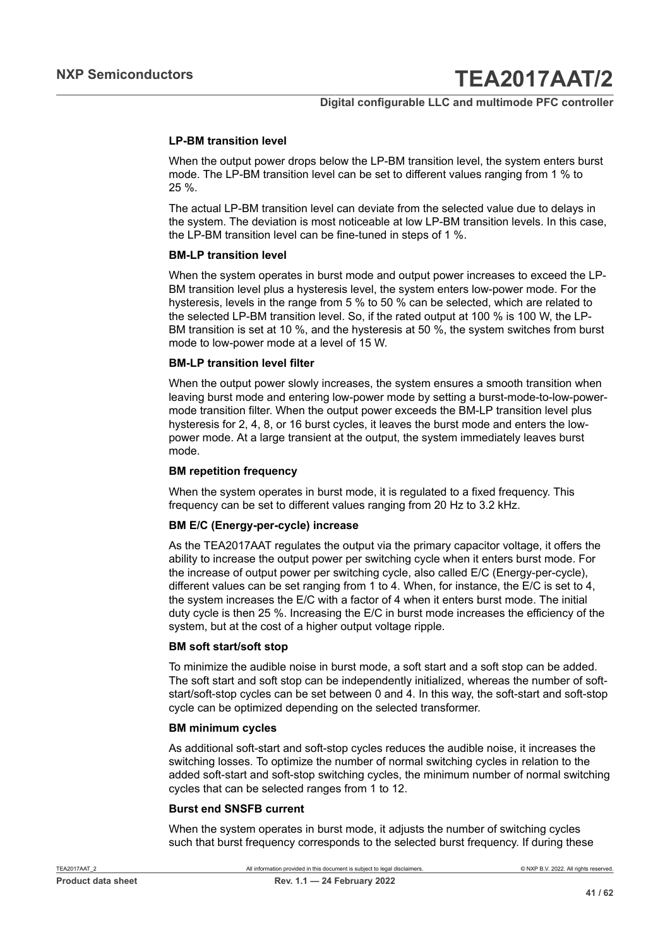#### **LP-BM transition level**

When the output power drops below the LP-BM transition level, the system enters burst mode. The LP-BM transition level can be set to different values ranging from 1 % to 25 %.

The actual LP-BM transition level can deviate from the selected value due to delays in the system. The deviation is most noticeable at low LP-BM transition levels. In this case, the LP-BM transition level can be fine-tuned in steps of 1 %.

#### **BM-LP transition level**

When the system operates in burst mode and output power increases to exceed the LP-BM transition level plus a hysteresis level, the system enters low-power mode. For the hysteresis, levels in the range from 5 % to 50 % can be selected, which are related to the selected LP-BM transition level. So, if the rated output at 100 % is 100 W, the LP-BM transition is set at 10 %, and the hysteresis at 50 %, the system switches from burst mode to low-power mode at a level of 15 W.

#### **BM-LP transition level filter**

When the output power slowly increases, the system ensures a smooth transition when leaving burst mode and entering low-power mode by setting a burst-mode-to-low-powermode transition filter. When the output power exceeds the BM-LP transition level plus hysteresis for 2, 4, 8, or 16 burst cycles, it leaves the burst mode and enters the lowpower mode. At a large transient at the output, the system immediately leaves burst mode.

#### **BM repetition frequency**

When the system operates in burst mode, it is regulated to a fixed frequency. This frequency can be set to different values ranging from 20 Hz to 3.2 kHz.

#### **BM E/C (Energy-per-cycle) increase**

As the TEA2017AAT regulates the output via the primary capacitor voltage, it offers the ability to increase the output power per switching cycle when it enters burst mode. For the increase of output power per switching cycle, also called E/C (Energy-per-cycle), different values can be set ranging from 1 to 4. When, for instance, the E/C is set to 4, the system increases the E/C with a factor of 4 when it enters burst mode. The initial duty cycle is then 25 %. Increasing the E/C in burst mode increases the efficiency of the system, but at the cost of a higher output voltage ripple.

#### **BM soft start/soft stop**

To minimize the audible noise in burst mode, a soft start and a soft stop can be added. The soft start and soft stop can be independently initialized, whereas the number of softstart/soft-stop cycles can be set between 0 and 4. In this way, the soft-start and soft-stop cycle can be optimized depending on the selected transformer.

#### **BM minimum cycles**

As additional soft-start and soft-stop cycles reduces the audible noise, it increases the switching losses. To optimize the number of normal switching cycles in relation to the added soft-start and soft-stop switching cycles, the minimum number of normal switching cycles that can be selected ranges from 1 to 12.

#### **Burst end SNSFB current**

When the system operates in burst mode, it adjusts the number of switching cycles such that burst frequency corresponds to the selected burst frequency. If during these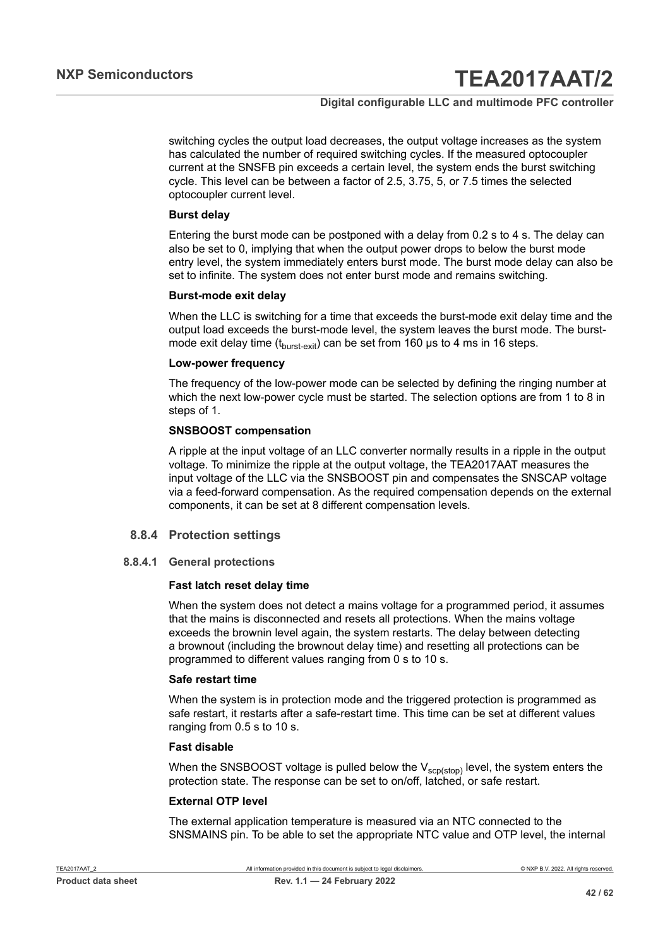#### **Digital configurable LLC and multimode PFC controller**

switching cycles the output load decreases, the output voltage increases as the system has calculated the number of required switching cycles. If the measured optocoupler current at the SNSFB pin exceeds a certain level, the system ends the burst switching cycle. This level can be between a factor of 2.5, 3.75, 5, or 7.5 times the selected optocoupler current level.

#### **Burst delay**

Entering the burst mode can be postponed with a delay from 0.2 s to 4 s. The delay can also be set to 0, implying that when the output power drops to below the burst mode entry level, the system immediately enters burst mode. The burst mode delay can also be set to infinite. The system does not enter burst mode and remains switching.

#### **Burst-mode exit delay**

When the LLC is switching for a time that exceeds the burst-mode exit delay time and the output load exceeds the burst-mode level, the system leaves the burst mode. The burstmode exit delay time ( $t_{burst-exit}$ ) can be set from 160 µs to 4 ms in 16 steps.

#### **Low-power frequency**

The frequency of the low-power mode can be selected by defining the ringing number at which the next low-power cycle must be started. The selection options are from 1 to 8 in steps of 1.

#### **SNSBOOST compensation**

A ripple at the input voltage of an LLC converter normally results in a ripple in the output voltage. To minimize the ripple at the output voltage, the TEA2017AAT measures the input voltage of the LLC via the SNSBOOST pin and compensates the SNSCAP voltage via a feed-forward compensation. As the required compensation depends on the external components, it can be set at 8 different compensation levels.

#### <span id="page-41-0"></span>**8.8.4 Protection settings**

#### **8.8.4.1 General protections**

#### <span id="page-41-1"></span>**Fast latch reset delay time**

When the system does not detect a mains voltage for a programmed period, it assumes that the mains is disconnected and resets all protections. When the mains voltage exceeds the brownin level again, the system restarts. The delay between detecting a brownout (including the brownout delay time) and resetting all protections can be programmed to different values ranging from 0 s to 10 s.

#### **Safe restart time**

When the system is in protection mode and the triggered protection is programmed as safe restart, it restarts after a safe-restart time. This time can be set at different values ranging from 0.5 s to 10 s.

#### **Fast disable**

When the SNSBOOST voltage is pulled below the  $V_{\text{scp}(stop)}$  level, the system enters the protection state. The response can be set to on/off, latched, or safe restart.

#### **External OTP level**

The external application temperature is measured via an NTC connected to the SNSMAINS pin. To be able to set the appropriate NTC value and OTP level, the internal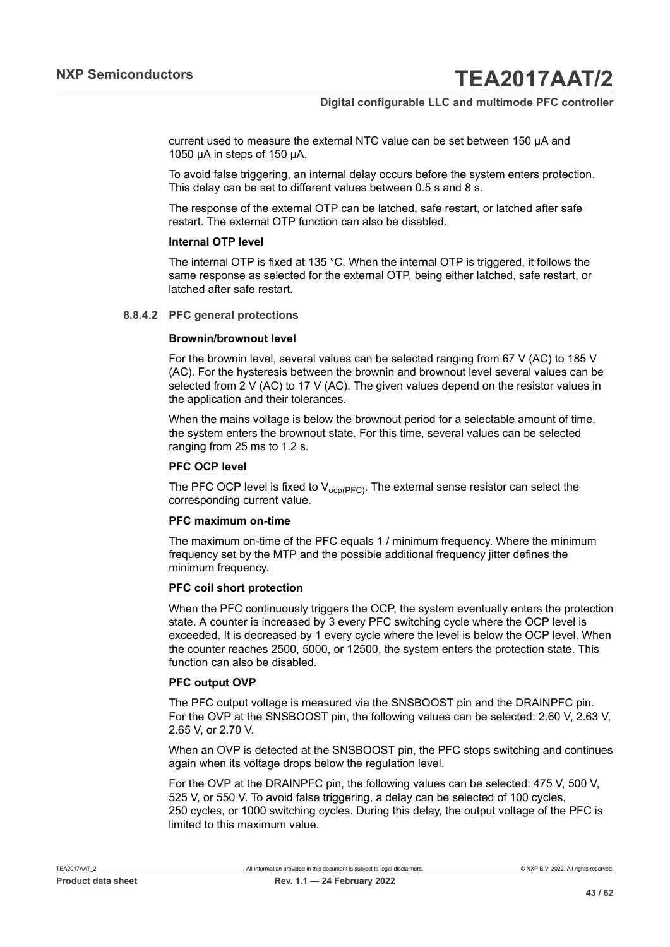current used to measure the external NTC value can be set between 150 µA and 1050 µA in steps of 150 µA.

To avoid false triggering, an internal delay occurs before the system enters protection. This delay can be set to different values between 0.5 s and 8 s.

The response of the external OTP can be latched, safe restart, or latched after safe restart. The external OTP function can also be disabled.

#### **Internal OTP level**

The internal OTP is fixed at 135 °C. When the internal OTP is triggered, it follows the same response as selected for the external OTP, being either latched, safe restart, or latched after safe restart.

#### **8.8.4.2 PFC general protections**

#### <span id="page-42-0"></span>**Brownin/brownout level**

For the brownin level, several values can be selected ranging from 67 V (AC) to 185 V (AC). For the hysteresis between the brownin and brownout level several values can be selected from 2 V (AC) to 17 V (AC). The given values depend on the resistor values in the application and their tolerances.

When the mains voltage is below the brownout period for a selectable amount of time, the system enters the brownout state. For this time, several values can be selected ranging from 25 ms to 1.2 s.

#### **PFC OCP level**

The PFC OCP level is fixed to  $V_{ocp(PFC)}$ . The external sense resistor can select the corresponding current value.

#### **PFC maximum on-time**

The maximum on-time of the PFC equals 1 / minimum frequency. Where the minimum frequency set by the MTP and the possible additional frequency jitter defines the minimum frequency.

#### **PFC coil short protection**

When the PFC continuously triggers the OCP, the system eventually enters the protection state. A counter is increased by 3 every PFC switching cycle where the OCP level is exceeded. It is decreased by 1 every cycle where the level is below the OCP level. When the counter reaches 2500, 5000, or 12500, the system enters the protection state. This function can also be disabled.

#### **PFC output OVP**

The PFC output voltage is measured via the SNSBOOST pin and the DRAINPFC pin. For the OVP at the SNSBOOST pin, the following values can be selected: 2.60 V, 2.63 V, 2.65 V, or 2.70 V.

When an OVP is detected at the SNSBOOST pin, the PFC stops switching and continues again when its voltage drops below the regulation level.

For the OVP at the DRAINPFC pin, the following values can be selected: 475 V, 500 V. 525 V, or 550 V. To avoid false triggering, a delay can be selected of 100 cycles, 250 cycles, or 1000 switching cycles. During this delay, the output voltage of the PFC is limited to this maximum value.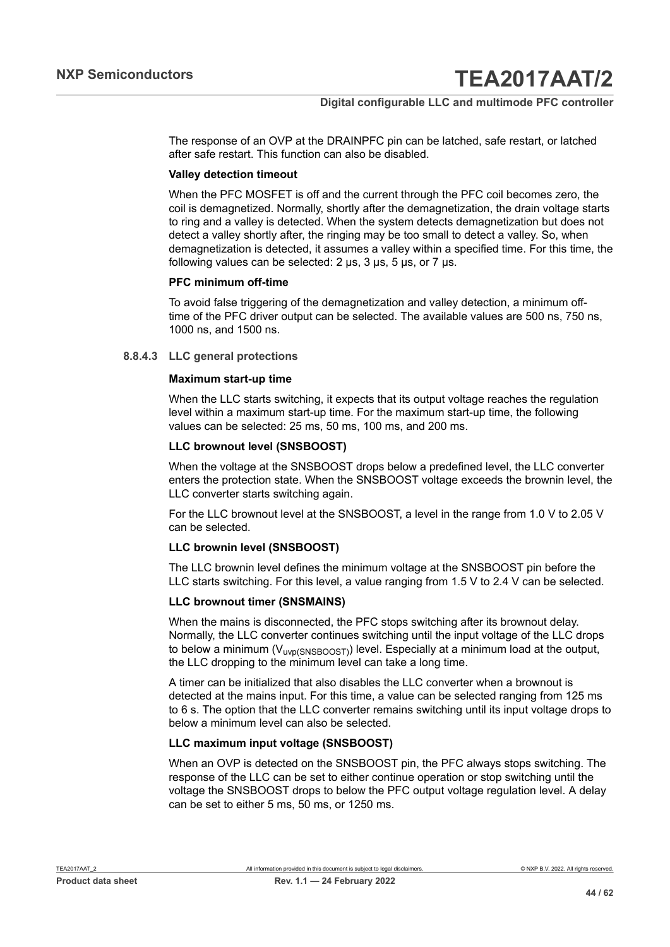The response of an OVP at the DRAINPFC pin can be latched, safe restart, or latched after safe restart. This function can also be disabled.

#### **Valley detection timeout**

When the PFC MOSFET is off and the current through the PFC coil becomes zero, the coil is demagnetized. Normally, shortly after the demagnetization, the drain voltage starts to ring and a valley is detected. When the system detects demagnetization but does not detect a valley shortly after, the ringing may be too small to detect a valley. So, when demagnetization is detected, it assumes a valley within a specified time. For this time, the following values can be selected: 2 μs, 3 μs, 5 μs, or 7 μs.

#### **PFC minimum off-time**

To avoid false triggering of the demagnetization and valley detection, a minimum offtime of the PFC driver output can be selected. The available values are 500 ns, 750 ns, 1000 ns, and 1500 ns.

#### **8.8.4.3 LLC general protections**

#### <span id="page-43-0"></span>**Maximum start-up time**

When the LLC starts switching, it expects that its output voltage reaches the regulation level within a maximum start-up time. For the maximum start-up time, the following values can be selected: 25 ms, 50 ms, 100 ms, and 200 ms.

#### **LLC brownout level (SNSBOOST)**

When the voltage at the SNSBOOST drops below a predefined level, the LLC converter enters the protection state. When the SNSBOOST voltage exceeds the brownin level, the LLC converter starts switching again.

For the LLC brownout level at the SNSBOOST, a level in the range from 1.0 V to 2.05 V can be selected.

#### **LLC brownin level (SNSBOOST)**

The LLC brownin level defines the minimum voltage at the SNSBOOST pin before the LLC starts switching. For this level, a value ranging from 1.5 V to 2.4 V can be selected.

#### **LLC brownout timer (SNSMAINS)**

When the mains is disconnected, the PFC stops switching after its brownout delay. Normally, the LLC converter continues switching until the input voltage of the LLC drops to below a minimum ( $V_{\text{uvD(SNSBOOST)}}$ ) level. Especially at a minimum load at the output, the LLC dropping to the minimum level can take a long time.

A timer can be initialized that also disables the LLC converter when a brownout is detected at the mains input. For this time, a value can be selected ranging from 125 ms to 6 s. The option that the LLC converter remains switching until its input voltage drops to below a minimum level can also be selected.

#### **LLC maximum input voltage (SNSBOOST)**

When an OVP is detected on the SNSBOOST pin, the PFC always stops switching. The response of the LLC can be set to either continue operation or stop switching until the voltage the SNSBOOST drops to below the PFC output voltage regulation level. A delay can be set to either 5 ms, 50 ms, or 1250 ms.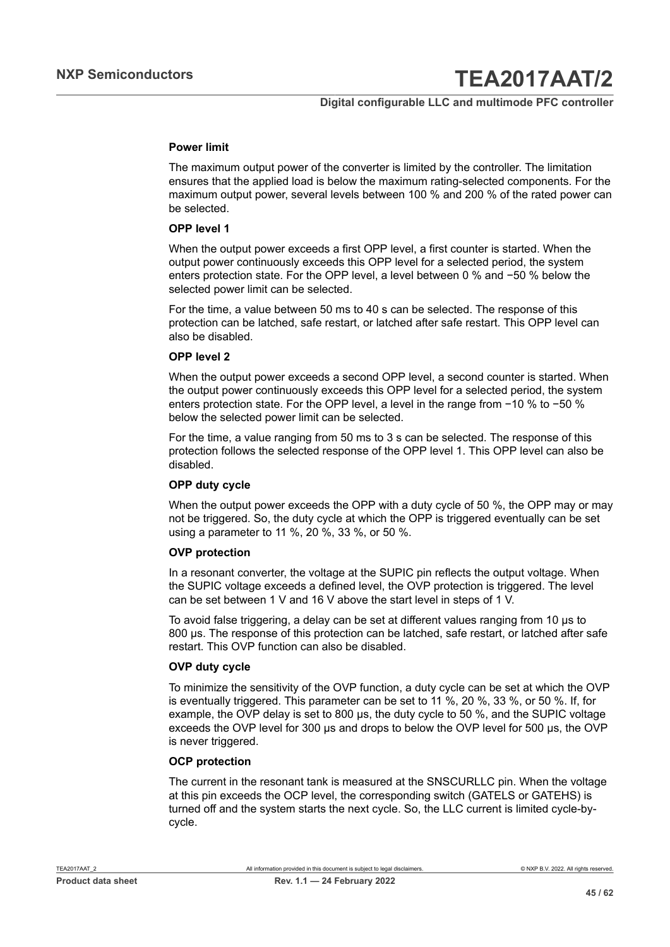#### **Power limit**

The maximum output power of the converter is limited by the controller. The limitation ensures that the applied load is below the maximum rating-selected components. For the maximum output power, several levels between 100 % and 200 % of the rated power can be selected.

#### **OPP level 1**

When the output power exceeds a first OPP level, a first counter is started. When the output power continuously exceeds this OPP level for a selected period, the system enters protection state. For the OPP level, a level between 0 % and −50 % below the selected power limit can be selected.

For the time, a value between 50 ms to 40 s can be selected. The response of this protection can be latched, safe restart, or latched after safe restart. This OPP level can also be disabled.

#### **OPP level 2**

When the output power exceeds a second OPP level, a second counter is started. When the output power continuously exceeds this OPP level for a selected period, the system enters protection state. For the OPP level, a level in the range from −10 % to −50 % below the selected power limit can be selected.

For the time, a value ranging from 50 ms to 3 s can be selected. The response of this protection follows the selected response of the OPP level 1. This OPP level can also be disabled.

#### **OPP duty cycle**

When the output power exceeds the OPP with a duty cycle of 50 %, the OPP may or may not be triggered. So, the duty cycle at which the OPP is triggered eventually can be set using a parameter to 11 %, 20 %, 33 %, or 50 %.

#### **OVP protection**

In a resonant converter, the voltage at the SUPIC pin reflects the output voltage. When the SUPIC voltage exceeds a defined level, the OVP protection is triggered. The level can be set between 1 V and 16 V above the start level in steps of 1 V.

To avoid false triggering, a delay can be set at different values ranging from 10 μs to 800 μs. The response of this protection can be latched, safe restart, or latched after safe restart. This OVP function can also be disabled.

#### **OVP duty cycle**

To minimize the sensitivity of the OVP function, a duty cycle can be set at which the OVP is eventually triggered. This parameter can be set to 11 %, 20 %, 33 %, or 50 %. If, for example, the OVP delay is set to 800 μs, the duty cycle to 50 %, and the SUPIC voltage exceeds the OVP level for 300 μs and drops to below the OVP level for 500 μs, the OVP is never triggered.

#### **OCP protection**

The current in the resonant tank is measured at the SNSCURLLC pin. When the voltage at this pin exceeds the OCP level, the corresponding switch (GATELS or GATEHS) is turned off and the system starts the next cycle. So, the LLC current is limited cycle-bycycle.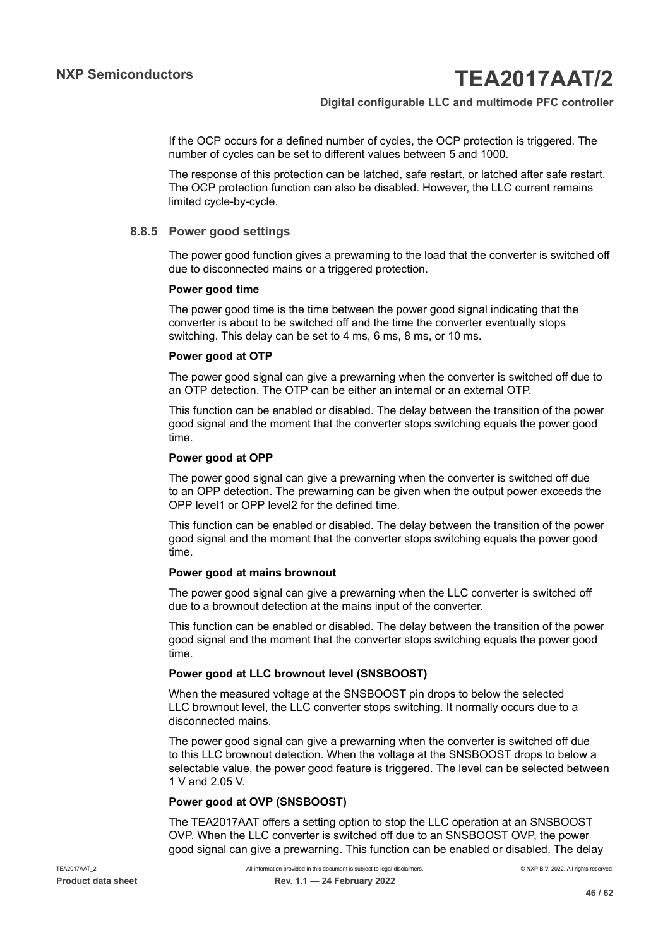If the OCP occurs for a defined number of cycles, the OCP protection is triggered. The number of cycles can be set to different values between 5 and 1000.

The response of this protection can be latched, safe restart, or latched after safe restart. The OCP protection function can also be disabled. However, the LLC current remains limited cycle-by-cycle.

#### **8.8.5 Power good settings**

<span id="page-45-0"></span>The power good function gives a prewarning to the load that the converter is switched off due to disconnected mains or a triggered protection.

#### **Power good time**

The power good time is the time between the power good signal indicating that the converter is about to be switched off and the time the converter eventually stops switching. This delay can be set to 4 ms, 6 ms, 8 ms, or 10 ms.

#### **Power good at OTP**

The power good signal can give a prewarning when the converter is switched off due to an OTP detection. The OTP can be either an internal or an external OTP.

This function can be enabled or disabled. The delay between the transition of the power good signal and the moment that the converter stops switching equals the power good time.

#### **Power good at OPP**

The power good signal can give a prewarning when the converter is switched off due to an OPP detection. The prewarning can be given when the output power exceeds the OPP level1 or OPP level2 for the defined time.

This function can be enabled or disabled. The delay between the transition of the power good signal and the moment that the converter stops switching equals the power good time.

#### **Power good at mains brownout**

The power good signal can give a prewarning when the LLC converter is switched off due to a brownout detection at the mains input of the converter.

This function can be enabled or disabled. The delay between the transition of the power good signal and the moment that the converter stops switching equals the power good time.

#### **Power good at LLC brownout level (SNSBOOST)**

When the measured voltage at the SNSBOOST pin drops to below the selected LLC brownout level, the LLC converter stops switching. It normally occurs due to a disconnected mains.

The power good signal can give a prewarning when the converter is switched off due to this LLC brownout detection. When the voltage at the SNSBOOST drops to below a selectable value, the power good feature is triggered. The level can be selected between 1 V and 2.05 V.

#### **Power good at OVP (SNSBOOST)**

The TEA2017AAT offers a setting option to stop the LLC operation at an SNSBOOST OVP. When the LLC converter is switched off due to an SNSBOOST OVP, the power good signal can give a prewarning. This function can be enabled or disabled. The delay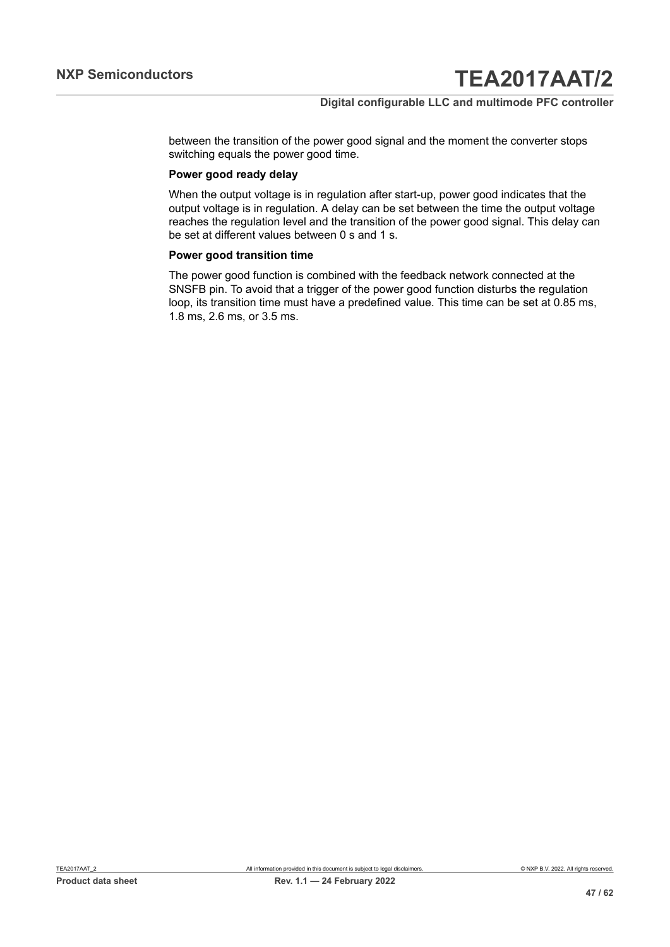between the transition of the power good signal and the moment the converter stops switching equals the power good time.

#### **Power good ready delay**

When the output voltage is in regulation after start-up, power good indicates that the output voltage is in regulation. A delay can be set between the time the output voltage reaches the regulation level and the transition of the power good signal. This delay can be set at different values between 0 s and 1 s.

#### **Power good transition time**

The power good function is combined with the feedback network connected at the SNSFB pin. To avoid that a trigger of the power good function disturbs the regulation loop, its transition time must have a predefined value. This time can be set at 0.85 ms, 1.8 ms, 2.6 ms, or 3.5 ms.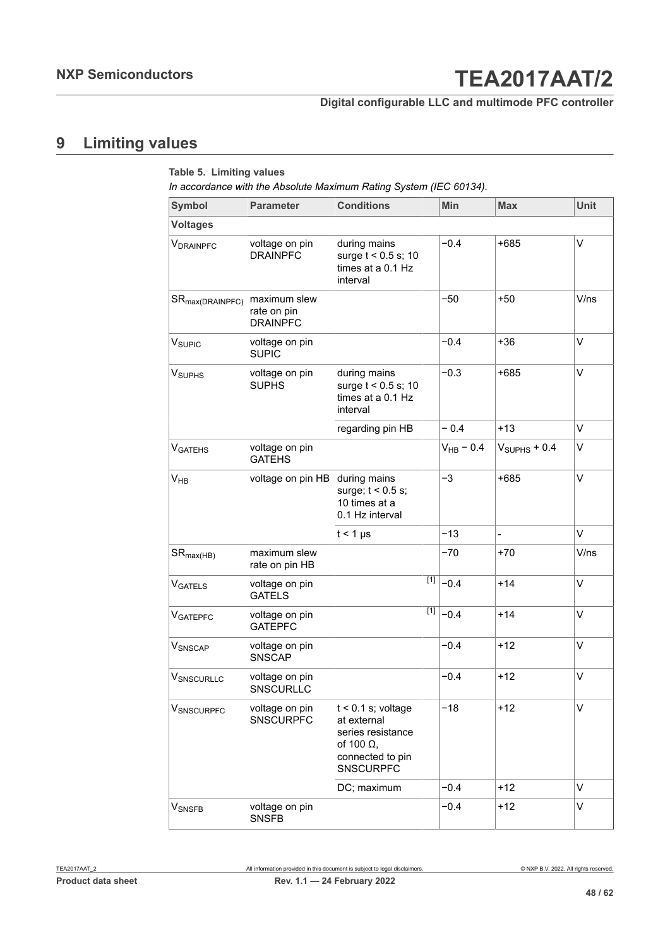### **Digital configurable LLC and multimode PFC controller**

## <span id="page-47-0"></span>**9 Limiting values**

| <b>Symbol</b>               | <b>Parameter</b>                               | <b>Conditions</b>                                                                                                     | <b>Min</b>     | <b>Max</b>     | <b>Unit</b> |
|-----------------------------|------------------------------------------------|-----------------------------------------------------------------------------------------------------------------------|----------------|----------------|-------------|
| <b>Voltages</b>             |                                                |                                                                                                                       |                |                |             |
| V <sub>DRAINPFC</sub>       | voltage on pin<br><b>DRAINPFC</b>              | during mains<br>surge $t < 0.5$ s; 10<br>times at a 0.1 Hz<br>interval                                                | $-0.4$         | $+685$         | V           |
| SR <sub>max(DRAINPFC)</sub> | maximum slew<br>rate on pin<br><b>DRAINPFC</b> |                                                                                                                       | $-50$          | $+50$          | V/ns        |
| V <sub>SUPIC</sub>          | voltage on pin<br><b>SUPIC</b>                 |                                                                                                                       | $-0.4$         | $+36$          | V           |
| <b>V</b> <sub>SUPHS</sub>   | voltage on pin<br><b>SUPHS</b>                 | during mains<br>surge $t < 0.5$ s; 10<br>times at a 0.1 Hz<br>interval                                                | $-0.3$         | $+685$         | V           |
|                             |                                                | regarding pin HB                                                                                                      | $-0.4$         | $+13$          | $\vee$      |
| <b>V<sub>GATEHS</sub></b>   | voltage on pin<br><b>GATEHS</b>                |                                                                                                                       | $V_{HB}$ – 0.4 | $VSUPHS + 0.4$ | V           |
| $V_{HB}$                    | voltage on pin HB                              | during mains<br>surge; $t < 0.5$ s;<br>10 times at a<br>0.1 Hz interval                                               | $-3$           | $+685$         | V           |
|                             |                                                | $t < 1$ µs                                                                                                            | $-13$          | $\overline{a}$ | V           |
| $SR_{\text{max(HB)}}$       | maximum slew<br>rate on pin HB                 |                                                                                                                       | $-70$          | $+70$          | V/ns        |
| VGATELS                     | voltage on pin<br><b>GATELS</b>                | $\boxed{1}$                                                                                                           | $-0.4$         | $+14$          | V           |
| <b>VGATEPFC</b>             | voltage on pin<br><b>GATEPFC</b>               | $[1]$                                                                                                                 | $-0.4$         | $+14$          | V           |
| VSNSCAP                     | voltage on pin<br><b>SNSCAP</b>                |                                                                                                                       | $-0.4$         | $+12$          | V           |
| VSNSCURLLC                  | voltage on pin<br><b>SNSCURLLC</b>             |                                                                                                                       | $-0.4$         | $+12$          | V           |
| <b>VSNSCURPFC</b>           | voltage on pin<br><b>SNSCURPFC</b>             | $t < 0.1$ s; voltage<br>at external<br>series resistance<br>of 100 $\Omega$ ,<br>connected to pin<br><b>SNSCURPFC</b> | $-18$          | $+12$          | V           |
|                             |                                                | DC; maximum                                                                                                           | $-0.4$         | $+12$          | V           |
| <b>V</b> SNSFB              | voltage on pin<br><b>SNSFB</b>                 |                                                                                                                       | $-0.4$         | $+12$          | V           |
|                             |                                                |                                                                                                                       |                |                |             |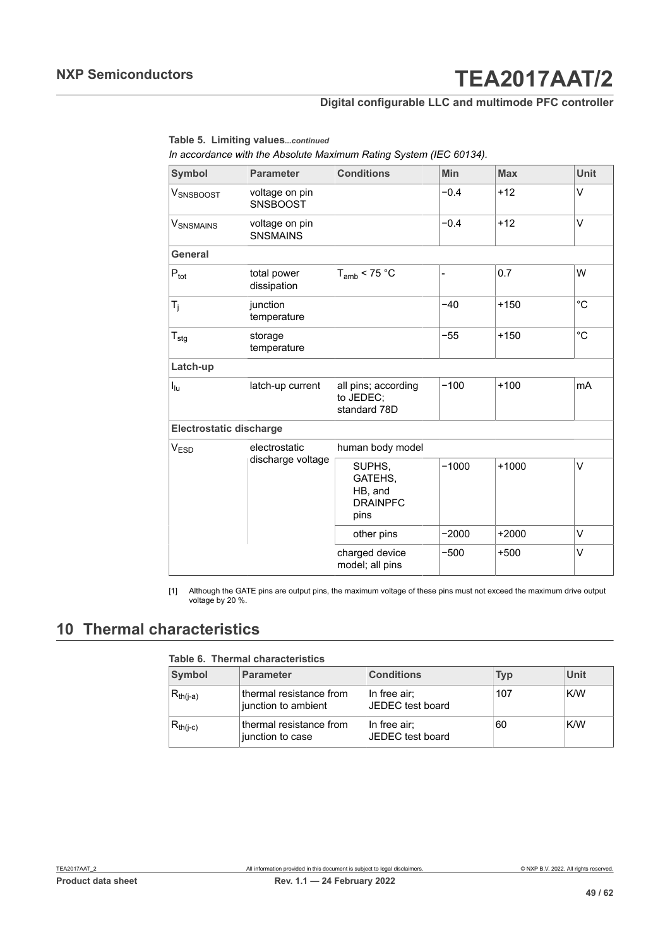### **Digital configurable LLC and multimode PFC controller**

<span id="page-48-1"></span>**Table 5. Limiting values***...continued*

*In accordance with the Absolute Maximum Rating System (IEC 60134).*

| <b>Symbol</b>                  | <b>Parameter</b>                  | <b>Conditions</b>                                       | <b>Min</b> | <b>Max</b> | <b>Unit</b>  |  |  |
|--------------------------------|-----------------------------------|---------------------------------------------------------|------------|------------|--------------|--|--|
| VSNSBOOST                      | voltage on pin<br><b>SNSBOOST</b> |                                                         | $-0.4$     | $+12$      | V            |  |  |
| <b>V</b> SNSMAINS              | voltage on pin<br><b>SNSMAINS</b> |                                                         | $-0.4$     | $+12$      | V            |  |  |
| General                        |                                   |                                                         |            |            |              |  |  |
| $P_{\text{tot}}$               | total power<br>dissipation        | $T_{amb}$ < 75 °C                                       | -          | 0.7        | W            |  |  |
| $T_j$                          | junction<br>temperature           |                                                         | $-40$      | $+150$     | $^{\circ}$ C |  |  |
| $T_{\text{stg}}$               | storage<br>temperature            |                                                         | $-55$      | $+150$     | $^{\circ}C$  |  |  |
| Latch-up                       |                                   |                                                         |            |            |              |  |  |
| $I_{\text{lu}}$                | latch-up current                  | all pins; according<br>to JEDEC;<br>standard 78D        | $-100$     | $+100$     | mA           |  |  |
| <b>Electrostatic discharge</b> |                                   |                                                         |            |            |              |  |  |
| V <sub>ESD</sub>               | electrostatic                     | human body model                                        |            |            |              |  |  |
|                                | discharge voltage                 | SUPHS,<br>GATEHS,<br>HB, and<br><b>DRAINPFC</b><br>pins | $-1000$    | $+1000$    | V            |  |  |
|                                |                                   | other pins                                              | $-2000$    | $+2000$    | V            |  |  |
|                                |                                   | charged device<br>model; all pins                       | $-500$     | $+500$     | V            |  |  |

[1] Although the GATE pins are output pins, the maximum voltage of these pins must not exceed the maximum drive output voltage by 20 %.

## <span id="page-48-0"></span>**10 Thermal characteristics**

**Table 6. Thermal characteristics**

| Symbol        | <b>Parameter</b>                               | <b>Conditions</b>                | Typ | Unit |
|---------------|------------------------------------------------|----------------------------------|-----|------|
| $R_{th(i-a)}$ | thermal resistance from<br>junction to ambient | In free air;<br>JEDEC test board | 107 | K/W  |
| $R_{th(i-c)}$ | thermal resistance from<br>junction to case    | In free air;<br>JEDEC test board | 60  | K/W  |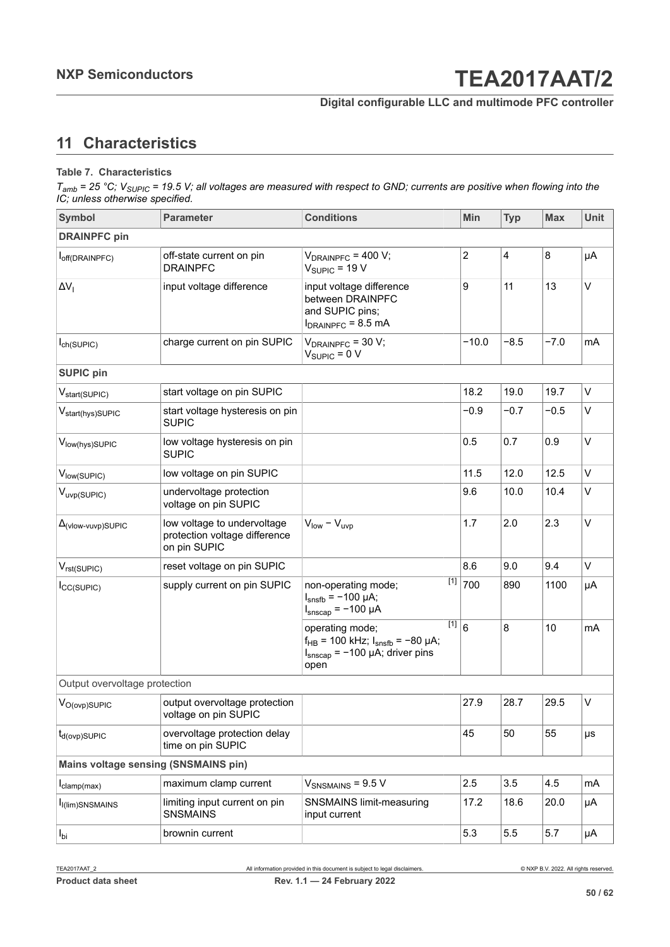### <span id="page-49-0"></span>**11 Characteristics**

#### **Table 7. Characteristics**

| Symbol                                      | <b>Parameter</b>                                                             | <b>Conditions</b>                                                                                                           | Min            | <b>Typ</b>     | <b>Max</b> | <b>Unit</b> |
|---------------------------------------------|------------------------------------------------------------------------------|-----------------------------------------------------------------------------------------------------------------------------|----------------|----------------|------------|-------------|
| <b>DRAINPFC pin</b>                         |                                                                              |                                                                                                                             |                |                |            |             |
| off(DRAINPFC)                               | off-state current on pin<br><b>DRAINPFC</b>                                  | $V_{DRAINPEG}$ = 400 V;<br>$V_{SUPIC}$ = 19 V                                                                               | $\overline{c}$ | $\overline{4}$ | 8          | μA          |
| $\Delta V_I$                                | input voltage difference                                                     | input voltage difference<br>between DRAINPFC<br>and SUPIC pins;<br>$I_{DRAINPFC}$ = 8.5 mA                                  | 9              | 11             | 13         | $\vee$      |
| $I_{ch(SUPIC)}$                             | charge current on pin SUPIC                                                  | $V_{DRAINPFC}$ = 30 V;<br>$V_{SUPIC} = 0 V$                                                                                 | $-10.0$        | $-8.5$         | $-7.0$     | mA          |
| <b>SUPIC pin</b>                            |                                                                              |                                                                                                                             |                |                |            |             |
| V <sub>start</sub> (SUPIC)                  | start voltage on pin SUPIC                                                   |                                                                                                                             | 18.2           | 19.0           | 19.7       | V           |
| V <sub>start(hys)SUPIC</sub>                | start voltage hysteresis on pin<br><b>SUPIC</b>                              |                                                                                                                             | $-0.9$         | $-0.7$         | $-0.5$     | V           |
| Vlow(hys)SUPIC                              | low voltage hysteresis on pin<br><b>SUPIC</b>                                |                                                                                                                             | 0.5            | 0.7            | 0.9        | $\vee$      |
| Vlow(SUPIC)                                 | low voltage on pin SUPIC                                                     |                                                                                                                             | 11.5           | 12.0           | 12.5       | $\vee$      |
| V <sub>uvp(SUPIC)</sub>                     | undervoltage protection<br>voltage on pin SUPIC                              |                                                                                                                             | 9.6            | 10.0           | 10.4       | V           |
| $\Delta$ <sub>(Vlow-Vuvp)</sub> SUPIC       | low voltage to undervoltage<br>protection voltage difference<br>on pin SUPIC | $V_{low} - V_{uvw}$                                                                                                         | 1.7            | 2.0            | 2.3        | $\vee$      |
| $V_{rst(SUPIC)}$                            | reset voltage on pin SUPIC                                                   |                                                                                                                             | 8.6            | 9.0            | 9.4        | V           |
| $I_{CC(SUPIC)}$                             | supply current on pin SUPIC                                                  | $[1]$<br>non-operating mode;<br>$I_{snsfb} = -100 \mu A;$<br>$I_{\text{smscap}} = -100 \mu A$                               | 700            | 890            | 1100       | μA          |
|                                             |                                                                              | $[1]$<br>operating mode;<br>$f_{HB}$ = 100 kHz; $I_{snsfb}$ = -80 µA;<br>$I_{\text{snscap}}$ = -100 µA; driver pins<br>open | $6\phantom{a}$ | 8              | 10         | mA          |
| Output overvoltage protection               |                                                                              |                                                                                                                             |                |                |            |             |
| V <sub>O(ovp)</sub> SUPIC                   | output overvoltage protection<br>voltage on pin SUPIC                        |                                                                                                                             | 27.9           | 28.7           | 29.5       | $\vee$      |
| $t_{d(ovp)$ SUPIC                           | overvoltage protection delay<br>time on pin SUPIC                            |                                                                                                                             | 45             | 50             | 55         | μs          |
| <b>Mains voltage sensing (SNSMAINS pin)</b> |                                                                              |                                                                                                                             |                |                |            |             |
| $I_{clamp(max)}$                            | maximum clamp current                                                        | $V_{SNSMAINS}$ = 9.5 V                                                                                                      | 2.5            | 3.5            | 4.5        | mA          |
| I <sub>I</sub> (lim)SNSMAINS                | limiting input current on pin<br><b>SNSMAINS</b>                             | <b>SNSMAINS limit-measuring</b><br>input current                                                                            | 17.2           | 18.6           | 20.0       | μA          |
| $I_{\text{bi}}$                             | brownin current                                                              |                                                                                                                             | 5.3            | 5.5            | 5.7        | μA          |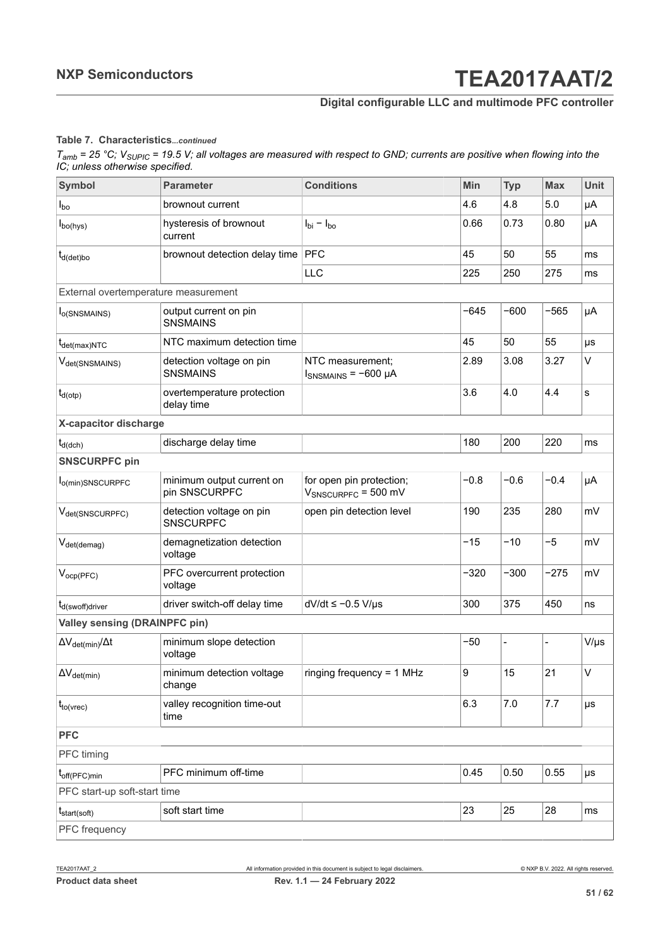### **Digital configurable LLC and multimode PFC controller**

#### **Table 7. Characteristics***...continued*

| Symbol                                | <b>Parameter</b>                             | <b>Conditions</b>                                    | Min    | <b>Typ</b>               | <b>Max</b> | <b>Unit</b> |
|---------------------------------------|----------------------------------------------|------------------------------------------------------|--------|--------------------------|------------|-------------|
| $I_{\text{bo}}$                       | brownout current                             |                                                      | 4.6    | 4.8                      | 5.0        | μA          |
| $I_{\text{bo(hys)}}$                  | hysteresis of brownout<br>current            | $I_{\text{bi}} - I_{\text{bo}}$                      | 0.66   | 0.73                     | 0.80       | μA          |
| $t_{d(det)bo}$                        | brownout detection delay time                | <b>PFC</b>                                           | 45     | 50                       | 55         | ms          |
|                                       |                                              | <b>LLC</b>                                           | 225    | 250                      | 275        | ms          |
| External overtemperature measurement  |                                              |                                                      |        |                          |            |             |
| l <sub>o</sub> (SNSMAINS)             | output current on pin<br><b>SNSMAINS</b>     |                                                      | $-645$ | $-600$                   | $-565$     | μA          |
| $t_{\text{det(max)NTC}}$              | NTC maximum detection time                   |                                                      | 45     | 50                       | 55         | μs          |
| V <sub>det(SNSMAINS)</sub>            | detection voltage on pin<br><b>SNSMAINS</b>  | NTC measurement;<br>$I_{SNSMAINS}$ = -600 µA         | 2.89   | 3.08                     | 3.27       | V           |
| $t_{d(\text{otp})}$                   | overtemperature protection<br>delay time     |                                                      | 3.6    | 4.0                      | 4.4        | s           |
| X-capacitor discharge                 |                                              |                                                      |        |                          |            |             |
| $t_{d(dch)}$                          | discharge delay time                         |                                                      | 180    | 200                      | 220        | ms          |
| <b>SNSCURPFC pin</b>                  |                                              |                                                      |        |                          |            |             |
| l <sub>o(min)</sub> SNSCURPFC         | minimum output current on<br>pin SNSCURPFC   | for open pin protection;<br>$V_{SNSCURPEC}$ = 500 mV | $-0.8$ | $-0.6$                   | $-0.4$     | μA          |
| V <sub>det</sub> (SNSCURPFC)          | detection voltage on pin<br><b>SNSCURPFC</b> | open pin detection level                             | 190    | 235                      | 280        | mV          |
| $V_{\text{det(demag)}}$               | demagnetization detection<br>voltage         |                                                      | $-15$  | $-10$                    | $-5$       | mV          |
| $V_{ocp(PFC)}$                        | PFC overcurrent protection<br>voltage        |                                                      | $-320$ | $-300$                   | $-275$     | mV          |
| $t_{d$ (swoff)driver                  | driver switch-off delay time                 | $dV/dt \le -0.5 V/\mu s$                             | 300    | 375                      | 450        | ns          |
| <b>Valley sensing (DRAINPFC pin)</b>  |                                              |                                                      |        |                          |            |             |
| $\Delta V_{\text{det(min)}}/\Delta t$ | minimum slope detection<br>voltage           |                                                      | $-50$  | $\overline{\phantom{0}}$ |            | $V/\mu s$   |
| $\Delta V_{det(min)}$                 | minimum detection voltage<br>change          | ringing frequency = $1$ MHz                          | 9      | 15                       | 21         | V           |
| $t_{to(vrec)}$                        | valley recognition time-out<br>time          |                                                      | 6.3    | 7.0                      | 7.7        | μs          |
| <b>PFC</b>                            |                                              |                                                      |        |                          |            |             |
| PFC timing                            |                                              |                                                      |        |                          |            |             |
| $t_{off(PFC)min}$                     | PFC minimum off-time                         |                                                      | 0.45   | 0.50                     | 0.55       | μs          |
| PFC start-up soft-start time          |                                              |                                                      |        |                          |            |             |
| $t_{start(soft)}$                     | soft start time                              |                                                      | 23     | 25                       | 28         | ms          |
| PFC frequency                         |                                              |                                                      |        |                          |            |             |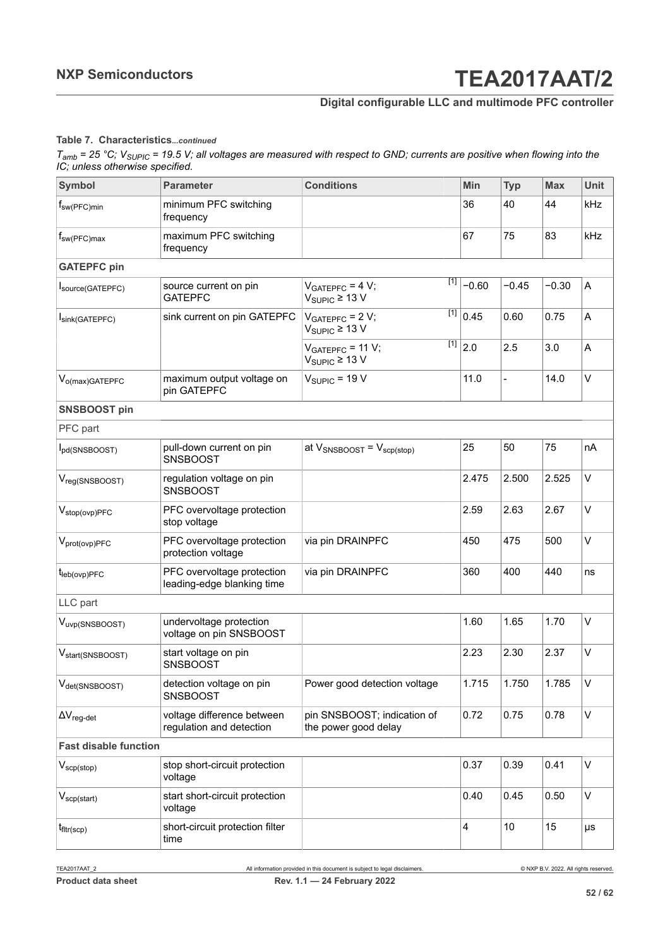### **Digital configurable LLC and multimode PFC controller**

#### **Table 7. Characteristics***...continued*

| Symbol                                 | <b>Parameter</b>                                         | <b>Conditions</b>                                                  | Min     | <b>Typ</b>     | <b>Max</b> | <b>Unit</b> |
|----------------------------------------|----------------------------------------------------------|--------------------------------------------------------------------|---------|----------------|------------|-------------|
| $f_{sw(PFC)min}$                       | minimum PFC switching<br>frequency                       |                                                                    | 36      | 40             | 44         | <b>kHz</b>  |
| $f_{sw(PFC)max}$                       | maximum PFC switching<br>frequency                       |                                                                    | 67      | 75             | 83         | kHz         |
| <b>GATEPFC</b> pin                     |                                                          |                                                                    |         |                |            |             |
| Source(GATEPFC)                        | source current on pin<br><b>GATEPFC</b>                  | $[1]$<br>$VGATEPFC = 4 V;$<br>$V_{SIPIC} \geq 13 V$                | $-0.60$ | $-0.45$        | $-0.30$    | A           |
| Isink(GATEPFC)                         | sink current on pin GATEPFC                              | $[1]$<br>$VGATEPFC = 2 V;$<br>$V_{\text{SUPIC}} \geq 13 \text{ V}$ | 0.45    | 0.60           | 0.75       | A           |
|                                        |                                                          | [1]<br>$VGATEPFC = 11 V;$<br>$V_{\text{SUPIC}} \geq 13 \text{ V}$  | 2.0     | 2.5            | 3.0        | A           |
| V <sub>o(max)</sub> GATEPFC            | maximum output voltage on<br>pin GATEPFC                 | $V_{SIPIC}$ = 19 V                                                 | 11.0    | $\blacksquare$ | 14.0       | $\vee$      |
| <b>SNSBOOST pin</b>                    |                                                          |                                                                    |         |                |            |             |
| PFC part                               |                                                          |                                                                    |         |                |            |             |
| I <sub>pd</sub> (SNSBOOST)             | pull-down current on pin<br><b>SNSBOOST</b>              | at $V_{SNSBOOST} = V_{scp(stop)}$                                  | 25      | 50             | 75         | nA          |
| V <sub>reg(SNSBOOST)</sub>             | regulation voltage on pin<br><b>SNSBOOST</b>             |                                                                    | 2.475   | 2.500          | 2.525      | V           |
| $V_{stop(ovp)PFC}$                     | PFC overvoltage protection<br>stop voltage               |                                                                    | 2.59    | 2.63           | 2.67       | V           |
| $V_{prot(ovp)PFC}$                     | PFC overvoltage protection<br>protection voltage         | via pin DRAINPFC                                                   | 450     | 475            | 500        | V           |
| $t_{\text{leb}(\text{ovp})\text{PFC}}$ | PFC overvoltage protection<br>leading-edge blanking time | via pin DRAINPFC                                                   | 360     | 400            | 440        | ns          |
| LLC part                               |                                                          |                                                                    |         |                |            |             |
| V <sub>uvp(SNSBOOST)</sub>             | undervoltage protection<br>voltage on pin SNSBOOST       |                                                                    | 1.60    | 1.65           | 1.70       | V           |
| V <sub>start</sub> (SNSBOOST)          | start voltage on pin<br><b>SNSBOOST</b>                  |                                                                    | 2.23    | 2.30           | 2.37       | $\vee$      |
| V <sub>det(SNSBOOST)</sub>             | detection voltage on pin<br><b>SNSBOOST</b>              | Power good detection voltage                                       | 1.715   | 1.750          | 1.785      | V           |
| $\Delta V_{\text{reg-det}}$            | voltage difference between<br>regulation and detection   | pin SNSBOOST; indication of<br>the power good delay                | 0.72    | 0.75           | 0.78       | V           |
| <b>Fast disable function</b>           |                                                          |                                                                    |         |                |            |             |
| $V_{\text{scp}(\text{stop})}$          | stop short-circuit protection<br>voltage                 |                                                                    | 0.37    | 0.39           | 0.41       | V           |
| $V_{\text{scp}(\text{start})}$         | start short-circuit protection<br>voltage                |                                                                    | 0.40    | 0.45           | 0.50       | V           |
| $t_{\text{fltr}(\text{scp})}$          | short-circuit protection filter<br>time                  |                                                                    | 4       | 10             | 15         | μs          |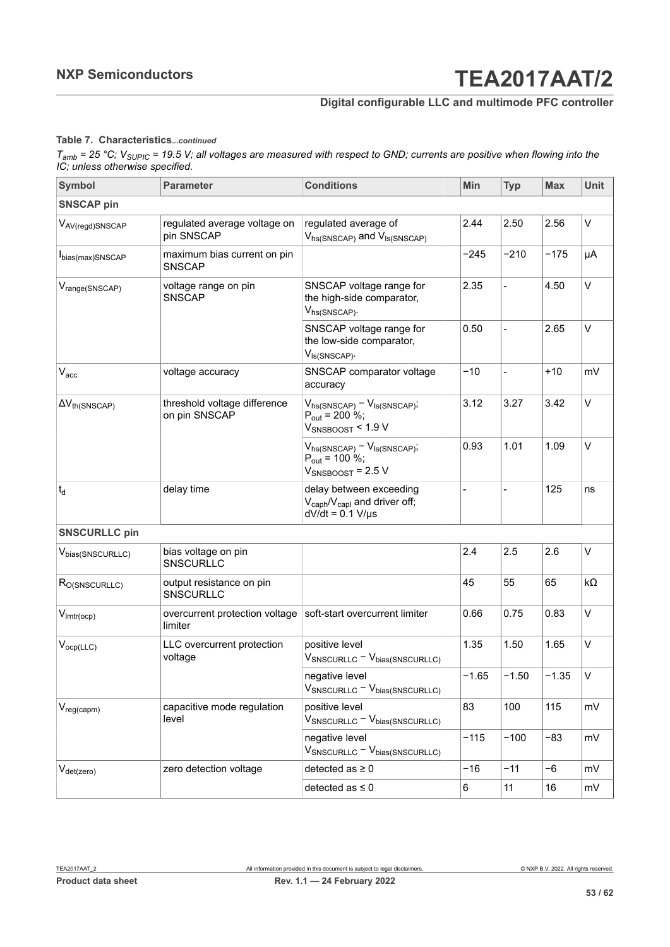### **Digital configurable LLC and multimode PFC controller**

#### **Table 7. Characteristics***...continued*

| <b>Symbol</b>                 | <b>Parameter</b>                              | <b>Conditions</b>                                                                       | <b>Min</b> | <b>Typ</b>               | <b>Max</b> | <b>Unit</b> |
|-------------------------------|-----------------------------------------------|-----------------------------------------------------------------------------------------|------------|--------------------------|------------|-------------|
| <b>SNSCAP pin</b>             |                                               |                                                                                         |            |                          |            |             |
| V <sub>AV(regd)SNSCAP</sub>   | regulated average voltage on<br>pin SNSCAP    | regulated average of<br>Vhs(SNSCAP) and V <sub>IS(SNSCAP)</sub>                         | 2.44       | 2.50                     | 2.56       | V           |
| bias(max)SNSCAP               | maximum bias current on pin<br><b>SNSCAP</b>  |                                                                                         | $-245$     | $-210$                   | $-175$     | μA          |
| V <sub>range</sub> (SNSCAP)   | voltage range on pin<br><b>SNSCAP</b>         | SNSCAP voltage range for<br>the high-side comparator,<br>Vhs(SNSCAP).                   | 2.35       |                          | 4.50       | V           |
|                               |                                               | SNSCAP voltage range for<br>the low-side comparator,<br>$V_{\text{Is(SNSCAP)}}$ .       | 0.50       | $\overline{\phantom{a}}$ | 2.65       | $\vee$      |
| $V_{\mathrm{acc}}$            | voltage accuracy                              | SNSCAP comparator voltage<br>accuracy                                                   | $-10$      |                          | $+10$      | mV          |
| $\Delta V_{th(SNSCAP)}$       | threshold voltage difference<br>on pin SNSCAP | $V_{hs(SNSCAP)} - V_{ls(SNSCAP)}$ ;<br>$P_{out}$ = 200 %;<br>$V_{SNSBOOST}$ < 1.9 V     | 3.12       | 3.27                     | 3.42       | $\vee$      |
|                               |                                               | $V_{hs(SNSCAP)} - V_{ls(SNSCAP)}$<br>$P_{out}$ = 100 %;<br>$V_{SNSBOOST}$ = 2.5 V       | 0.93       | 1.01                     | 1.09       | $\vee$      |
| $t_d$                         | delay time                                    | delay between exceeding<br>$V_{caph}/V_{capl}$ and driver off;<br>$dV/dt = 0.1 V/\mu s$ |            |                          | 125        | ns          |
| <b>SNSCURLLC pin</b>          |                                               |                                                                                         |            |                          |            |             |
| V <sub>bias</sub> (SNSCURLLC) | bias voltage on pin<br><b>SNSCURLLC</b>       |                                                                                         | 2.4        | 2.5                      | 2.6        | $\vee$      |
| R <sub>O(SNSCURLLC)</sub>     | output resistance on pin<br>SNSCURLLC         |                                                                                         | 45         | 55                       | 65         | $k\Omega$   |
| $V_{\text{lmtr}(\text{ocp})}$ | overcurrent protection voltage<br>limiter     | soft-start overcurrent limiter                                                          | 0.66       | 0.75                     | 0.83       | $\vee$      |
| $V_{ocp(\text{LLC})}$         | LLC overcurrent protection<br>voltage         | positive level<br>$V_{SNSCURLC} - V_{bias(SNSCURLC)}$                                   | 1.35       | 1.50                     | 1.65       | V           |
|                               |                                               | negative level<br>$V_{SNSCURLC} - V_{bias(SNSCURLC)}$                                   | $-1.65$    | $-1.50$                  | $-1.35$    | V           |
| $V_{reg(capm)}$               | capacitive mode regulation<br>level           | positive level<br>$V_{SNSCURLC} - V_{bias(SNSCURLC)}$                                   | 83         | 100                      | 115        | mV          |
|                               |                                               | negative level<br>$V_{SNSCURLC} - V_{bias(SNSCURLC)}$                                   | $-115$     | $-100$                   | -83        | mV          |
| $V_{\text{det}(zero)}$        | zero detection voltage                        | detected as $\geq 0$                                                                    | $-16$      | $-11$                    | $-6$       | mV          |
|                               |                                               | detected as $\leq 0$                                                                    | 6          | 11                       | 16         | mV          |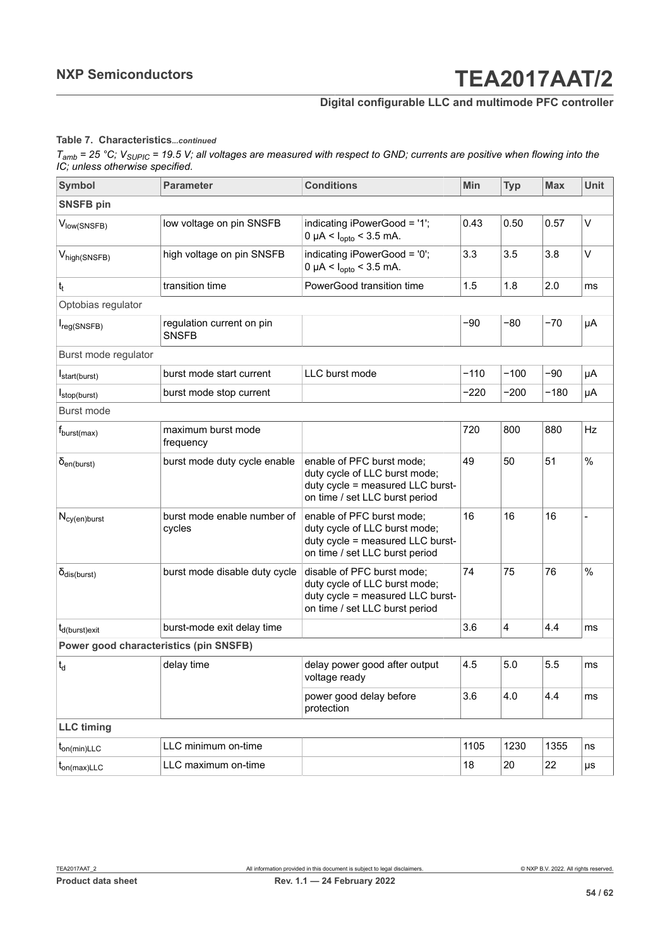### **Digital configurable LLC and multimode PFC controller**

#### **Table 7. Characteristics***...continued*

| <b>Symbol</b>                          | <b>Parameter</b>                          | <b>Conditions</b>                                                                                                                 | Min    | <b>Typ</b> | <b>Max</b> | <b>Unit</b> |  |  |
|----------------------------------------|-------------------------------------------|-----------------------------------------------------------------------------------------------------------------------------------|--------|------------|------------|-------------|--|--|
| <b>SNSFB pin</b>                       |                                           |                                                                                                                                   |        |            |            |             |  |  |
| Vlow(SNSFB)                            | low voltage on pin SNSFB                  | indicating iPowerGood = '1';<br>0 µA < $I_{\text{opto}}$ < 3.5 mA.                                                                | 0.43   | 0.50       | 0.57       | $\vee$      |  |  |
| $V_{high(SNSFB)}$                      | high voltage on pin SNSFB                 | indicating iPowerGood = '0';<br>0 µA < $I_{\text{opto}}$ < 3.5 mA.                                                                | 3.3    | 3.5        | 3.8        | V           |  |  |
| $t_t$                                  | transition time                           | PowerGood transition time                                                                                                         | 1.5    | 1.8        | 2.0        | ms          |  |  |
| Optobias regulator                     |                                           |                                                                                                                                   |        |            |            |             |  |  |
| $I_{reg(SNSFB)}$                       | regulation current on pin<br><b>SNSFB</b> |                                                                                                                                   | $-90$  | $-80$      | $-70$      | μA          |  |  |
| Burst mode regulator                   |                                           |                                                                                                                                   |        |            |            |             |  |  |
| I <sub>start</sub> (burst)             | burst mode start current                  | LLC burst mode                                                                                                                    | $-110$ | $-100$     | -90        | μA          |  |  |
| stop(burst)                            | burst mode stop current                   |                                                                                                                                   | $-220$ | $-200$     | $-180$     | μA          |  |  |
| <b>Burst mode</b>                      |                                           |                                                                                                                                   |        |            |            |             |  |  |
| $f_{burst(max)}$                       | maximum burst mode<br>frequency           |                                                                                                                                   | 720    | 800        | 880        | <b>Hz</b>   |  |  |
| $\delta_{en(burst)}$                   | burst mode duty cycle enable              | enable of PFC burst mode;<br>duty cycle of LLC burst mode;<br>duty cycle = measured LLC burst-<br>on time / set LLC burst period  | 49     | 50         | 51         | $\%$        |  |  |
| $N_{cy(en)burst}$                      | burst mode enable number of<br>cycles     | enable of PFC burst mode;<br>duty cycle of LLC burst mode;<br>duty cycle = measured LLC burst-<br>on time / set LLC burst period  | 16     | 16         | 16         |             |  |  |
| $\delta_{dis(burst)}$                  | burst mode disable duty cycle             | disable of PFC burst mode;<br>duty cycle of LLC burst mode;<br>duty cycle = measured LLC burst-<br>on time / set LLC burst period | 74     | 75         | 76         | $\%$        |  |  |
| t <sub>d</sub> (burst)exit             | burst-mode exit delay time                |                                                                                                                                   | 3.6    | 4          | 4.4        | ms          |  |  |
| Power good characteristics (pin SNSFB) |                                           |                                                                                                                                   |        |            |            |             |  |  |
| $t_d$                                  | delay time                                | delay power good after output<br>voltage ready                                                                                    | 4.5    | 5.0        | 5.5        | ms          |  |  |
|                                        |                                           | power good delay before<br>protection                                                                                             | 3.6    | 4.0        | 4.4        | ms          |  |  |
| <b>LLC</b> timing                      |                                           |                                                                                                                                   |        |            |            |             |  |  |
| $t_{on(min)LLC}$                       | LLC minimum on-time                       |                                                                                                                                   | 1105   | 1230       | 1355       | ns          |  |  |
| $t_{on(max)LLC}$                       | LLC maximum on-time                       |                                                                                                                                   | 18     | 20         | 22         | μs          |  |  |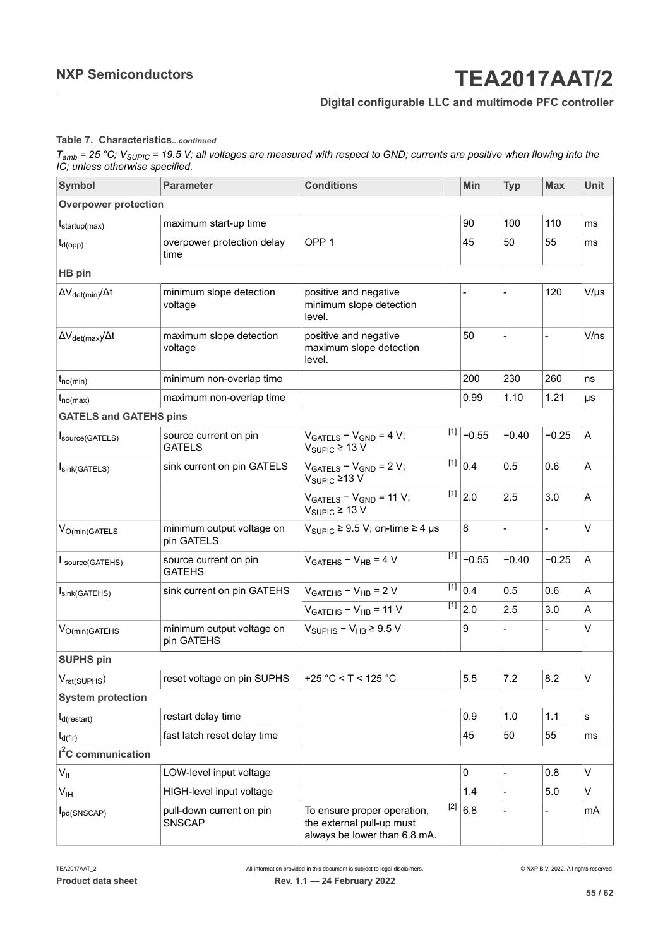### **Digital configurable LLC and multimode PFC controller**

#### **Table 7. Characteristics***...continued*

| <b>Symbol</b>                         | <b>Parameter</b>                          | <b>Conditions</b>                                                                                 | Min                  | <b>Typ</b>     | <b>Max</b>               | <b>Unit</b> |
|---------------------------------------|-------------------------------------------|---------------------------------------------------------------------------------------------------|----------------------|----------------|--------------------------|-------------|
| <b>Overpower protection</b>           |                                           |                                                                                                   |                      |                |                          |             |
| $t_{\text{startup(max)}}$             | maximum start-up time                     |                                                                                                   | 90                   | 100            | 110                      | ms          |
| $t_{d(opp)}$                          | overpower protection delay<br>time        | OPP <sub>1</sub>                                                                                  | 45                   | 50             | 55                       | ms          |
| HB pin                                |                                           |                                                                                                   |                      |                |                          |             |
| $\Delta V_{\text{det(min)}}/\Delta t$ | minimum slope detection<br>voltage        | positive and negative<br>minimum slope detection<br>level.                                        |                      |                | 120                      | $V/\mu s$   |
| $\Delta V_{\text{det(max)}}/\Delta t$ | maximum slope detection<br>voltage        | positive and negative<br>maximum slope detection<br>level.                                        | 50                   |                |                          | V/ns        |
| $t_{no(min)}$                         | minimum non-overlap time                  |                                                                                                   | 200                  | 230            | 260                      | ns          |
| $t_{no(max)}$                         | maximum non-overlap time                  |                                                                                                   | 0.99                 | 1.10           | 1.21                     | μs          |
| <b>GATELS and GATEHS pins</b>         |                                           |                                                                                                   |                      |                |                          |             |
| Source(GATELS)                        | source current on pin<br><b>GATELS</b>    | $[1]$<br>$VGATELS - VGND = 4 V;$<br>$V_{SIPIC} \ge 13 V$                                          | $-0.55$              | $-0.40$        | $-0.25$                  | A           |
| Isink(GATELS)                         | sink current on pin GATELS                | $VGATELS - VGND = 2 V;$<br>$V_{\text{SUPIC}}$ ≥13 V                                               | $\overline{[1]}$ 0.4 | 0.5            | 0.6                      | A           |
|                                       |                                           | $[1]$<br>$VGATELS - VGND = 11 V;$<br>$V_{\text{SUPIC}} \geq 13 \text{ V}$                         | 2.0                  | 2.5            | 3.0                      | A           |
| $\rm V_{O(min)GATELS}$                | minimum output voltage on<br>pin GATELS   | $V_{\text{SUPIC}}$ ≥ 9.5 V; on-time ≥ 4 µs                                                        | 8                    | $\blacksquare$ | $\overline{\phantom{a}}$ | $\vee$      |
| Source(GATEHS)                        | source current on pin<br><b>GATEHS</b>    | [1]<br>$VGATEHS - VHB = 4 V$                                                                      | $-0.55$              | $-0.40$        | $-0.25$                  | A           |
| Isink(GATEHS)                         | sink current on pin GATEHS                | $[1]$<br>$V_{GATEHS} - V_{HB} = 2 V$                                                              | 0.4                  | 0.5            | 0.6                      | A           |
|                                       |                                           | [1]<br>$VGATEHS - VHB = 11 V$                                                                     | 2.0                  | 2.5            | 3.0                      | A           |
| $\rm V_{O(min)GATEHS}$                | minimum output voltage on<br>pin GATEHS   | $V_{\text{SUPHS}} - V_{\text{HB}} \geq 9.5 \text{ V}$                                             | 9                    |                |                          | $\vee$      |
| <b>SUPHS pin</b>                      |                                           |                                                                                                   |                      |                |                          |             |
| $V_{rst(SUPHS)}$                      | reset voltage on pin SUPHS                | +25 °C < T < 125 °C                                                                               | 5.5                  | 7.2            | 8.2                      | V           |
| <b>System protection</b>              |                                           |                                                                                                   |                      |                |                          |             |
| $t_{d(restart)}$                      | restart delay time                        |                                                                                                   | 0.9                  | 1.0            | 1.1                      | s           |
| $t_{d(f r)}$                          | fast latch reset delay time               |                                                                                                   | 45                   | 50             | 55                       | ms          |
| $I2C$ communication                   |                                           |                                                                                                   |                      |                |                          |             |
| $V_{IL}$                              | LOW-level input voltage                   |                                                                                                   | $\mathbf 0$          | $\overline{a}$ | 0.8                      | $\vee$      |
| $V_{\text{IH}}$                       | HIGH-level input voltage                  |                                                                                                   | 1.4                  | $\blacksquare$ | 5.0                      | V           |
| I <sub>pd</sub> (SNSCAP)              | pull-down current on pin<br><b>SNSCAP</b> | $[2]$<br>To ensure proper operation,<br>the external pull-up must<br>always be lower than 6.8 mA. | 6.8                  |                |                          | mA          |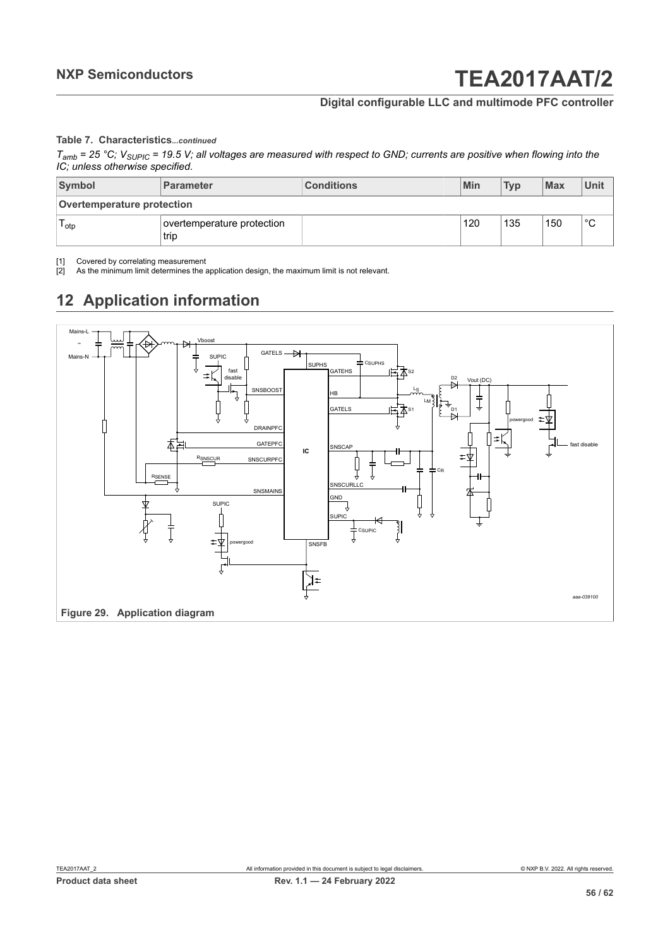### **Digital configurable LLC and multimode PFC controller**

#### **Table 7. Characteristics***...continued*

<span id="page-55-2"></span><span id="page-55-1"></span>*Tamb = 25 °C; VSUPIC = 19.5 V; all voltages are measured with respect to GND; currents are positive when flowing into the IC; unless otherwise specified.*

| Symbol                     | Parameter                          | <b>Conditions</b> | Min | <b>Typ</b> | <b>Max</b> | Unit        |
|----------------------------|------------------------------------|-------------------|-----|------------|------------|-------------|
| Overtemperature protection |                                    |                   |     |            |            |             |
| l otp                      | overtemperature protection<br>trip |                   | 120 | 135        | 150        | $\sim$<br>ັ |

[1] Covered by correlating measurement<br>[2] As the minimum limit determines the a

As the minimum limit determines the application design, the maximum limit is not relevant.

## <span id="page-55-3"></span>**12 Application information**

<span id="page-55-0"></span>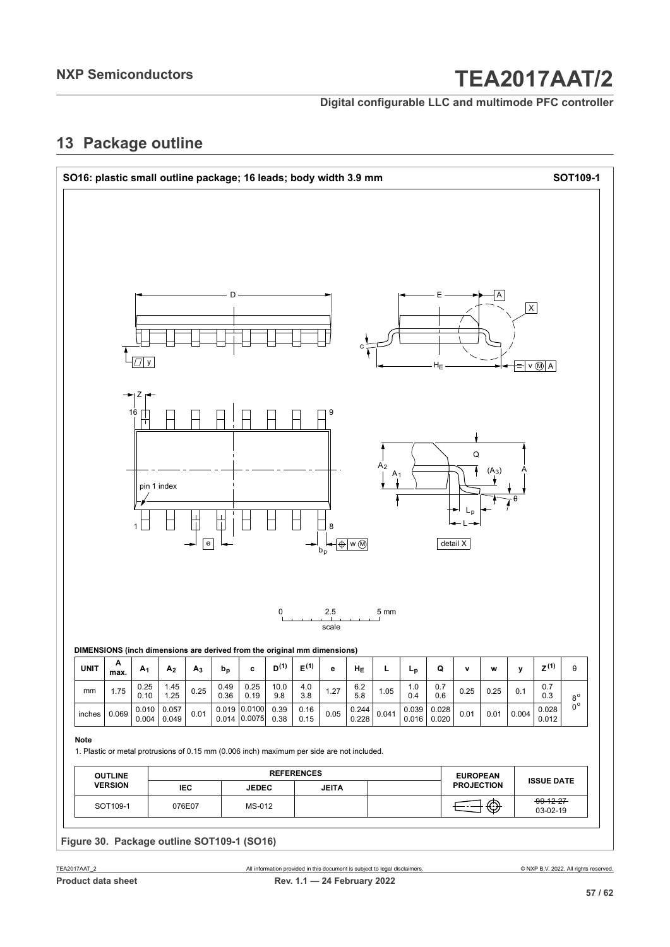**Digital configurable LLC and multimode PFC controller**

### <span id="page-56-0"></span>**13 Package outline**

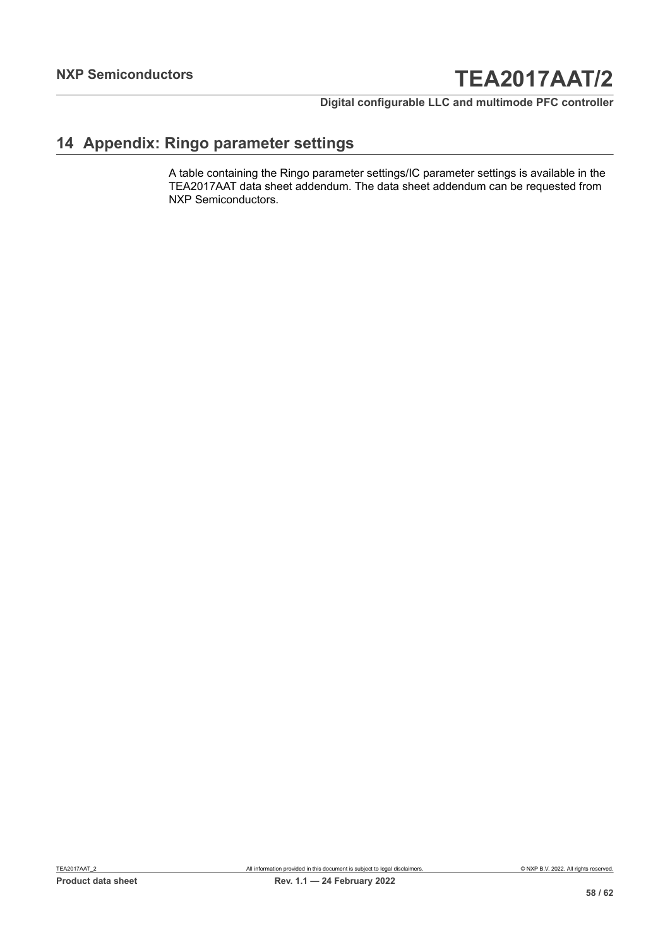**Digital configurable LLC and multimode PFC controller**

### <span id="page-57-0"></span>**14 Appendix: Ringo parameter settings**

A table containing the Ringo parameter settings/IC parameter settings is available in the TEA2017AAT data sheet addendum. The data sheet addendum can be requested from NXP Semiconductors.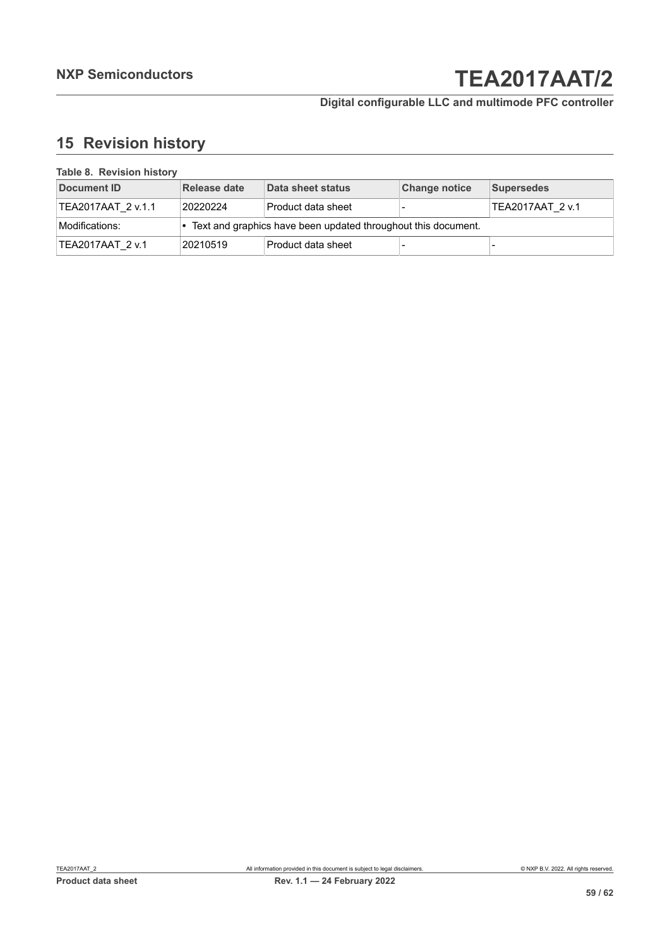### **Digital configurable LLC and multimode PFC controller**

### <span id="page-58-0"></span>**15 Revision history**

| <b>I AVIG 0. INGVISION INSIDIV</b> |              |                                                                 |                      |                  |  |  |
|------------------------------------|--------------|-----------------------------------------------------------------|----------------------|------------------|--|--|
| Document ID                        | Release date | Data sheet status                                               | <b>Change notice</b> | Supersedes       |  |  |
| TEA2017AAT 2 v.1.1                 | 20220224     | Product data sheet                                              |                      | TEA2017AAT 2 v.1 |  |  |
| Modifications:                     |              | • Text and graphics have been updated throughout this document. |                      |                  |  |  |
| TEA2017AAT 2 v.1                   | 20210519     | Product data sheet                                              |                      |                  |  |  |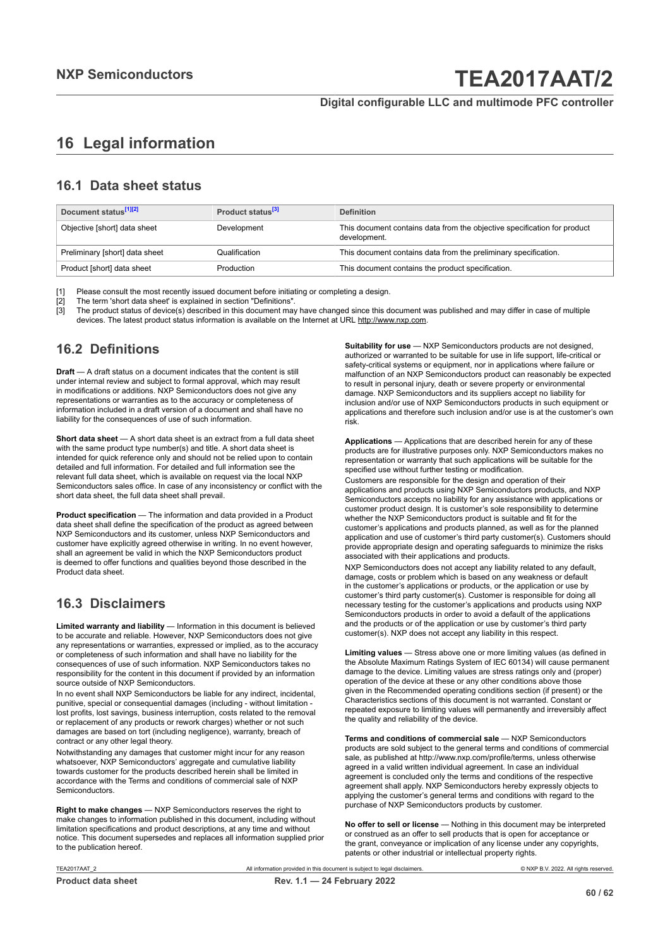### <span id="page-59-0"></span>**16 Legal information**

### **16.1 Data sheet status**

| Document status <sup>[1][2]</sup> | Product status <sup>[3]</sup> | <b>Definition</b>                                                                        |
|-----------------------------------|-------------------------------|------------------------------------------------------------------------------------------|
| Objective [short] data sheet      | Development                   | This document contains data from the objective specification for product<br>development. |
| Preliminary [short] data sheet    | Qualification                 | This document contains data from the preliminary specification.                          |
| Product [short] data sheet        | Production                    | This document contains the product specification.                                        |

[1] Please consult the most recently issued document before initiating or completing a design.<br>[2] The term 'short data sheet' is explained in section "Definitions".

[2] The term 'short data sheet' is explained in section "Definitions".<br>[2] The term 'short data sheet' is explained in section "Definitions".

[3] The product status of device(s) described in this document may have changed since this document was published and may differ in case of multiple devices. The latest product status information is available on the Internet at URL http://www.nxp.com.

### **16.2 Definitions**

**Draft** — A draft status on a document indicates that the content is still under internal review and subject to formal approval, which may result in modifications or additions. NXP Semiconductors does not give any representations or warranties as to the accuracy or completeness of information included in a draft version of a document and shall have no liability for the consequences of use of such information.

**Short data sheet** — A short data sheet is an extract from a full data sheet with the same product type number(s) and title. A short data sheet is intended for quick reference only and should not be relied upon to contain detailed and full information. For detailed and full information see the relevant full data sheet, which is available on request via the local NXP Semiconductors sales office. In case of any inconsistency or conflict with the short data sheet, the full data sheet shall prevail.

**Product specification** — The information and data provided in a Product data sheet shall define the specification of the product as agreed between NXP Semiconductors and its customer, unless NXP Semiconductors and customer have explicitly agreed otherwise in writing. In no event however, shall an agreement be valid in which the NXP Semiconductors product is deemed to offer functions and qualities beyond those described in the Product data sheet.

### **16.3 Disclaimers**

**Limited warranty and liability** — Information in this document is believed to be accurate and reliable. However, NXP Semiconductors does not give any representations or warranties, expressed or implied, as to the accuracy or completeness of such information and shall have no liability for the consequences of use of such information. NXP Semiconductors takes no responsibility for the content in this document if provided by an information source outside of NXP Semiconductors.

In no event shall NXP Semiconductors be liable for any indirect, incidental, punitive, special or consequential damages (including - without limitation lost profits, lost savings, business interruption, costs related to the removal or replacement of any products or rework charges) whether or not such damages are based on tort (including negligence), warranty, breach of contract or any other legal theory.

Notwithstanding any damages that customer might incur for any reason whatsoever, NXP Semiconductors' aggregate and cumulative liability towards customer for the products described herein shall be limited in accordance with the Terms and conditions of commercial sale of NXP Semiconductors.

**Right to make changes** — NXP Semiconductors reserves the right to make changes to information published in this document, including without limitation specifications and product descriptions, at any time and without notice. This document supersedes and replaces all information supplied prior to the publication hereof.

**Suitability for use** — NXP Semiconductors products are not designed, authorized or warranted to be suitable for use in life support, life-critical or safety-critical systems or equipment, nor in applications where failure or malfunction of an NXP Semiconductors product can reasonably be expected to result in personal injury, death or severe property or environmental damage. NXP Semiconductors and its suppliers accept no liability for inclusion and/or use of NXP Semiconductors products in such equipment or applications and therefore such inclusion and/or use is at the customer's own risk.

**Applications** — Applications that are described herein for any of these products are for illustrative purposes only. NXP Semiconductors makes no representation or warranty that such applications will be suitable for the specified use without further testing or modification.

Customers are responsible for the design and operation of their applications and products using NXP Semiconductors products, and NXP Semiconductors accepts no liability for any assistance with applications or customer product design. It is customer's sole responsibility to determine whether the NXP Semiconductors product is suitable and fit for the customer's applications and products planned, as well as for the planned application and use of customer's third party customer(s). Customers should provide appropriate design and operating safeguards to minimize the risks associated with their applications and products.

NXP Semiconductors does not accept any liability related to any default, damage, costs or problem which is based on any weakness or default in the customer's applications or products, or the application or use by customer's third party customer(s). Customer is responsible for doing all necessary testing for the customer's applications and products using NXP Semiconductors products in order to avoid a default of the applications and the products or of the application or use by customer's third party customer(s). NXP does not accept any liability in this respect.

**Limiting values** — Stress above one or more limiting values (as defined in the Absolute Maximum Ratings System of IEC 60134) will cause permanent damage to the device. Limiting values are stress ratings only and (proper) operation of the device at these or any other conditions above those given in the Recommended operating conditions section (if present) or the Characteristics sections of this document is not warranted. Constant or repeated exposure to limiting values will permanently and irreversibly affect the quality and reliability of the device.

**Terms and conditions of commercial sale** — NXP Semiconductors products are sold subject to the general terms and conditions of commercial sale, as published at http://www.nxp.com/profile/terms, unless otherwise agreed in a valid written individual agreement. In case an individual agreement is concluded only the terms and conditions of the respective agreement shall apply. NXP Semiconductors hereby expressly objects to applying the customer's general terms and conditions with regard to the purchase of NXP Semiconductors products by customer.

**No offer to sell or license** — Nothing in this document may be interpreted or construed as an offer to sell products that is open for acceptance or the grant, conveyance or implication of any license under any copyrights, patents or other industrial or intellectual property rights.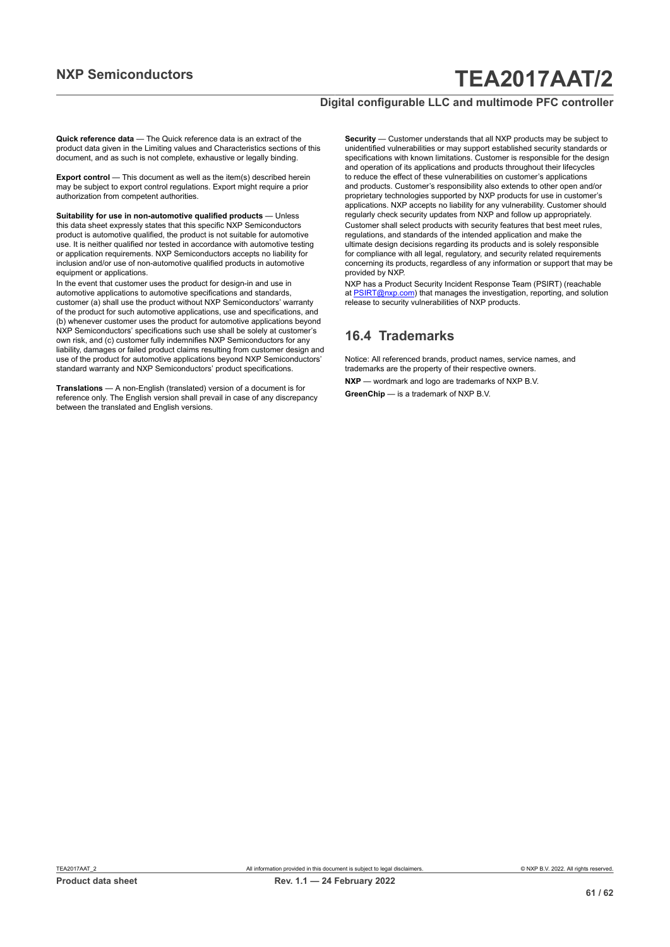#### **Digital configurable LLC and multimode PFC controller**

**Quick reference data** — The Quick reference data is an extract of the product data given in the Limiting values and Characteristics sections of this document, and as such is not complete, exhaustive or legally binding.

**Export control** — This document as well as the item(s) described herein may be subject to export control regulations. Export might require a prior authorization from competent authorities.

**Suitability for use in non-automotive qualified products** — Unless this data sheet expressly states that this specific NXP Semiconductors product is automotive qualified, the product is not suitable for automotive use. It is neither qualified nor tested in accordance with automotive testing or application requirements. NXP Semiconductors accepts no liability for inclusion and/or use of non-automotive qualified products in automotive equipment or applications.

In the event that customer uses the product for design-in and use in automotive applications to automotive specifications and standards, customer (a) shall use the product without NXP Semiconductors' warranty of the product for such automotive applications, use and specifications, and (b) whenever customer uses the product for automotive applications beyond NXP Semiconductors' specifications such use shall be solely at customer's own risk, and (c) customer fully indemnifies NXP Semiconductors for any liability, damages or failed product claims resulting from customer design and use of the product for automotive applications beyond NXP Semiconductors' standard warranty and NXP Semiconductors' product specifications.

**Translations** — A non-English (translated) version of a document is for reference only. The English version shall prevail in case of any discrepancy between the translated and English versions.

**Security** — Customer understands that all NXP products may be subject to unidentified vulnerabilities or may support established security standards or specifications with known limitations. Customer is responsible for the design and operation of its applications and products throughout their lifecycles to reduce the effect of these vulnerabilities on customer's applications and products. Customer's responsibility also extends to other open and/or proprietary technologies supported by NXP products for use in customer's applications. NXP accepts no liability for any vulnerability. Customer should regularly check security updates from NXP and follow up appropriately. Customer shall select products with security features that best meet rules, regulations, and standards of the intended application and make the ultimate design decisions regarding its products and is solely responsible for compliance with all legal, regulatory, and security related requirements concerning its products, regardless of any information or support that may be provided by NXP.

NXP has a Product Security Incident Response Team (PSIRT) (reachable at [PSIRT@nxp.com](mailto:PSIRT@nxp.com)) that manages the investigation, reporting, and solution release to security vulnerabilities of NXP products.

#### **16.4 Trademarks**

Notice: All referenced brands, product names, service names, and trademarks are the property of their respective owners.

**NXP** — wordmark and logo are trademarks of NXP B.V.

**GreenChip** — is a trademark of NXP B.V.